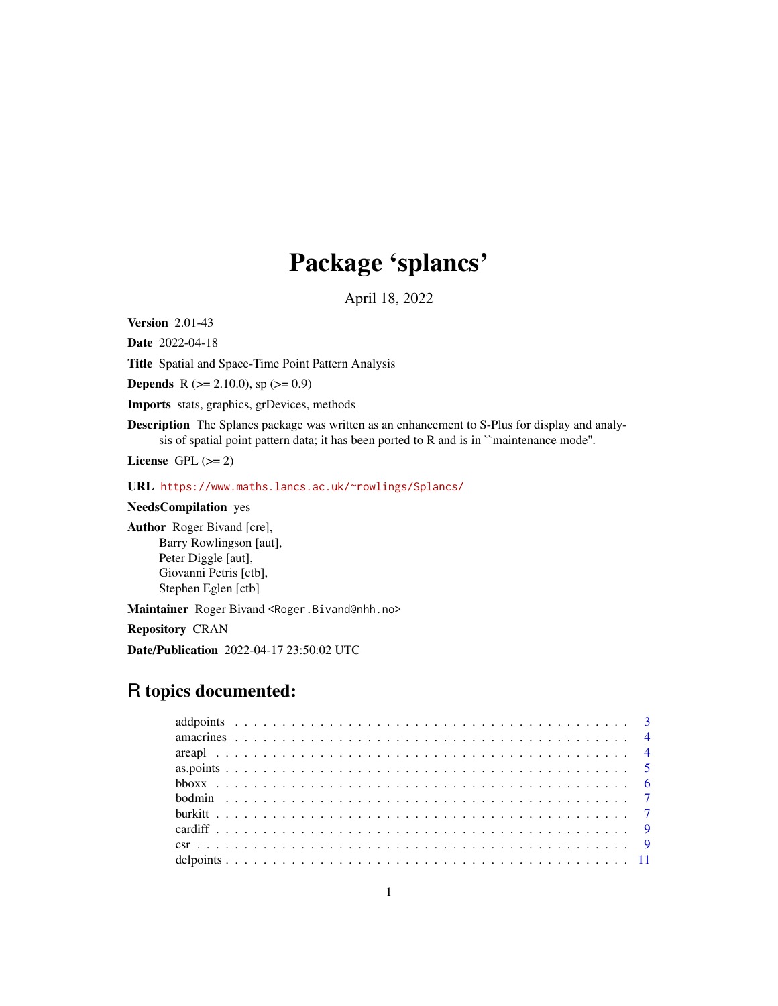# Package 'splancs'

April 18, 2022

<span id="page-0-0"></span>Version 2.01-43

Date 2022-04-18

Title Spatial and Space-Time Point Pattern Analysis

**Depends** R ( $>= 2.10.0$ ), sp ( $>= 0.9$ )

Imports stats, graphics, grDevices, methods

Description The Splancs package was written as an enhancement to S-Plus for display and analysis of spatial point pattern data; it has been ported to R and is in ``maintenance mode''.

License GPL  $(>= 2)$ 

URL <https://www.maths.lancs.ac.uk/~rowlings/Splancs/>

NeedsCompilation yes

Author Roger Bivand [cre], Barry Rowlingson [aut], Peter Diggle [aut], Giovanni Petris [ctb], Stephen Eglen [ctb]

Maintainer Roger Bivand <Roger.Bivand@nhh.no>

Repository CRAN

Date/Publication 2022-04-17 23:50:02 UTC

## R topics documented: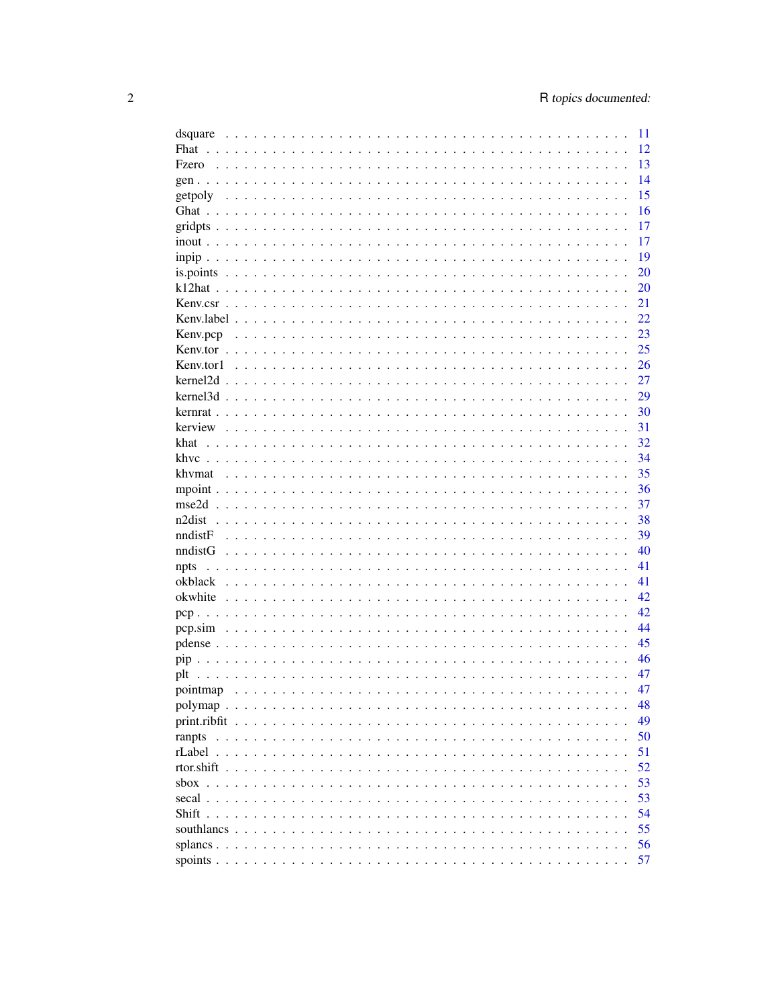| dsquare                     | 11 |
|-----------------------------|----|
| Fhat                        | 12 |
| Fzero                       | 13 |
|                             | 14 |
|                             | 15 |
|                             | 16 |
|                             | 17 |
|                             | 17 |
|                             | 19 |
|                             | 20 |
|                             |    |
|                             | 20 |
|                             | 21 |
|                             | 22 |
|                             | 23 |
|                             | 25 |
|                             | 26 |
|                             | 27 |
|                             | 29 |
|                             | 30 |
|                             | 31 |
| khat                        | 32 |
|                             | 34 |
|                             | 35 |
|                             | 36 |
|                             | 37 |
|                             | 38 |
|                             |    |
| nndistF                     | 39 |
| nndistG                     | 40 |
| npts                        | 41 |
| okblack                     | 41 |
| okwhite                     | 42 |
|                             | 42 |
|                             | 44 |
|                             | 45 |
|                             | 46 |
| plt                         | 47 |
|                             | 47 |
|                             | 48 |
|                             | 49 |
|                             | 50 |
|                             | 51 |
|                             | 52 |
|                             |    |
| $\frac{\text{p}}{\text{p}}$ | 53 |
|                             | 53 |
|                             | 54 |
|                             | 55 |
|                             | 56 |
|                             | 57 |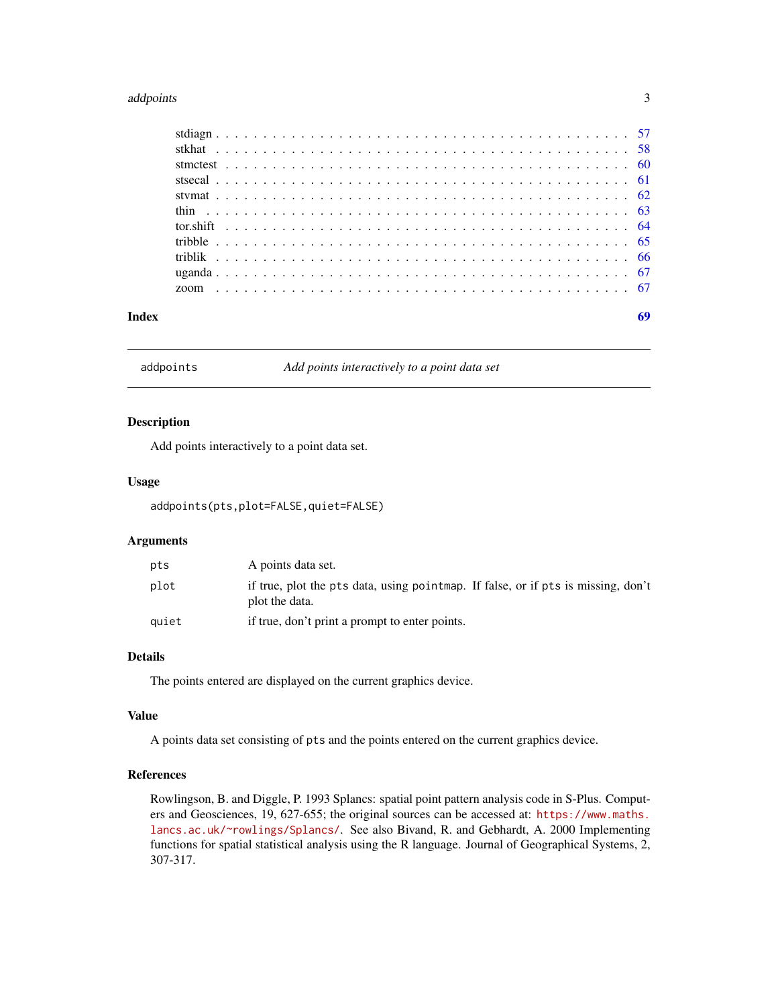#### <span id="page-2-0"></span>addpoints 3

addpoints *Add points interactively to a point data set*

#### Description

Add points interactively to a point data set.

## Usage

addpoints(pts,plot=FALSE,quiet=FALSE)

## Arguments

| pts   | A points data set.                                                                                  |
|-------|-----------------------------------------------------------------------------------------------------|
| plot  | if true, plot the pts data, using pointmap. If false, or if pts is missing, don't<br>plot the data. |
| auiet | if true, don't print a prompt to enter points.                                                      |

## Details

The points entered are displayed on the current graphics device.

#### Value

A points data set consisting of pts and the points entered on the current graphics device.

## References

Rowlingson, B. and Diggle, P. 1993 Splancs: spatial point pattern analysis code in S-Plus. Computers and Geosciences, 19, 627-655; the original sources can be accessed at: [https://www.maths.](https://www.maths.lancs.ac.uk/~rowlings/Splancs/) [lancs.ac.uk/~rowlings/Splancs/](https://www.maths.lancs.ac.uk/~rowlings/Splancs/). See also Bivand, R. and Gebhardt, A. 2000 Implementing functions for spatial statistical analysis using the R language. Journal of Geographical Systems, 2, 307-317.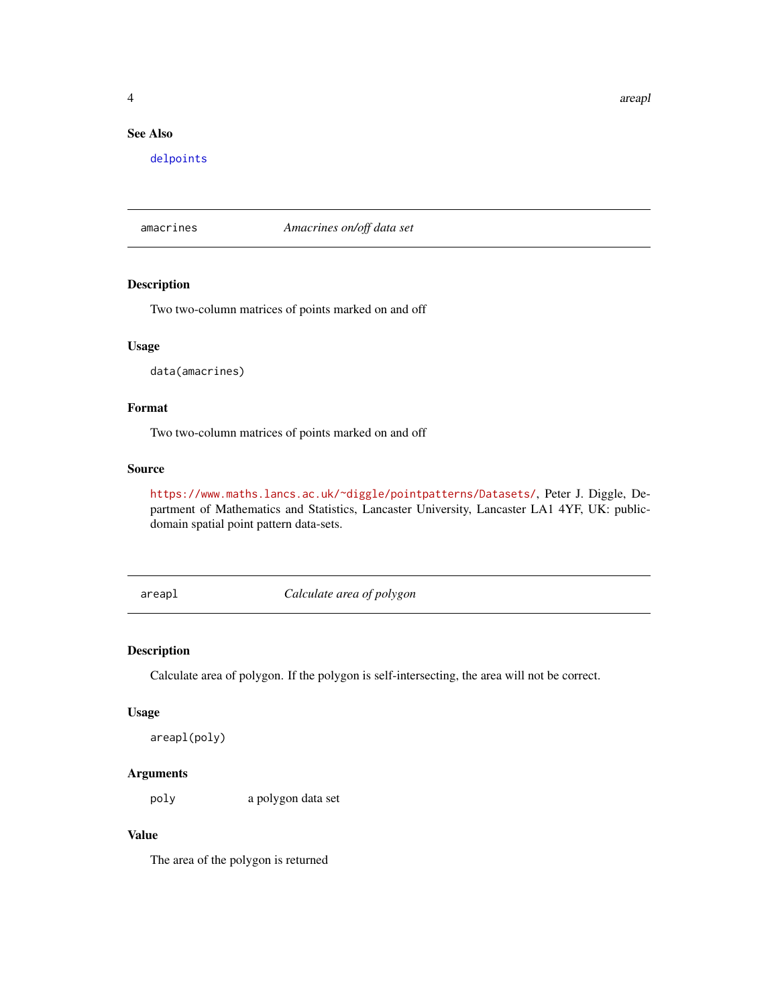<span id="page-3-0"></span>4 area and 2 area and 2 area and 2 area and 2 area and 2 area and 2 area and 2 area and 2 area and 2 area and 2

## See Also

[delpoints](#page-10-1)

amacrines *Amacrines on/off data set*

#### Description

Two two-column matrices of points marked on and off

#### Usage

data(amacrines)

## Format

Two two-column matrices of points marked on and off

#### Source

<https://www.maths.lancs.ac.uk/~diggle/pointpatterns/Datasets/>, Peter J. Diggle, Department of Mathematics and Statistics, Lancaster University, Lancaster LA1 4YF, UK: publicdomain spatial point pattern data-sets.

areapl *Calculate area of polygon*

## Description

Calculate area of polygon. If the polygon is self-intersecting, the area will not be correct.

#### Usage

```
areapl(poly)
```
## Arguments

poly a polygon data set

#### Value

The area of the polygon is returned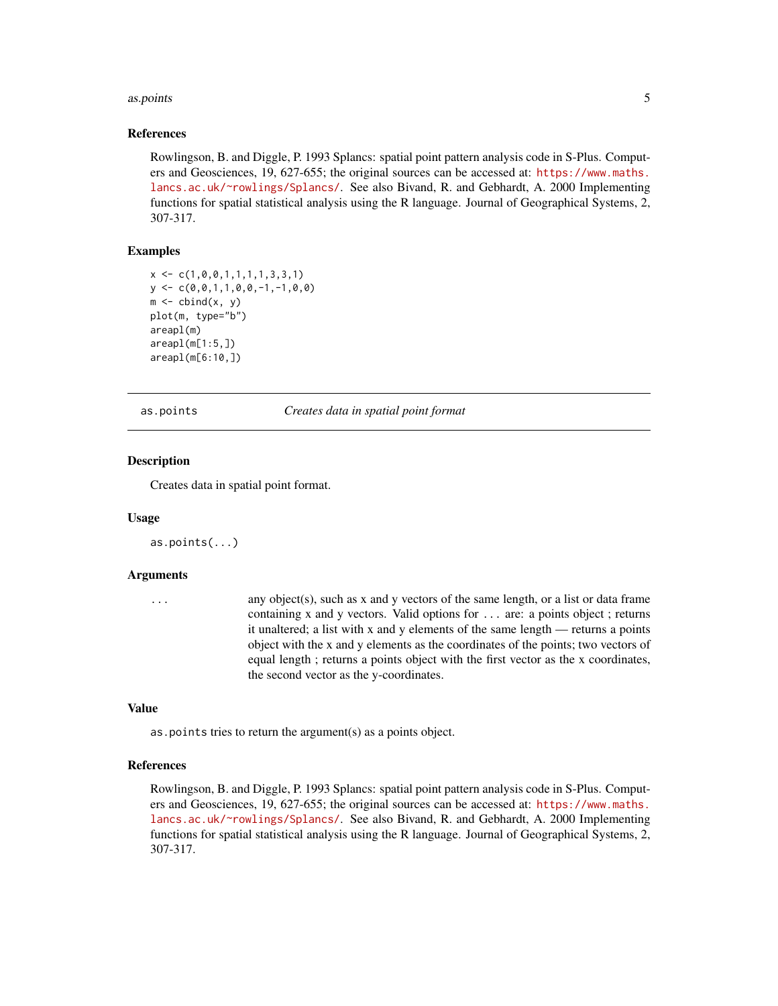#### <span id="page-4-0"></span>as.points 5

#### References

Rowlingson, B. and Diggle, P. 1993 Splancs: spatial point pattern analysis code in S-Plus. Computers and Geosciences, 19, 627-655; the original sources can be accessed at: [https://www.maths.](https://www.maths.lancs.ac.uk/~rowlings/Splancs/) [lancs.ac.uk/~rowlings/Splancs/](https://www.maths.lancs.ac.uk/~rowlings/Splancs/). See also Bivand, R. and Gebhardt, A. 2000 Implementing functions for spatial statistical analysis using the R language. Journal of Geographical Systems, 2, 307-317.

## Examples

```
x \leftarrow c(1, 0, 0, 1, 1, 1, 1, 3, 3, 1)y \leftarrow c(0, 0, 1, 1, 0, 0, -1, -1, 0, 0)m \leftarrow \text{cbind}(x, y)plot(m, type="b")
areapl(m)
areap1(m[1:5,])areapl(m[6:10,])
```
as.points *Creates data in spatial point format*

## Description

Creates data in spatial point format.

#### Usage

as.points(...)

#### Arguments

... any object(s), such as x and y vectors of the same length, or a list or data frame containing x and y vectors. Valid options for ... are: a points object ; returns it unaltered; a list with x and y elements of the same length — returns a points object with the x and y elements as the coordinates of the points; two vectors of equal length ; returns a points object with the first vector as the x coordinates, the second vector as the y-coordinates.

## Value

as.points tries to return the argument(s) as a points object.

#### References

Rowlingson, B. and Diggle, P. 1993 Splancs: spatial point pattern analysis code in S-Plus. Computers and Geosciences, 19, 627-655; the original sources can be accessed at: [https://www.maths.](https://www.maths.lancs.ac.uk/~rowlings/Splancs/) [lancs.ac.uk/~rowlings/Splancs/](https://www.maths.lancs.ac.uk/~rowlings/Splancs/). See also Bivand, R. and Gebhardt, A. 2000 Implementing functions for spatial statistical analysis using the R language. Journal of Geographical Systems, 2, 307-317.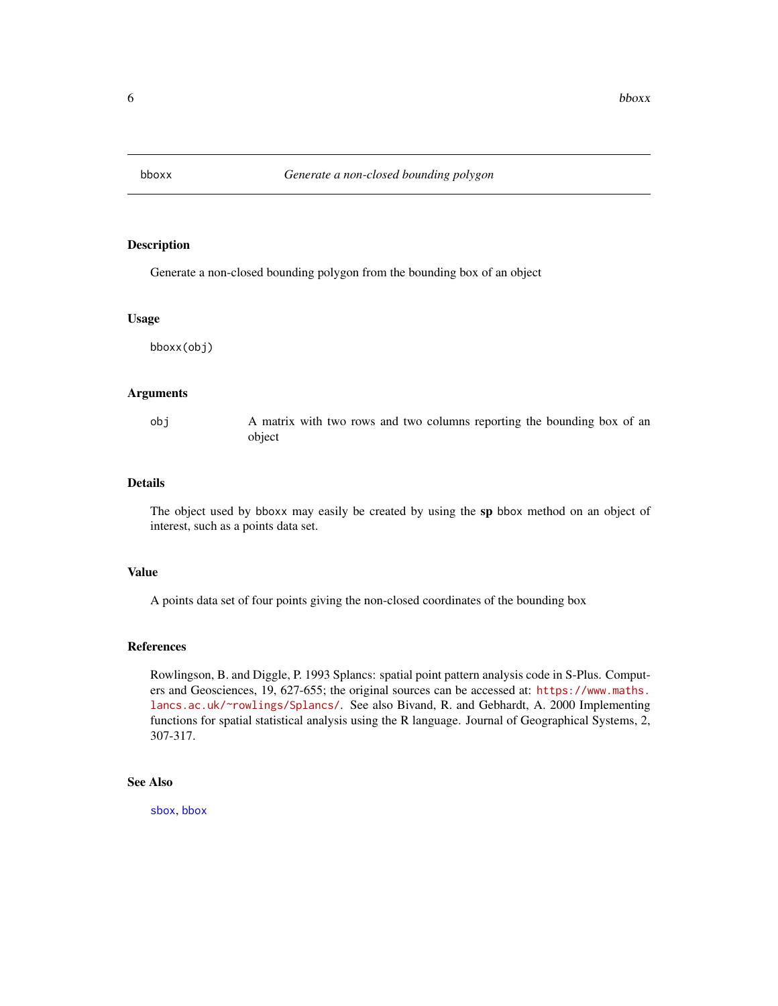<span id="page-5-1"></span><span id="page-5-0"></span>

Generate a non-closed bounding polygon from the bounding box of an object

#### Usage

bboxx(obj)

## Arguments

obj A matrix with two rows and two columns reporting the bounding box of an object

## Details

The object used by bboxx may easily be created by using the sp bbox method on an object of interest, such as a points data set.

#### Value

A points data set of four points giving the non-closed coordinates of the bounding box

#### References

Rowlingson, B. and Diggle, P. 1993 Splancs: spatial point pattern analysis code in S-Plus. Computers and Geosciences, 19, 627-655; the original sources can be accessed at: [https://www.maths.](https://www.maths.lancs.ac.uk/~rowlings/Splancs/) [lancs.ac.uk/~rowlings/Splancs/](https://www.maths.lancs.ac.uk/~rowlings/Splancs/). See also Bivand, R. and Gebhardt, A. 2000 Implementing functions for spatial statistical analysis using the R language. Journal of Geographical Systems, 2, 307-317.

## See Also

[sbox](#page-52-1), [bbox](#page-0-0)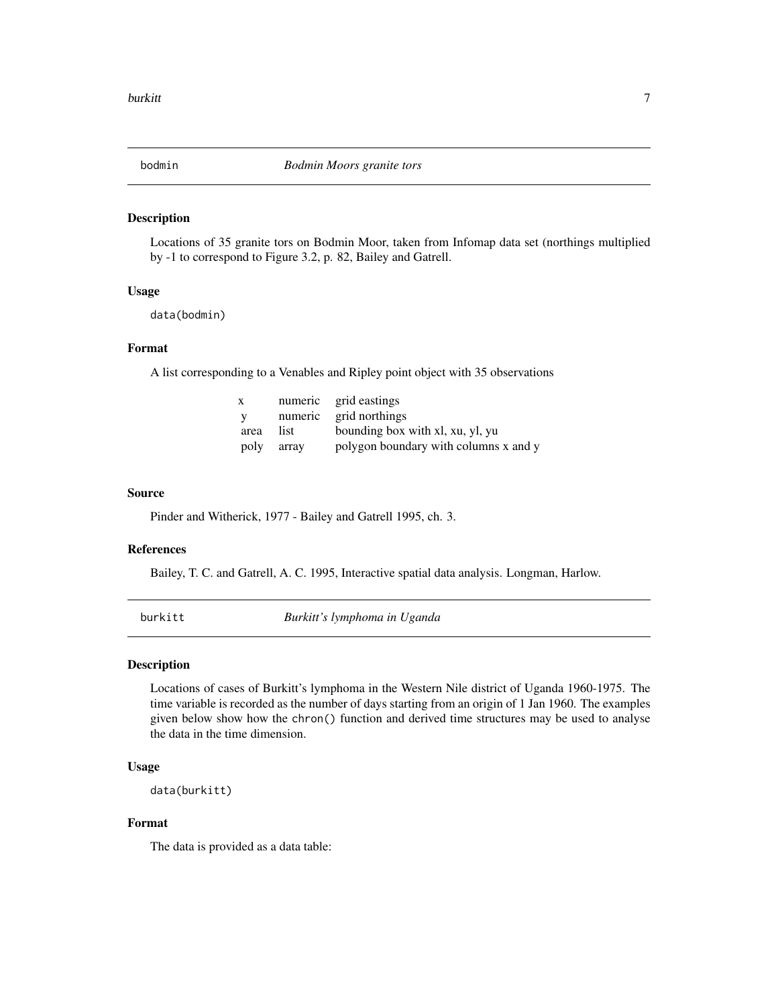<span id="page-6-0"></span>

Locations of 35 granite tors on Bodmin Moor, taken from Infomap data set (northings multiplied by -1 to correspond to Figure 3.2, p. 82, Bailey and Gatrell.

#### Usage

data(bodmin)

## Format

A list corresponding to a Venables and Ripley point object with 35 observations

| X    |            | numeric grid eastings                 |
|------|------------|---------------------------------------|
| V.   |            | numeric grid northings                |
| area | list.      | bounding box with xl, xu, yl, yu      |
|      | poly array | polygon boundary with columns x and y |

#### Source

Pinder and Witherick, 1977 - Bailey and Gatrell 1995, ch. 3.

#### References

Bailey, T. C. and Gatrell, A. C. 1995, Interactive spatial data analysis. Longman, Harlow.

burkitt *Burkitt's lymphoma in Uganda*

## Description

Locations of cases of Burkitt's lymphoma in the Western Nile district of Uganda 1960-1975. The time variable is recorded as the number of days starting from an origin of 1 Jan 1960. The examples given below show how the chron() function and derived time structures may be used to analyse the data in the time dimension.

#### Usage

data(burkitt)

#### Format

The data is provided as a data table: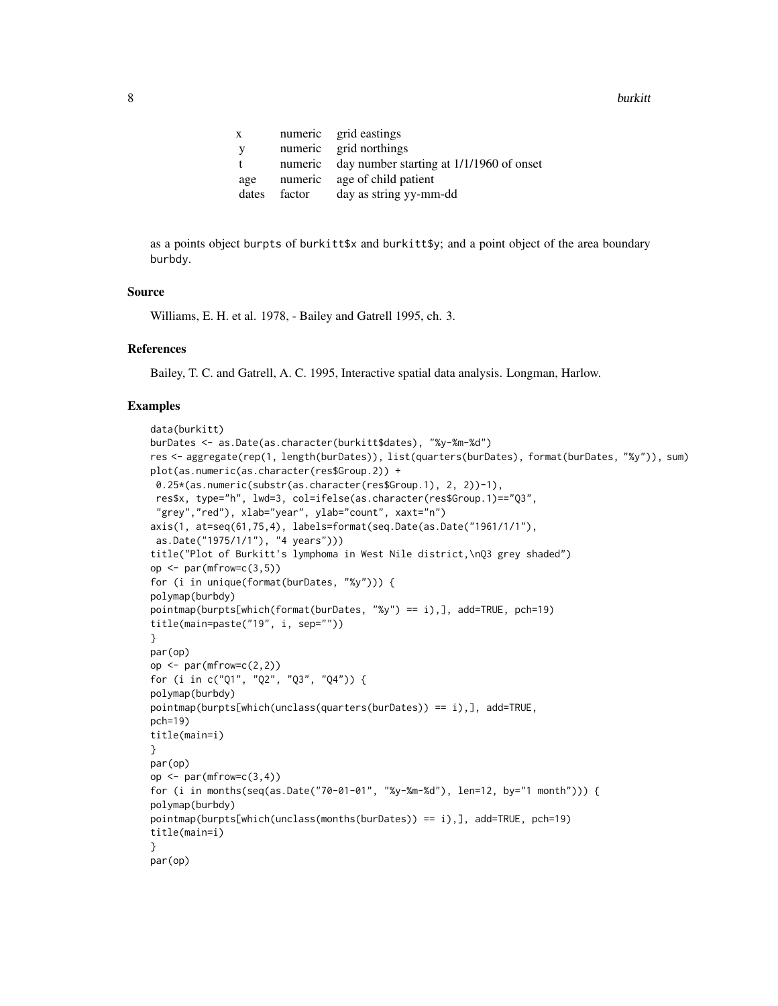| X.           |        | numeric grid eastings                            |
|--------------|--------|--------------------------------------------------|
| <sup>V</sup> |        | numeric grid northings                           |
| $\mathbf{f}$ |        | numeric day number starting at 1/1/1960 of onset |
| age          |        | numeric age of child patient                     |
| dates        | factor | day as string yy-mm-dd                           |
|              |        |                                                  |

as a points object burpts of burkitt\$x and burkitt\$y; and a point object of the area boundary burbdy.

## Source

Williams, E. H. et al. 1978, - Bailey and Gatrell 1995, ch. 3.

## References

Bailey, T. C. and Gatrell, A. C. 1995, Interactive spatial data analysis. Longman, Harlow.

```
data(burkitt)
burDates <- as.Date(as.character(burkitt$dates), "%y-%m-%d")
res <- aggregate(rep(1, length(burDates)), list(quarters(burDates), format(burDates, "%y")), sum)
plot(as.numeric(as.character(res$Group.2)) +
0.25*(as.numeric(substr(as.character(res$Group.1), 2, 2))-1),
 res$x, type="h", lwd=3, col=ifelse(as.character(res$Group.1)=="Q3",
 "grey","red"), xlab="year", ylab="count", xaxt="n")
axis(1, at=seq(61,75,4), labels=format(seq.Date(as.Date("1961/1/1"),
as.Date("1975/1/1"), "4 years")))
title("Plot of Burkitt's lymphoma in West Nile district,\nQ3 grey shaded")
op \leq par(mfrow=c(3,5))
for (i in unique(format(burDates, "%y"))) {
polymap(burbdy)
pointmap(burpts[which(format(burDates, "%y") == i),], add=TRUE, pch=19)
title(main=paste("19", i, sep=""))
}
par(op)
op \leq par(mfrow=c(2,2))
for (i in c("Q1", "Q2", "Q3", "Q4")) {
polymap(burbdy)
pointmap(burpts[which(unclass(quarters(burDates)) == i),], add=TRUE,
pch=19)
title(main=i)
}
par(op)
op \leq par(mfrow=c(3,4))
for (i in months(seq(as.Date("70-01-01", "%y-%m-%d"), len=12, by="1 month"))) {
polymap(burbdy)
pointmap(burpts[which(unclass(months(burDates)) == i),], add=TRUE, pch=19)
title(main=i)
}
par(op)
```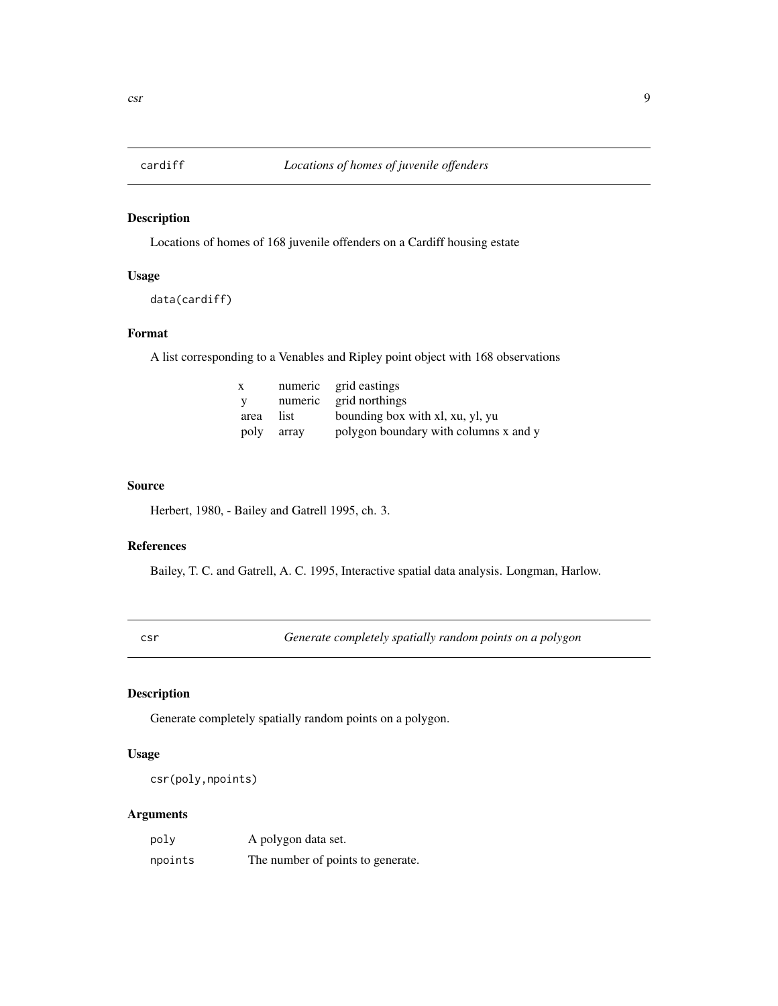<span id="page-8-0"></span>

Locations of homes of 168 juvenile offenders on a Cardiff housing estate

## Usage

```
data(cardiff)
```
## Format

A list corresponding to a Venables and Ripley point object with 168 observations

| $\mathbf{x}$ |       | numeric grid eastings                 |
|--------------|-------|---------------------------------------|
| – V          |       | numeric grid northings                |
| area         | list  | bounding box with xl, xu, yl, yu      |
| poly         | array | polygon boundary with columns x and y |

#### Source

Herbert, 1980, - Bailey and Gatrell 1995, ch. 3.

#### References

Bailey, T. C. and Gatrell, A. C. 1995, Interactive spatial data analysis. Longman, Harlow.

<span id="page-8-1"></span>csr *Generate completely spatially random points on a polygon*

## Description

Generate completely spatially random points on a polygon.

## Usage

```
csr(poly,npoints)
```

| poly    | A polygon data set.               |
|---------|-----------------------------------|
| npoints | The number of points to generate. |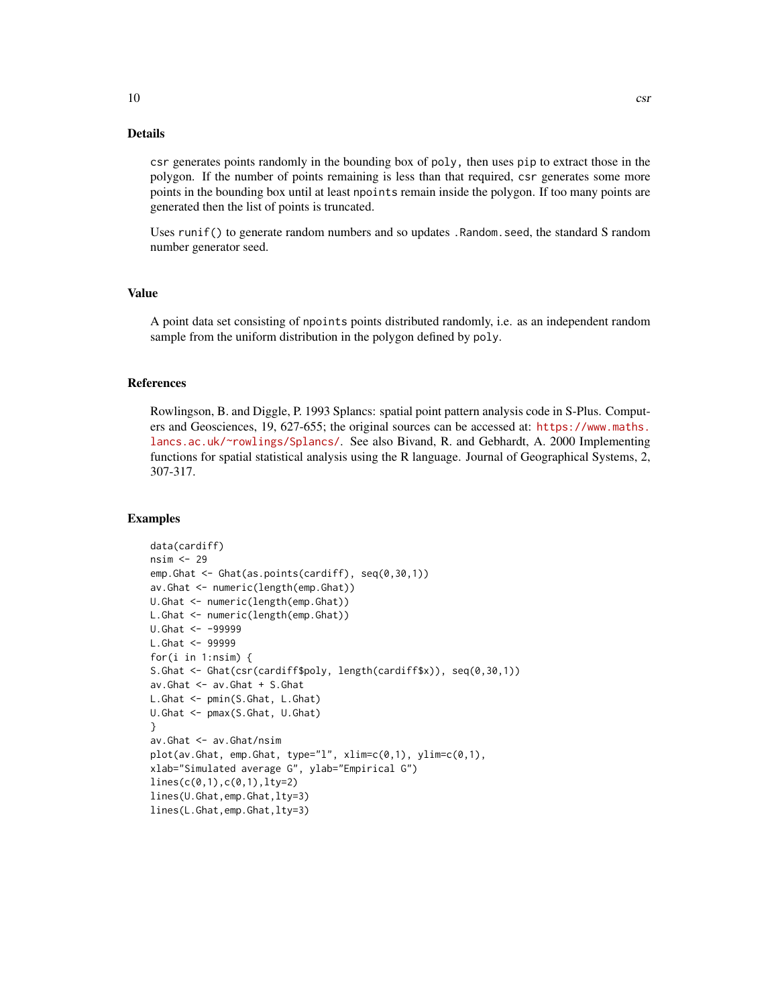csr generates points randomly in the bounding box of poly, then uses pip to extract those in the polygon. If the number of points remaining is less than that required, csr generates some more points in the bounding box until at least npoints remain inside the polygon. If too many points are generated then the list of points is truncated.

Uses runif() to generate random numbers and so updates .Random.seed, the standard S random number generator seed.

## Value

A point data set consisting of npoints points distributed randomly, i.e. as an independent random sample from the uniform distribution in the polygon defined by poly.

## References

Rowlingson, B. and Diggle, P. 1993 Splancs: spatial point pattern analysis code in S-Plus. Computers and Geosciences, 19, 627-655; the original sources can be accessed at: [https://www.maths.](https://www.maths.lancs.ac.uk/~rowlings/Splancs/) [lancs.ac.uk/~rowlings/Splancs/](https://www.maths.lancs.ac.uk/~rowlings/Splancs/). See also Bivand, R. and Gebhardt, A. 2000 Implementing functions for spatial statistical analysis using the R language. Journal of Geographical Systems, 2, 307-317.

```
data(cardiff)
nsim <- 29
emp.Ghat <- Ghat(as.points(cardiff), seq(0,30,1))
av.Ghat <- numeric(length(emp.Ghat))
U.Ghat <- numeric(length(emp.Ghat))
L.Ghat <- numeric(length(emp.Ghat))
U.Ghat <- -99999
L.Ghat <- 99999
for(i in 1:nsim) {
S.Ghat <- Ghat(csr(cardiff$poly, length(cardiff$x)), seq(0,30,1))
av.Ghat <- av.Ghat + S.Ghat
L.Ghat <- pmin(S.Ghat, L.Ghat)
U.Ghat <- pmax(S.Ghat, U.Ghat)
}
av.Ghat <- av.Ghat/nsim
plot(av.Ghat, emp.Ghat, type="l", xlim=c(0,1), ylim=c(0,1),
xlab="Simulated average G", ylab="Empirical G")
lines(c(0,1),c(0,1),lty=2)
lines(U.Ghat,emp.Ghat,lty=3)
lines(L.Ghat,emp.Ghat,lty=3)
```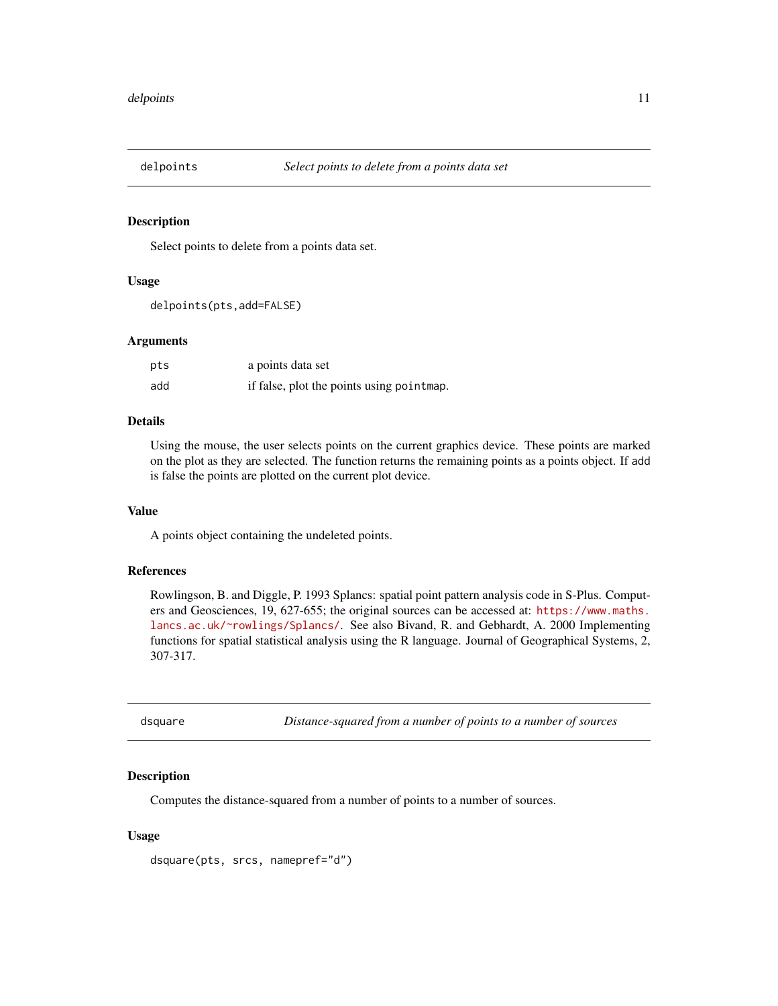<span id="page-10-1"></span><span id="page-10-0"></span>

Select points to delete from a points data set.

#### Usage

```
delpoints(pts,add=FALSE)
```
#### Arguments

| pts | a points data set                          |
|-----|--------------------------------------------|
| add | if false, plot the points using point map. |

#### Details

Using the mouse, the user selects points on the current graphics device. These points are marked on the plot as they are selected. The function returns the remaining points as a points object. If add is false the points are plotted on the current plot device.

#### Value

A points object containing the undeleted points.

## References

Rowlingson, B. and Diggle, P. 1993 Splancs: spatial point pattern analysis code in S-Plus. Computers and Geosciences, 19, 627-655; the original sources can be accessed at: [https://www.maths.](https://www.maths.lancs.ac.uk/~rowlings/Splancs/) [lancs.ac.uk/~rowlings/Splancs/](https://www.maths.lancs.ac.uk/~rowlings/Splancs/). See also Bivand, R. and Gebhardt, A. 2000 Implementing functions for spatial statistical analysis using the R language. Journal of Geographical Systems, 2, 307-317.

<span id="page-10-2"></span>dsquare *Distance-squared from a number of points to a number of sources*

#### Description

Computes the distance-squared from a number of points to a number of sources.

## Usage

```
dsquare(pts, srcs, namepref="d")
```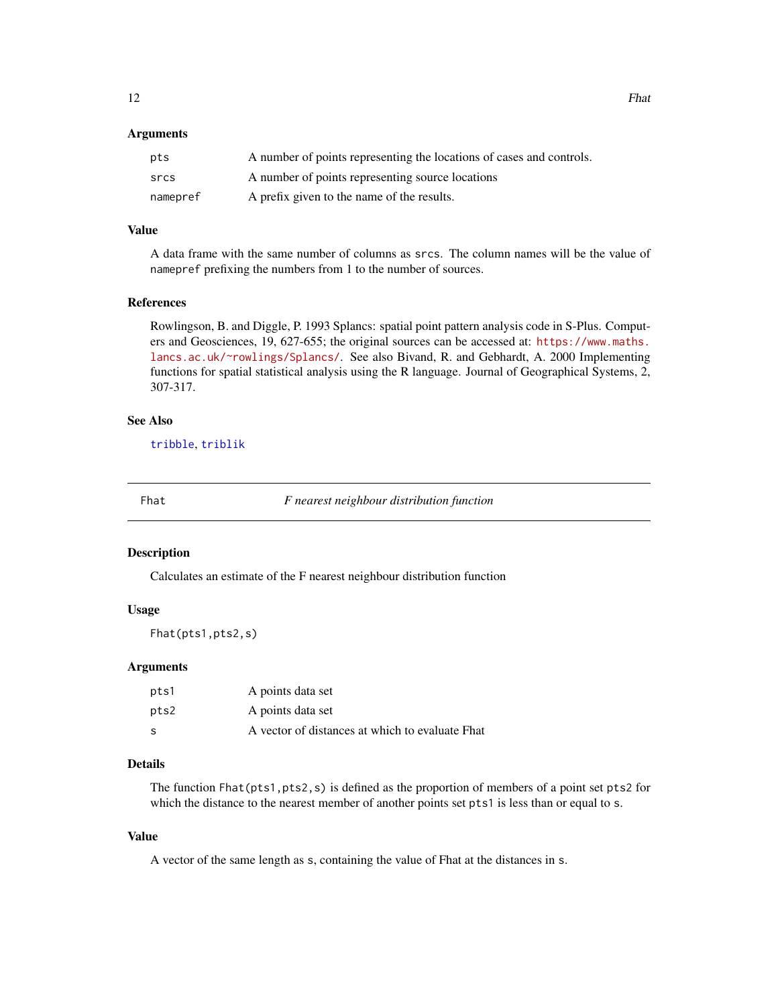#### <span id="page-11-0"></span>**Arguments**

| pts      | A number of points representing the locations of cases and controls. |
|----------|----------------------------------------------------------------------|
| srcs     | A number of points representing source locations                     |
| namepref | A prefix given to the name of the results.                           |

## Value

A data frame with the same number of columns as srcs. The column names will be the value of namepref prefixing the numbers from 1 to the number of sources.

#### References

Rowlingson, B. and Diggle, P. 1993 Splancs: spatial point pattern analysis code in S-Plus. Computers and Geosciences, 19, 627-655; the original sources can be accessed at: [https://www.maths.](https://www.maths.lancs.ac.uk/~rowlings/Splancs/) [lancs.ac.uk/~rowlings/Splancs/](https://www.maths.lancs.ac.uk/~rowlings/Splancs/). See also Bivand, R. and Gebhardt, A. 2000 Implementing functions for spatial statistical analysis using the R language. Journal of Geographical Systems, 2, 307-317.

## See Also

[tribble](#page-64-1), [triblik](#page-65-1)

<span id="page-11-1"></span>

Fhat *F nearest neighbour distribution function*

#### Description

Calculates an estimate of the F nearest neighbour distribution function

#### Usage

Fhat(pts1,pts2,s)

#### Arguments

| pts1 | A points data set                               |
|------|-------------------------------------------------|
| pts2 | A points data set                               |
| S    | A vector of distances at which to evaluate Fhat |

## Details

The function Fhat(pts1,pts2,s) is defined as the proportion of members of a point set pts2 for which the distance to the nearest member of another points set pts1 is less than or equal to s.

## Value

A vector of the same length as s, containing the value of Fhat at the distances in s.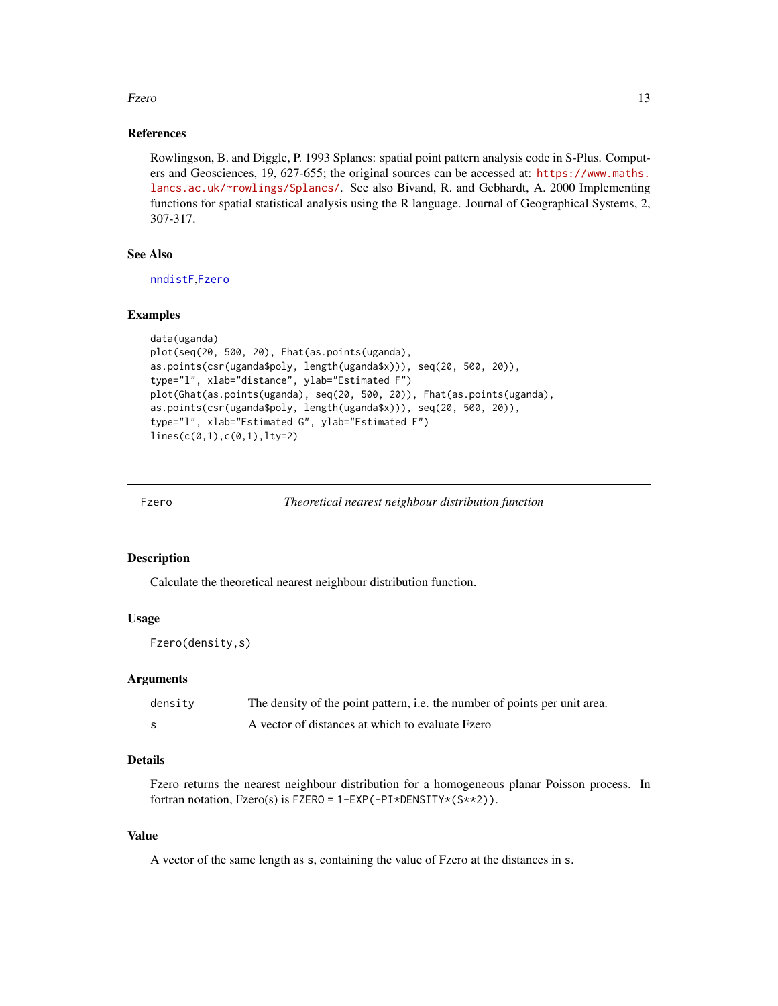#### <span id="page-12-0"></span>Fzero 13

## References

Rowlingson, B. and Diggle, P. 1993 Splancs: spatial point pattern analysis code in S-Plus. Computers and Geosciences, 19, 627-655; the original sources can be accessed at: [https://www.maths.](https://www.maths.lancs.ac.uk/~rowlings/Splancs/) [lancs.ac.uk/~rowlings/Splancs/](https://www.maths.lancs.ac.uk/~rowlings/Splancs/). See also Bivand, R. and Gebhardt, A. 2000 Implementing functions for spatial statistical analysis using the R language. Journal of Geographical Systems, 2, 307-317.

## See Also

[nndistF](#page-38-1),[Fzero](#page-12-1)

#### Examples

```
data(uganda)
plot(seq(20, 500, 20), Fhat(as.points(uganda),
as.points(csr(uganda$poly, length(uganda$x))), seq(20, 500, 20)),
type="l", xlab="distance", ylab="Estimated F")
plot(Ghat(as.points(uganda), seq(20, 500, 20)), Fhat(as.points(uganda),
as.points(csr(uganda$poly, length(uganda$x))), seq(20, 500, 20)),
type="l", xlab="Estimated G", ylab="Estimated F")
lines(c(0,1),c(0,1),lty=2)
```
<span id="page-12-1"></span>

Fzero *Theoretical nearest neighbour distribution function*

## Description

Calculate the theoretical nearest neighbour distribution function.

#### Usage

Fzero(density,s)

#### Arguments

| density | The density of the point pattern, i.e. the number of points per unit area. |
|---------|----------------------------------------------------------------------------|
| -S      | A vector of distances at which to evaluate Fzero                           |

## Details

Fzero returns the nearest neighbour distribution for a homogeneous planar Poisson process. In fortran notation, Fzero(s) is FZERO = 1-EXP(-PI\*DENSITY\*(S\*\*2)).

#### Value

A vector of the same length as s, containing the value of Fzero at the distances in s.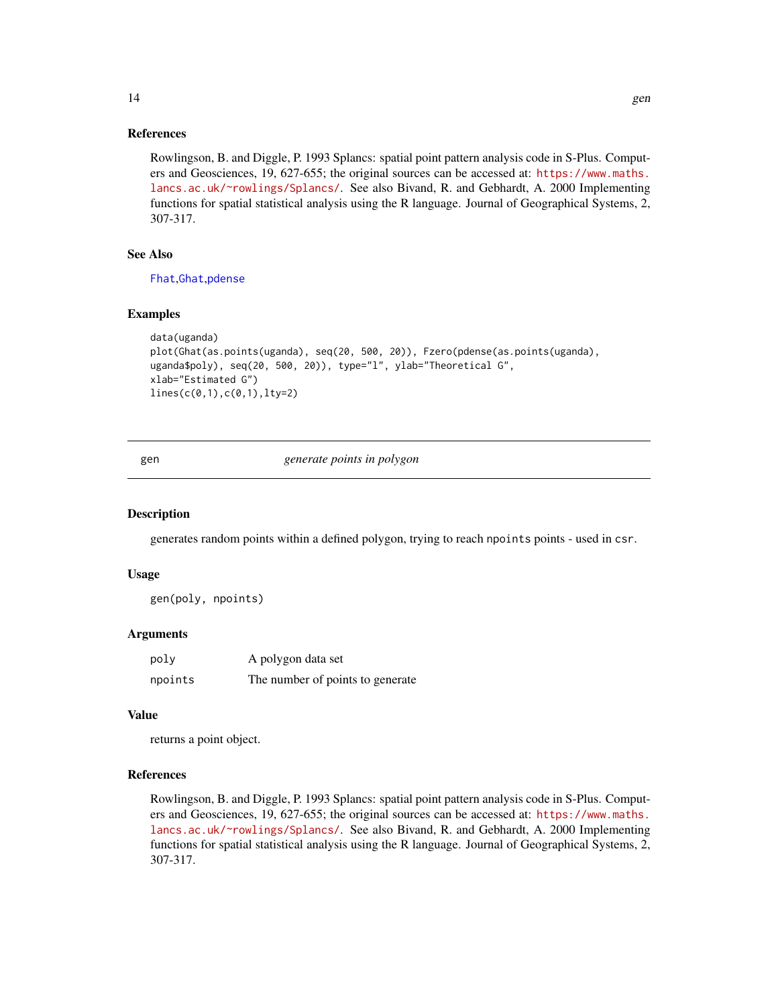#### <span id="page-13-0"></span>References

Rowlingson, B. and Diggle, P. 1993 Splancs: spatial point pattern analysis code in S-Plus. Computers and Geosciences, 19, 627-655; the original sources can be accessed at: [https://www.maths.](https://www.maths.lancs.ac.uk/~rowlings/Splancs/) [lancs.ac.uk/~rowlings/Splancs/](https://www.maths.lancs.ac.uk/~rowlings/Splancs/). See also Bivand, R. and Gebhardt, A. 2000 Implementing functions for spatial statistical analysis using the R language. Journal of Geographical Systems, 2, 307-317.

#### See Also

[Fhat](#page-11-1),[Ghat](#page-15-1),[pdense](#page-44-1)

#### Examples

```
data(uganda)
plot(Ghat(as.points(uganda), seq(20, 500, 20)), Fzero(pdense(as.points(uganda),
uganda$poly), seq(20, 500, 20)), type="l", ylab="Theoretical G",
xlab="Estimated G")
lines(c(0,1),c(0,1),lty=2)
```
gen *generate points in polygon*

#### Description

generates random points within a defined polygon, trying to reach npoints points - used in csr.

#### Usage

gen(poly, npoints)

#### Arguments

| poly    | A polygon data set               |
|---------|----------------------------------|
| npoints | The number of points to generate |

#### Value

returns a point object.

## References

Rowlingson, B. and Diggle, P. 1993 Splancs: spatial point pattern analysis code in S-Plus. Computers and Geosciences, 19, 627-655; the original sources can be accessed at: [https://www.maths.](https://www.maths.lancs.ac.uk/~rowlings/Splancs/) [lancs.ac.uk/~rowlings/Splancs/](https://www.maths.lancs.ac.uk/~rowlings/Splancs/). See also Bivand, R. and Gebhardt, A. 2000 Implementing functions for spatial statistical analysis using the R language. Journal of Geographical Systems, 2, 307-317.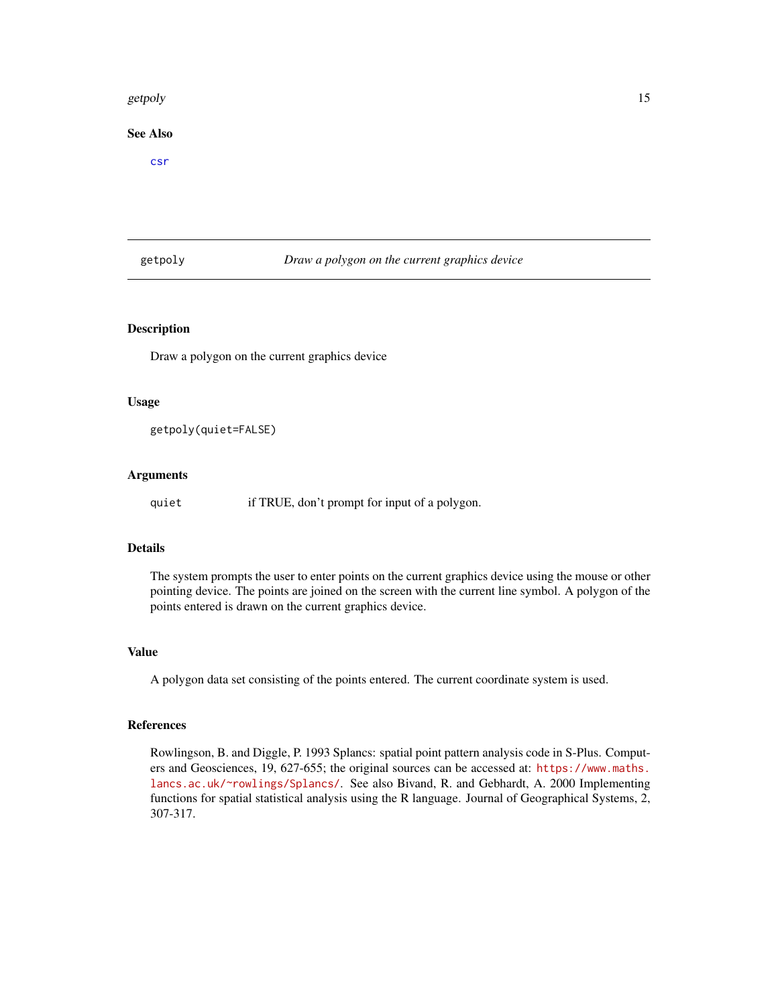#### <span id="page-14-0"></span>getpoly and the set of the set of the set of the set of the set of the set of the set of the set of the set of the set of the set of the set of the set of the set of the set of the set of the set of the set of the set of t

## See Also

[csr](#page-8-1)

## getpoly *Draw a polygon on the current graphics device*

## Description

Draw a polygon on the current graphics device

#### Usage

getpoly(quiet=FALSE)

#### Arguments

quiet if TRUE, don't prompt for input of a polygon.

## Details

The system prompts the user to enter points on the current graphics device using the mouse or other pointing device. The points are joined on the screen with the current line symbol. A polygon of the points entered is drawn on the current graphics device.

## Value

A polygon data set consisting of the points entered. The current coordinate system is used.

## References

Rowlingson, B. and Diggle, P. 1993 Splancs: spatial point pattern analysis code in S-Plus. Computers and Geosciences, 19, 627-655; the original sources can be accessed at: [https://www.maths.](https://www.maths.lancs.ac.uk/~rowlings/Splancs/) [lancs.ac.uk/~rowlings/Splancs/](https://www.maths.lancs.ac.uk/~rowlings/Splancs/). See also Bivand, R. and Gebhardt, A. 2000 Implementing functions for spatial statistical analysis using the R language. Journal of Geographical Systems, 2, 307-317.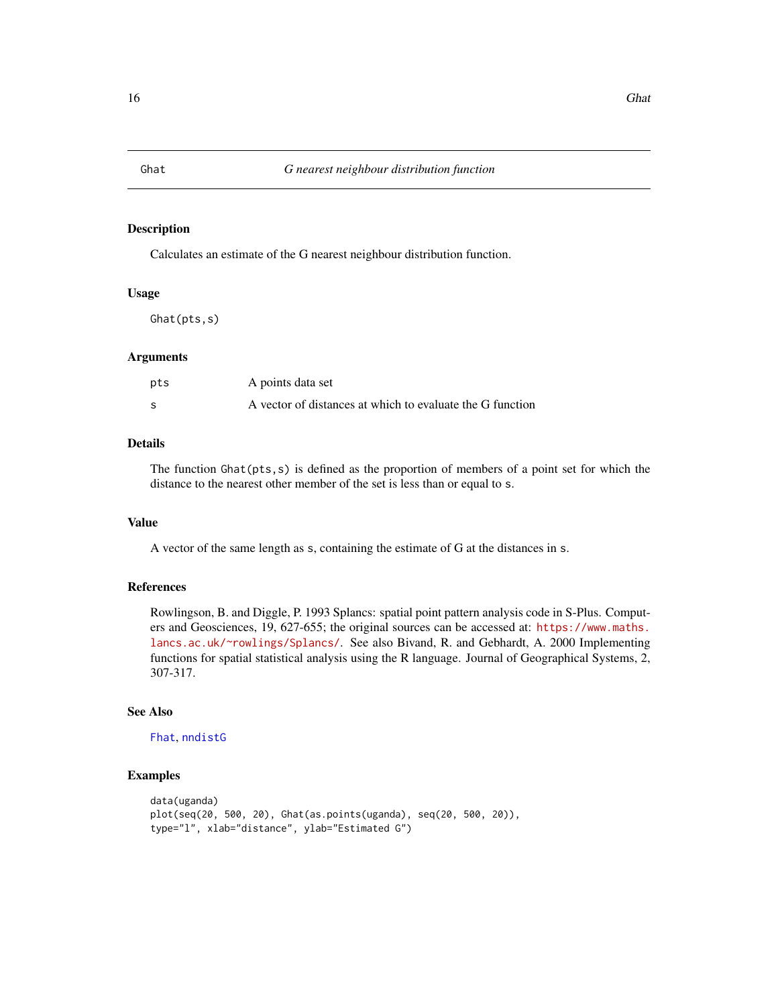<span id="page-15-1"></span><span id="page-15-0"></span>

Calculates an estimate of the G nearest neighbour distribution function.

## Usage

Ghat(pts,s)

#### Arguments

| pts | A points data set                                         |
|-----|-----------------------------------------------------------|
| -S  | A vector of distances at which to evaluate the G function |

## Details

The function Ghat(pts,s) is defined as the proportion of members of a point set for which the distance to the nearest other member of the set is less than or equal to s.

#### Value

A vector of the same length as s, containing the estimate of G at the distances in s.

## References

Rowlingson, B. and Diggle, P. 1993 Splancs: spatial point pattern analysis code in S-Plus. Computers and Geosciences, 19, 627-655; the original sources can be accessed at: [https://www.maths.](https://www.maths.lancs.ac.uk/~rowlings/Splancs/) [lancs.ac.uk/~rowlings/Splancs/](https://www.maths.lancs.ac.uk/~rowlings/Splancs/). See also Bivand, R. and Gebhardt, A. 2000 Implementing functions for spatial statistical analysis using the R language. Journal of Geographical Systems, 2, 307-317.

## See Also

[Fhat](#page-11-1), [nndistG](#page-39-1)

```
data(uganda)
plot(seq(20, 500, 20), Ghat(as.points(uganda), seq(20, 500, 20)),
type="l", xlab="distance", ylab="Estimated G")
```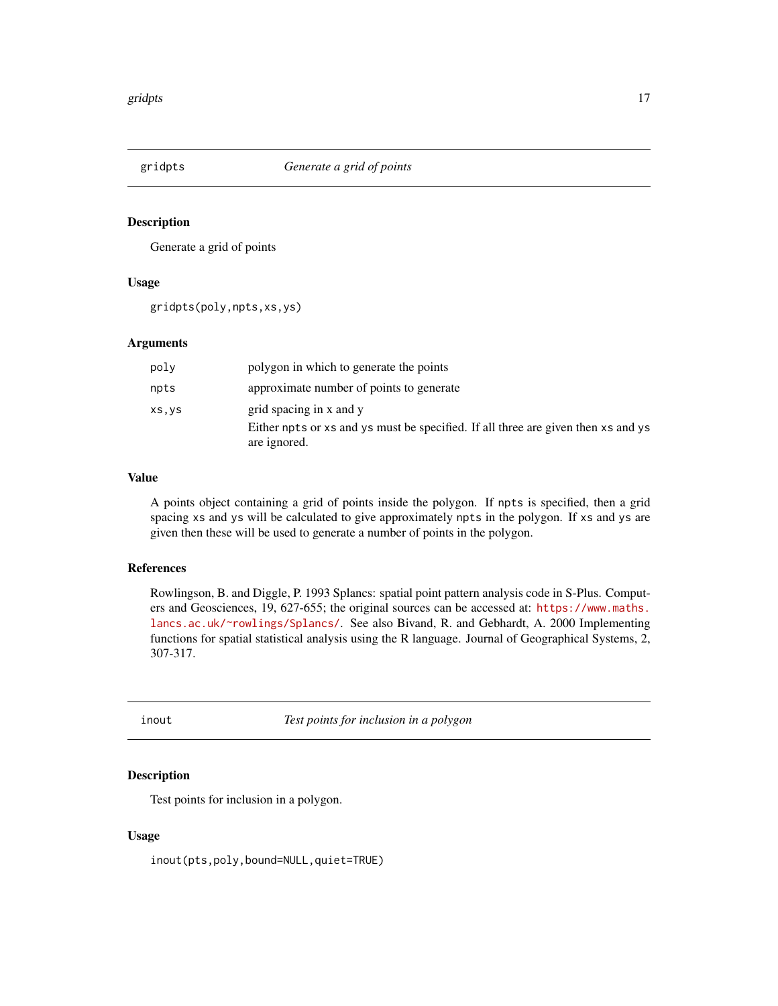<span id="page-16-0"></span>

Generate a grid of points

#### Usage

gridpts(poly,npts,xs,ys)

## Arguments

| poly   | polygon in which to generate the points                                                                                      |
|--------|------------------------------------------------------------------------------------------------------------------------------|
| npts   | approximate number of points to generate                                                                                     |
| XS, yS | grid spacing in x and y<br>Either npts or xs and ys must be specified. If all three are given then xs and ys<br>are ignored. |

## Value

A points object containing a grid of points inside the polygon. If npts is specified, then a grid spacing xs and ys will be calculated to give approximately npts in the polygon. If xs and ys are given then these will be used to generate a number of points in the polygon.

## References

Rowlingson, B. and Diggle, P. 1993 Splancs: spatial point pattern analysis code in S-Plus. Computers and Geosciences, 19, 627-655; the original sources can be accessed at: [https://www.maths.](https://www.maths.lancs.ac.uk/~rowlings/Splancs/) [lancs.ac.uk/~rowlings/Splancs/](https://www.maths.lancs.ac.uk/~rowlings/Splancs/). See also Bivand, R. and Gebhardt, A. 2000 Implementing functions for spatial statistical analysis using the R language. Journal of Geographical Systems, 2, 307-317.

<span id="page-16-1"></span>inout *Test points for inclusion in a polygon*

## Description

Test points for inclusion in a polygon.

## Usage

inout(pts,poly,bound=NULL,quiet=TRUE)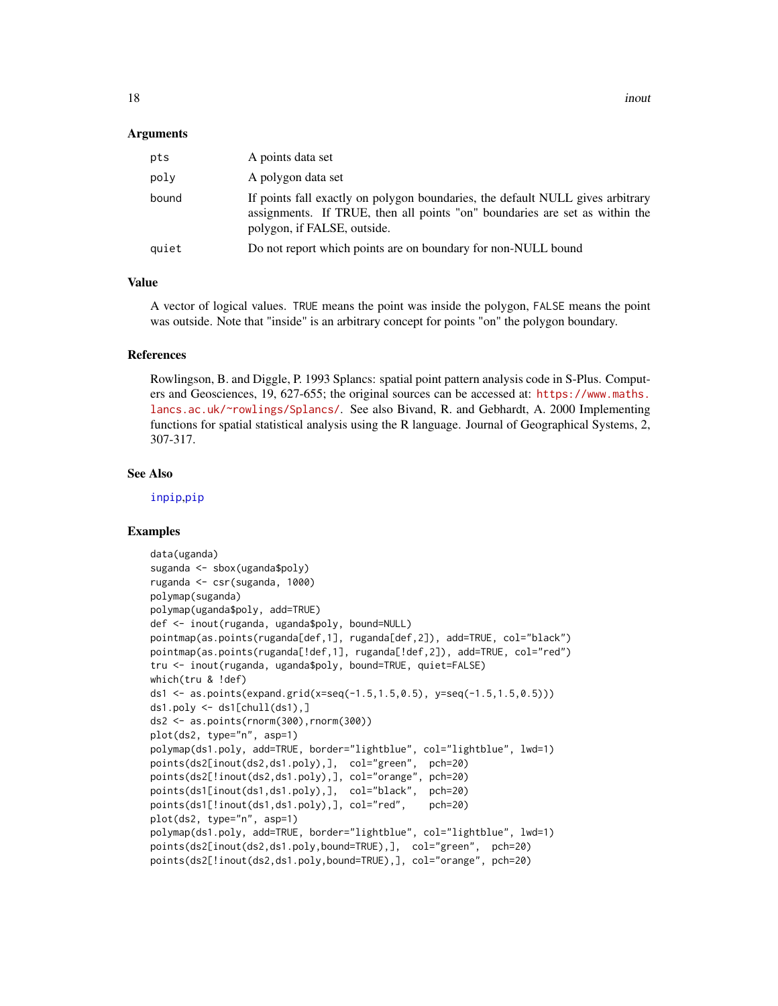#### <span id="page-17-0"></span>Arguments

| pts   | A points data set                                                                                                                                                                            |
|-------|----------------------------------------------------------------------------------------------------------------------------------------------------------------------------------------------|
| poly  | A polygon data set                                                                                                                                                                           |
| bound | If points fall exactly on polygon boundaries, the default NULL gives arbitrary<br>assignments. If TRUE, then all points "on" boundaries are set as within the<br>polygon, if FALSE, outside. |
| quiet | Do not report which points are on boundary for non-NULL bound                                                                                                                                |
|       |                                                                                                                                                                                              |

## Value

A vector of logical values. TRUE means the point was inside the polygon, FALSE means the point was outside. Note that "inside" is an arbitrary concept for points "on" the polygon boundary.

#### References

Rowlingson, B. and Diggle, P. 1993 Splancs: spatial point pattern analysis code in S-Plus. Computers and Geosciences, 19, 627-655; the original sources can be accessed at: [https://www.maths.](https://www.maths.lancs.ac.uk/~rowlings/Splancs/) [lancs.ac.uk/~rowlings/Splancs/](https://www.maths.lancs.ac.uk/~rowlings/Splancs/). See also Bivand, R. and Gebhardt, A. 2000 Implementing functions for spatial statistical analysis using the R language. Journal of Geographical Systems, 2, 307-317.

#### See Also

[inpip](#page-18-1),[pip](#page-45-1)

```
data(uganda)
suganda <- sbox(uganda$poly)
ruganda <- csr(suganda, 1000)
polymap(suganda)
polymap(uganda$poly, add=TRUE)
def <- inout(ruganda, uganda$poly, bound=NULL)
pointmap(as.points(ruganda[def,1], ruganda[def,2]), add=TRUE, col="black")
pointmap(as.points(ruganda[!def,1], ruganda[!def,2]), add=TRUE, col="red")
tru <- inout(ruganda, uganda$poly, bound=TRUE, quiet=FALSE)
which(tru & !def)
ds1 <- as.points(expand.grid(x=seq(-1.5,1.5,0.5), y=seq(-1.5,1.5,0.5)))
ds1.poly \leftarrow ds1[chull(ds1),]ds2 <- as.points(rnorm(300),rnorm(300))
plot(ds2, type="n", asp=1)
polymap(ds1.poly, add=TRUE, border="lightblue", col="lightblue", lwd=1)
points(ds2[inout(ds2,ds1.poly),], col="green", pch=20)
points(ds2[!inout(ds2,ds1.poly),], col="orange", pch=20)
points(ds1[inout(ds1,ds1.poly),], col="black", pch=20)
points(ds1[!inout(ds1,ds1.poly),], col="red", pch=20)
plot(ds2, type="n", asp=1)
polymap(ds1.poly, add=TRUE, border="lightblue", col="lightblue", lwd=1)
points(ds2[inout(ds2,ds1.poly,bound=TRUE),], col="green", pch=20)
points(ds2[!inout(ds2,ds1.poly,bound=TRUE),], col="orange", pch=20)
```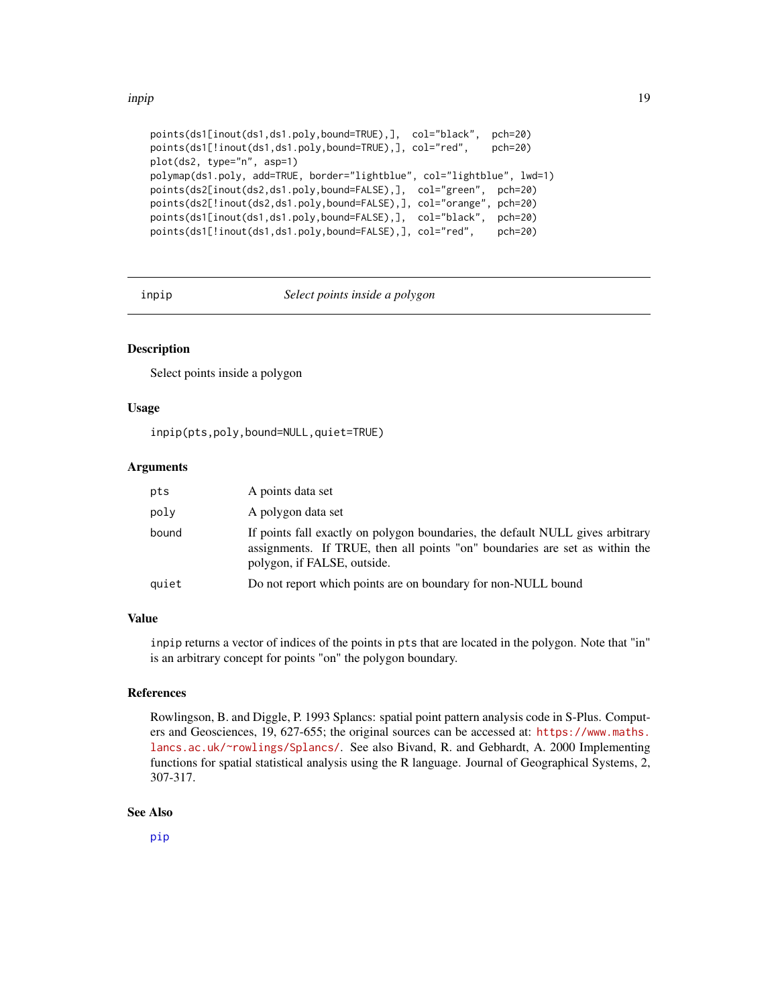#### <span id="page-18-0"></span>inpip 19

```
points(ds1[inout(ds1,ds1.poly,bound=TRUE),], col="black", pch=20)
points(ds1[!inout(ds1,ds1.poly,bound=TRUE),], col="red", pch=20)
plot(ds2, type="n", asp=1)
polymap(ds1.poly, add=TRUE, border="lightblue", col="lightblue", lwd=1)
points(ds2[inout(ds2,ds1.poly,bound=FALSE),], col="green", pch=20)
points(ds2[!inout(ds2,ds1.poly,bound=FALSE),], col="orange", pch=20)
points(ds1[inout(ds1,ds1.poly,bound=FALSE),], col="black", pch=20)
points(ds1[!inout(ds1,ds1.poly,bound=FALSE),], col="red", pch=20)
```
<span id="page-18-1"></span>

inpip *Select points inside a polygon*

## **Description**

Select points inside a polygon

#### Usage

inpip(pts,poly,bound=NULL,quiet=TRUE)

## Arguments

| pts   | A points data set                                                                                                                                                                            |
|-------|----------------------------------------------------------------------------------------------------------------------------------------------------------------------------------------------|
| poly  | A polygon data set                                                                                                                                                                           |
| bound | If points fall exactly on polygon boundaries, the default NULL gives arbitrary<br>assignments. If TRUE, then all points "on" boundaries are set as within the<br>polygon, if FALSE, outside. |
| quiet | Do not report which points are on boundary for non-NULL bound                                                                                                                                |

#### Value

inpip returns a vector of indices of the points in pts that are located in the polygon. Note that "in" is an arbitrary concept for points "on" the polygon boundary.

#### References

Rowlingson, B. and Diggle, P. 1993 Splancs: spatial point pattern analysis code in S-Plus. Computers and Geosciences, 19, 627-655; the original sources can be accessed at: [https://www.maths.](https://www.maths.lancs.ac.uk/~rowlings/Splancs/) [lancs.ac.uk/~rowlings/Splancs/](https://www.maths.lancs.ac.uk/~rowlings/Splancs/). See also Bivand, R. and Gebhardt, A. 2000 Implementing functions for spatial statistical analysis using the R language. Journal of Geographical Systems, 2, 307-317.

## See Also

[pip](#page-45-1)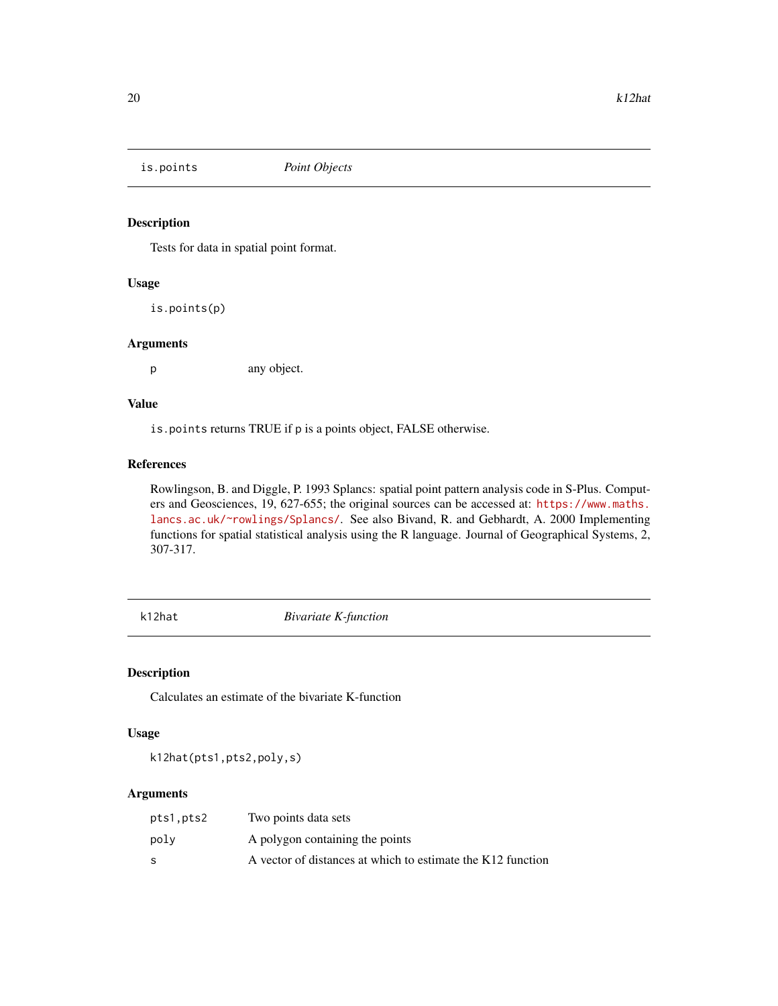<span id="page-19-0"></span>

Tests for data in spatial point format.

## Usage

is.points(p)

## Arguments

p any object.

## Value

is.points returns TRUE if p is a points object, FALSE otherwise.

## References

Rowlingson, B. and Diggle, P. 1993 Splancs: spatial point pattern analysis code in S-Plus. Computers and Geosciences, 19, 627-655; the original sources can be accessed at: [https://www.maths.](https://www.maths.lancs.ac.uk/~rowlings/Splancs/) [lancs.ac.uk/~rowlings/Splancs/](https://www.maths.lancs.ac.uk/~rowlings/Splancs/). See also Bivand, R. and Gebhardt, A. 2000 Implementing functions for spatial statistical analysis using the R language. Journal of Geographical Systems, 2, 307-317.

<span id="page-19-1"></span>k12hat *Bivariate K-function*

## Description

Calculates an estimate of the bivariate K-function

## Usage

k12hat(pts1,pts2,poly,s)

| pts1,pts2 | Two points data sets                                        |
|-----------|-------------------------------------------------------------|
| polv      | A polygon containing the points                             |
| S         | A vector of distances at which to estimate the K12 function |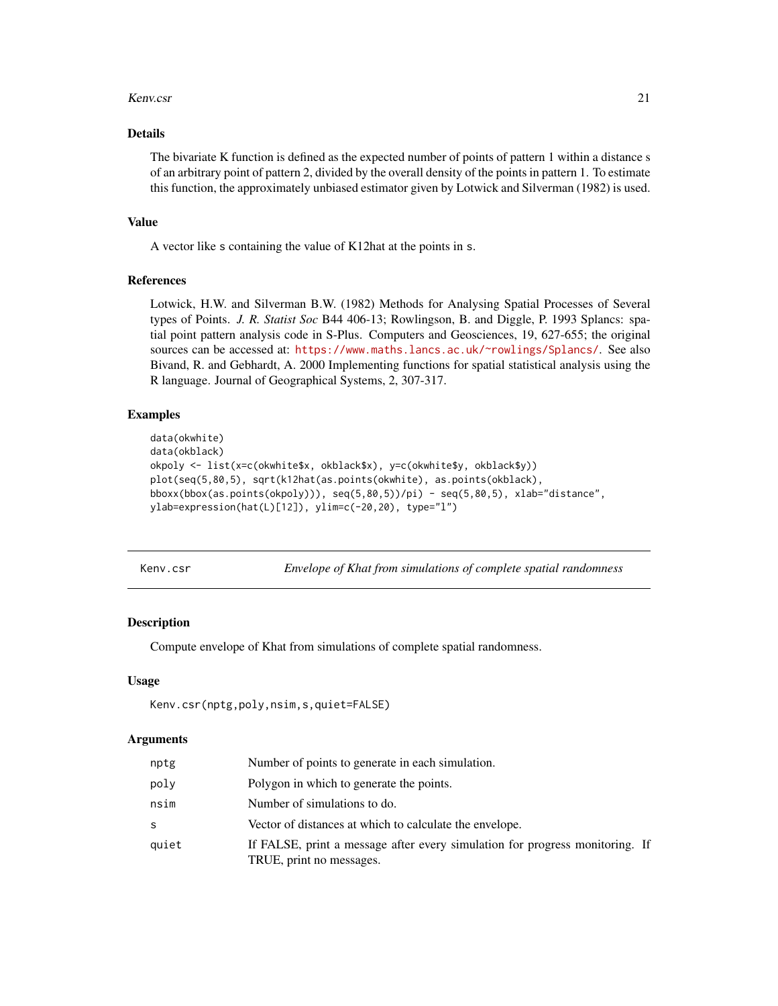#### <span id="page-20-0"></span>Kenv.csr 21

## Details

The bivariate K function is defined as the expected number of points of pattern 1 within a distance s of an arbitrary point of pattern 2, divided by the overall density of the points in pattern 1. To estimate this function, the approximately unbiased estimator given by Lotwick and Silverman (1982) is used.

#### Value

A vector like s containing the value of K12hat at the points in s.

## References

Lotwick, H.W. and Silverman B.W. (1982) Methods for Analysing Spatial Processes of Several types of Points. *J. R. Statist Soc* B44 406-13; Rowlingson, B. and Diggle, P. 1993 Splancs: spatial point pattern analysis code in S-Plus. Computers and Geosciences, 19, 627-655; the original sources can be accessed at: <https://www.maths.lancs.ac.uk/~rowlings/Splancs/>. See also Bivand, R. and Gebhardt, A. 2000 Implementing functions for spatial statistical analysis using the R language. Journal of Geographical Systems, 2, 307-317.

## Examples

```
data(okwhite)
data(okblack)
okpoly <- list(x=c(okwhite$x, okblack$x), y=c(okwhite$y, okblack$y))
plot(seq(5,80,5), sqrt(k12hat(as.points(okwhite), as.points(okblack),
bboxx(bbox(as.points(okpoly))), seq(5,80,5))/pi) - seq(5,80,5), xlab="distance",
ylab=expression(hat(L)[12]), ylim=c(-20,20), type="l")
```
<span id="page-20-1"></span>

Kenv.csr *Envelope of Khat from simulations of complete spatial randomness*

## **Description**

Compute envelope of Khat from simulations of complete spatial randomness.

#### Usage

```
Kenv.csr(nptg,poly,nsim,s,quiet=FALSE)
```

| nptg  | Number of points to generate in each simulation.                                                         |
|-------|----------------------------------------------------------------------------------------------------------|
| poly  | Polygon in which to generate the points.                                                                 |
| nsim  | Number of simulations to do.                                                                             |
| S     | Vector of distances at which to calculate the envelope.                                                  |
| quiet | If FALSE, print a message after every simulation for progress monitoring. If<br>TRUE, print no messages. |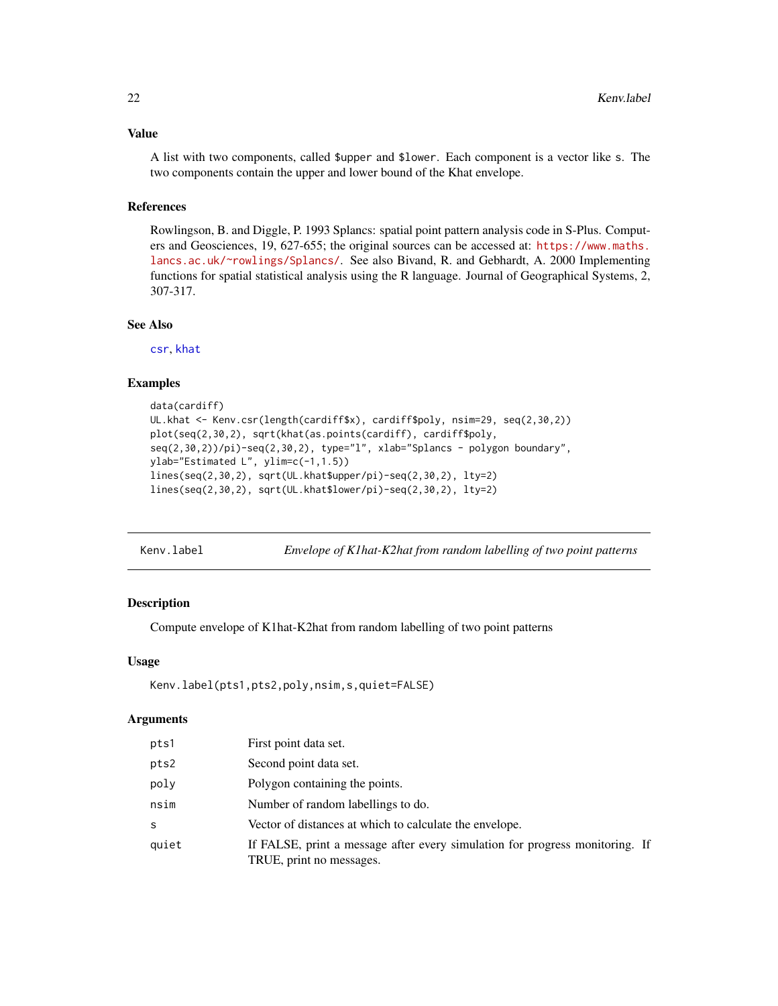## <span id="page-21-0"></span>Value

A list with two components, called \$upper and \$lower. Each component is a vector like s. The two components contain the upper and lower bound of the Khat envelope.

## References

Rowlingson, B. and Diggle, P. 1993 Splancs: spatial point pattern analysis code in S-Plus. Computers and Geosciences, 19, 627-655; the original sources can be accessed at: [https://www.maths.](https://www.maths.lancs.ac.uk/~rowlings/Splancs/) [lancs.ac.uk/~rowlings/Splancs/](https://www.maths.lancs.ac.uk/~rowlings/Splancs/). See also Bivand, R. and Gebhardt, A. 2000 Implementing functions for spatial statistical analysis using the R language. Journal of Geographical Systems, 2, 307-317.

## See Also

[csr](#page-8-1), [khat](#page-31-1)

#### Examples

```
data(cardiff)
UL.khat <- Kenv.csr(length(cardiff$x), cardiff$poly, nsim=29, seq(2,30,2))
plot(seq(2,30,2), sqrt(khat(as.points(cardiff), cardiff$poly,
seq(2,30,2)/pi)-seq(2,30,2), type="l", xlab="Splancs - polygon boundary",
ylab="Estimated L", ylim=c(-1,1.5))
lines(seq(2,30,2), sqrt(UL.khat$upper/pi)-seq(2,30,2), lty=2)
lines(seq(2,30,2), sqrt(UL.khat$lower/pi)-seq(2,30,2), lty=2)
```

| Envelope of K1hat-K2hat from random labelling of two point patterns<br>Kenv.label |
|-----------------------------------------------------------------------------------|
|-----------------------------------------------------------------------------------|

#### Description

Compute envelope of K1hat-K2hat from random labelling of two point patterns

#### Usage

```
Kenv.label(pts1,pts2,poly,nsim,s,quiet=FALSE)
```

| pts1  | First point data set.                                                                                    |
|-------|----------------------------------------------------------------------------------------------------------|
| pts2  | Second point data set.                                                                                   |
| poly  | Polygon containing the points.                                                                           |
| nsim  | Number of random labellings to do.                                                                       |
| S     | Vector of distances at which to calculate the envelope.                                                  |
| quiet | If FALSE, print a message after every simulation for progress monitoring. If<br>TRUE, print no messages. |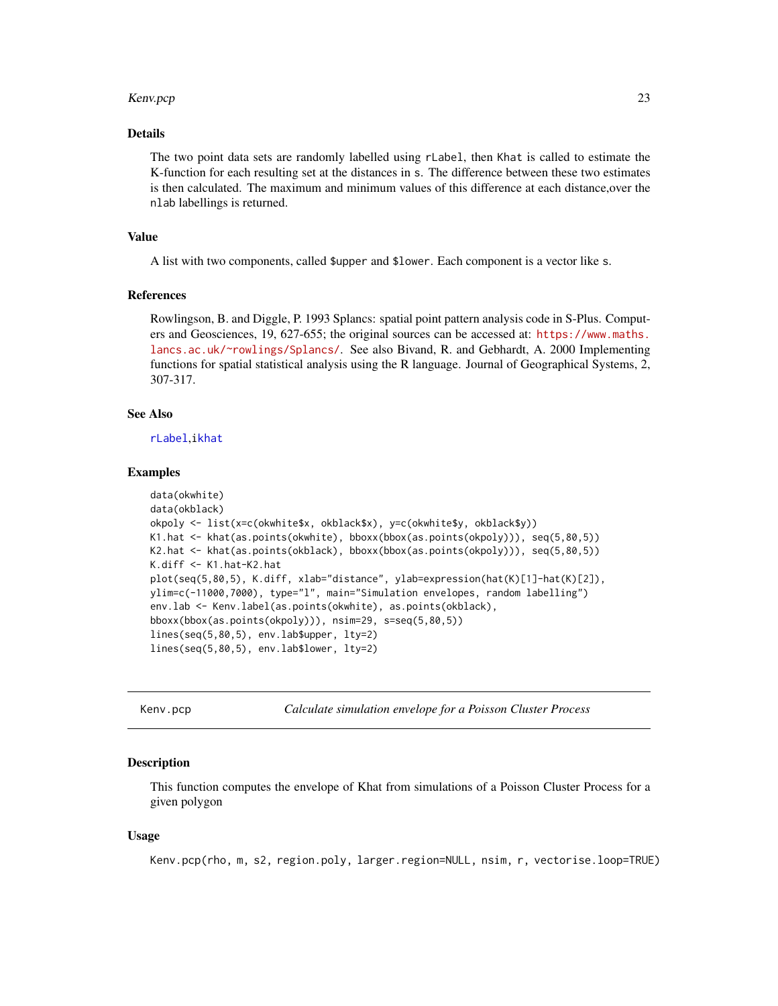#### <span id="page-22-0"></span>Kenv.pcp 23

#### Details

The two point data sets are randomly labelled using rLabel, then Khat is called to estimate the K-function for each resulting set at the distances in s. The difference between these two estimates is then calculated. The maximum and minimum values of this difference at each distance,over the nlab labellings is returned.

#### Value

A list with two components, called \$upper and \$lower. Each component is a vector like s.

#### References

Rowlingson, B. and Diggle, P. 1993 Splancs: spatial point pattern analysis code in S-Plus. Computers and Geosciences, 19, 627-655; the original sources can be accessed at: [https://www.maths.](https://www.maths.lancs.ac.uk/~rowlings/Splancs/) [lancs.ac.uk/~rowlings/Splancs/](https://www.maths.lancs.ac.uk/~rowlings/Splancs/). See also Bivand, R. and Gebhardt, A. 2000 Implementing functions for spatial statistical analysis using the R language. Journal of Geographical Systems, 2, 307-317.

## See Also

[rLabel](#page-50-1),[ikhat](#page-31-1)

#### Examples

```
data(okwhite)
data(okblack)
okpoly <- list(x=c(okwhite$x, okblack$x), y=c(okwhite$y, okblack$y))
K1.hat <- khat(as.points(okwhite), bboxx(bbox(as.points(okpoly))), seq(5,80,5))
K2.hat <- khat(as.points(okblack), bboxx(bbox(as.points(okpoly))), seq(5,80,5))
K.diff <- K1.hat-K2.hat
plot(seq(5,80,5), K.diff, xlab="distance", ylab=expression(hat(K)[1]-hat(K)[2]),
ylim=c(-11000,7000), type="l", main="Simulation envelopes, random labelling")
env.lab <- Kenv.label(as.points(okwhite), as.points(okblack),
bboxx(bbox(as.points(okpoly))), nsim=29, s=seq(5,80,5))
lines(seq(5,80,5), env.lab$upper, lty=2)
lines(seq(5,80,5), env.lab$lower, lty=2)
```
<span id="page-22-1"></span>Kenv.pcp *Calculate simulation envelope for a Poisson Cluster Process*

#### **Description**

This function computes the envelope of Khat from simulations of a Poisson Cluster Process for a given polygon

## Usage

Kenv.pcp(rho, m, s2, region.poly, larger.region=NULL, nsim, r, vectorise.loop=TRUE)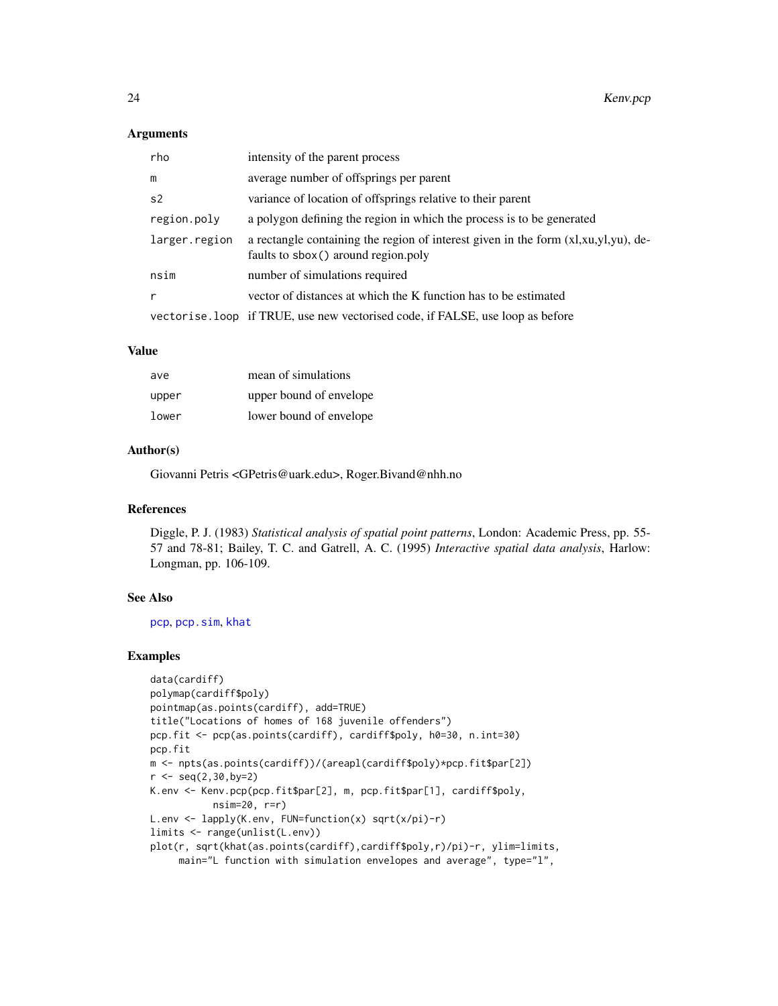#### <span id="page-23-0"></span>**Arguments**

| rho            | intensity of the parent process                                                                                           |
|----------------|---------------------------------------------------------------------------------------------------------------------------|
| m              | average number of offsprings per parent                                                                                   |
| s <sub>2</sub> | variance of location of offsprings relative to their parent                                                               |
| region.poly    | a polygon defining the region in which the process is to be generated                                                     |
| larger.region  | a rectangle containing the region of interest given in the form (xl,xu,yl,yu), de-<br>faults to sbox() around region.poly |
| nsim           | number of simulations required                                                                                            |
| r              | vector of distances at which the K function has to be estimated                                                           |
|                | vectorise. loop if TRUE, use new vectorised code, if FALSE, use loop as before                                            |

#### Value

| ave   | mean of simulations     |
|-------|-------------------------|
| upper | upper bound of envelope |
| lower | lower bound of envelope |

#### Author(s)

Giovanni Petris <GPetris@uark.edu>, Roger.Bivand@nhh.no

## References

Diggle, P. J. (1983) *Statistical analysis of spatial point patterns*, London: Academic Press, pp. 55- 57 and 78-81; Bailey, T. C. and Gatrell, A. C. (1995) *Interactive spatial data analysis*, Harlow: Longman, pp. 106-109.

## See Also

[pcp](#page-41-1), [pcp.sim](#page-43-1), [khat](#page-31-1)

```
data(cardiff)
polymap(cardiff$poly)
pointmap(as.points(cardiff), add=TRUE)
title("Locations of homes of 168 juvenile offenders")
pcp.fit <- pcp(as.points(cardiff), cardiff$poly, h0=30, n.int=30)
pcp.fit
m <- npts(as.points(cardiff))/(areapl(cardiff$poly)*pcp.fit$par[2])
r < - seq(2,30,by=2)
K.env <- Kenv.pcp(pcp.fit$par[2], m, pcp.fit$par[1], cardiff$poly,
           nsim=20, r=r)
L.env <- lapply(K.env, FUN=function(x) sqrt(x/pi)-r)
limits <- range(unlist(L.env))
plot(r, sqrt(khat(as.points(cardiff),cardiff$poly,r)/pi)-r, ylim=limits,
     main="L function with simulation envelopes and average", type="l",
```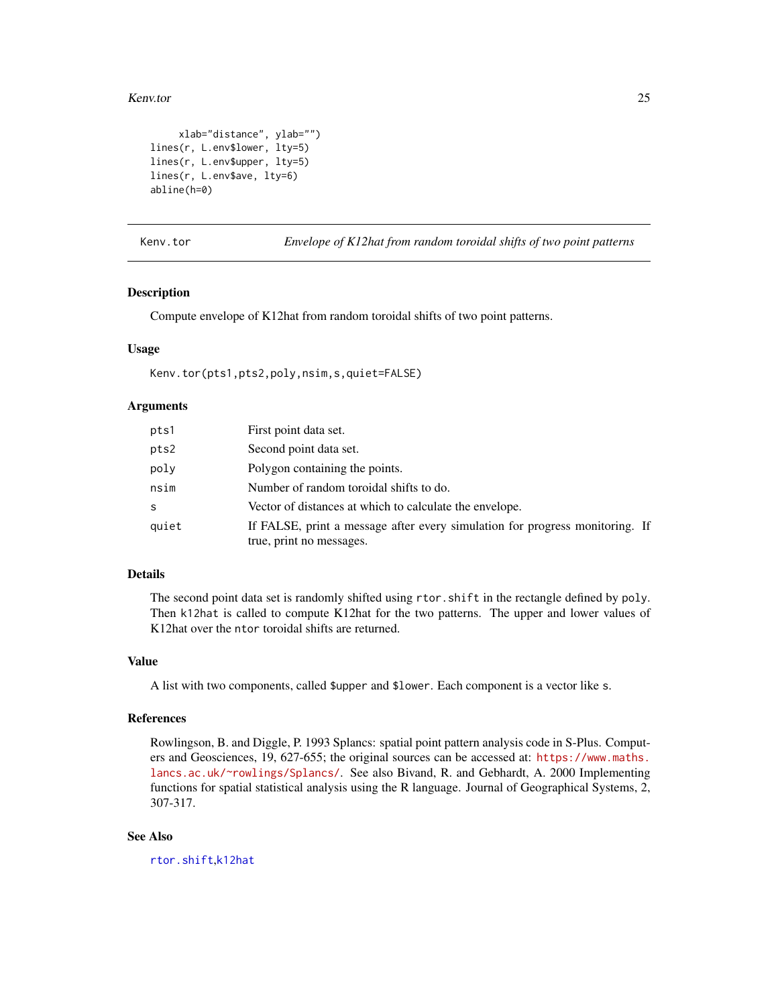#### <span id="page-24-0"></span>Kenv.tor 25

```
xlab="distance", ylab="")
lines(r, L.env$lower, lty=5)
lines(r, L.env$upper, lty=5)
lines(r, L.env$ave, lty=6)
abline(h=0)
```
<span id="page-24-1"></span>Kenv.tor *Envelope of K12hat from random toroidal shifts of two point patterns*

## **Description**

Compute envelope of K12hat from random toroidal shifts of two point patterns.

#### Usage

Kenv.tor(pts1,pts2,poly,nsim,s,quiet=FALSE)

#### Arguments

| pts1  | First point data set.                                                        |
|-------|------------------------------------------------------------------------------|
| pts2  | Second point data set.                                                       |
| poly  | Polygon containing the points.                                               |
| nsim  | Number of random toroidal shifts to do.                                      |
| S     | Vector of distances at which to calculate the envelope.                      |
| quiet | If FALSE, print a message after every simulation for progress monitoring. If |
|       | true, print no messages.                                                     |

## Details

The second point data set is randomly shifted using rtor.shift in the rectangle defined by poly. Then k12hat is called to compute K12hat for the two patterns. The upper and lower values of K12hat over the ntor toroidal shifts are returned.

#### Value

A list with two components, called \$upper and \$lower. Each component is a vector like s.

## References

Rowlingson, B. and Diggle, P. 1993 Splancs: spatial point pattern analysis code in S-Plus. Computers and Geosciences, 19, 627-655; the original sources can be accessed at: [https://www.maths.](https://www.maths.lancs.ac.uk/~rowlings/Splancs/) [lancs.ac.uk/~rowlings/Splancs/](https://www.maths.lancs.ac.uk/~rowlings/Splancs/). See also Bivand, R. and Gebhardt, A. 2000 Implementing functions for spatial statistical analysis using the R language. Journal of Geographical Systems, 2, 307-317.

#### See Also

[rtor.shift](#page-51-1),[k12hat](#page-19-1)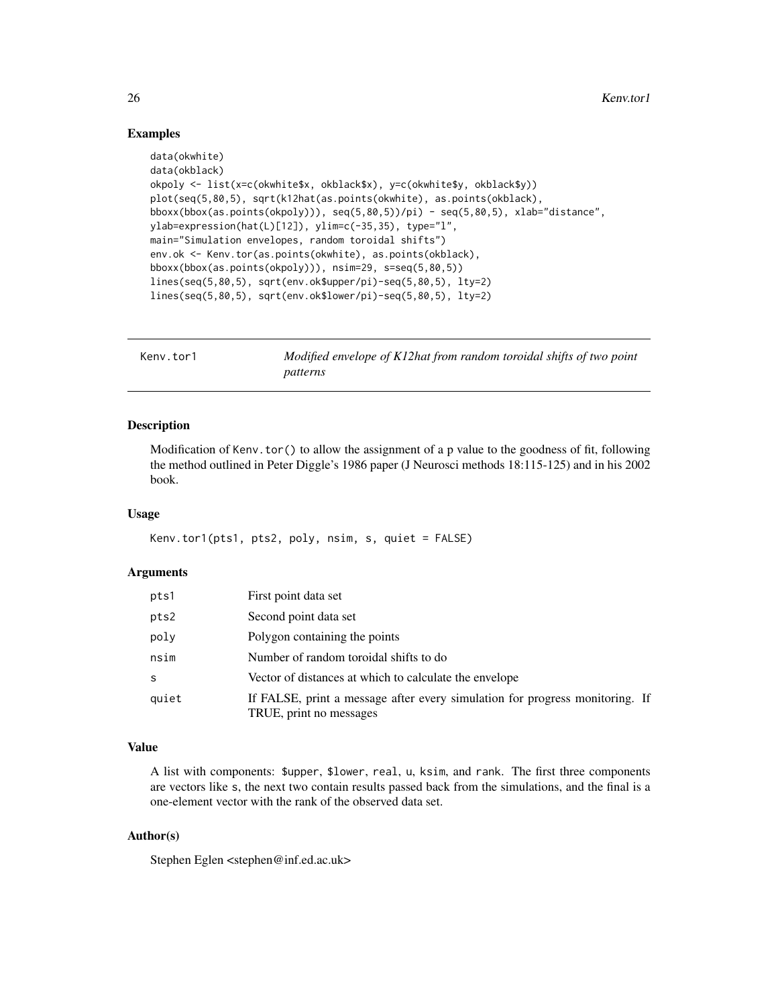## <span id="page-25-0"></span>Examples

```
data(okwhite)
data(okblack)
okpoly <- list(x=c(okwhite$x, okblack$x), y=c(okwhite$y, okblack$y))
plot(seq(5,80,5), sqrt(k12hat(as.points(okwhite), as.points(okblack),
bboxx(bbox(as.points(okpoly))), seq(5,80,5))/pi) - seq(5,80,5), xlab="distance",
ylab=expression(hat(L)[12]), ylim=c(-35,35), type="l",
main="Simulation envelopes, random toroidal shifts")
env.ok <- Kenv.tor(as.points(okwhite), as.points(okblack),
bboxx(bbox(as.points(okpoly))), nsim=29, s=seq(5,80,5))
lines(seq(5,80,5), sqrt(env.ok$upper/pi)-seq(5,80,5), lty=2)
lines(seq(5,80,5), sqrt(env.ok$lower/pi)-seq(5,80,5), lty=2)
```

| Kenv.tor1 | Modified envelope of K12hat from random toroidal shifts of two point |
|-----------|----------------------------------------------------------------------|
|           | patterns                                                             |

#### Description

Modification of Kenv.tor() to allow the assignment of a p value to the goodness of fit, following the method outlined in Peter Diggle's 1986 paper (J Neurosci methods 18:115-125) and in his 2002 book.

#### Usage

```
Kenv.tor1(pts1, pts2, poly, nsim, s, quiet = FALSE)
```
#### Arguments

| pts1  | First point data set                                                                                    |
|-------|---------------------------------------------------------------------------------------------------------|
| pts2  | Second point data set                                                                                   |
| poly  | Polygon containing the points                                                                           |
| nsim  | Number of random toroidal shifts to do                                                                  |
| S     | Vector of distances at which to calculate the envelope                                                  |
| quiet | If FALSE, print a message after every simulation for progress monitoring. If<br>TRUE, print no messages |

#### Value

A list with components: \$upper, \$lower, real, u, ksim, and rank. The first three components are vectors like s, the next two contain results passed back from the simulations, and the final is a one-element vector with the rank of the observed data set.

## Author(s)

Stephen Eglen <stephen@inf.ed.ac.uk>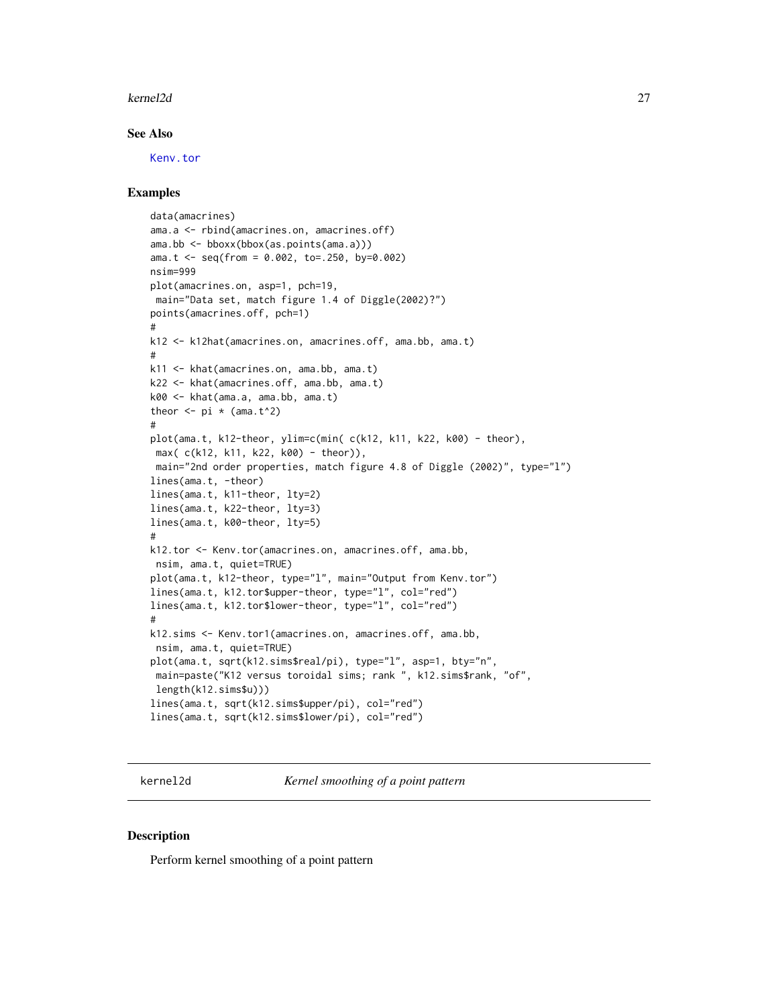#### <span id="page-26-0"></span>kernel2d 27

#### See Also

[Kenv.tor](#page-24-1)

#### Examples

```
data(amacrines)
ama.a <- rbind(amacrines.on, amacrines.off)
ama.bb <- bboxx(bbox(as.points(ama.a)))
ama.t <- seq(from = 0.002, to=.250, by=0.002)
nsim=999
plot(amacrines.on, asp=1, pch=19,
main="Data set, match figure 1.4 of Diggle(2002)?")
points(amacrines.off, pch=1)
#
k12 <- k12hat(amacrines.on, amacrines.off, ama.bb, ama.t)
#
k11 <- khat(amacrines.on, ama.bb, ama.t)
k22 <- khat(amacrines.off, ama.bb, ama.t)
k00 <- khat(ama.a, ama.bb, ama.t)
theor \leq -pi * (ama.t^2)
#
plot(ama.t, k12-theor, ylim=c(min( c(k12, k11, k22, k00) - theor),
max( c(k12, k11, k22, k00) - theor)),
main="2nd order properties, match figure 4.8 of Diggle (2002)", type="l")
lines(ama.t, -theor)
lines(ama.t, k11-theor, lty=2)
lines(ama.t, k22-theor, lty=3)
lines(ama.t, k00-theor, lty=5)
#
k12.tor <- Kenv.tor(amacrines.on, amacrines.off, ama.bb,
nsim, ama.t, quiet=TRUE)
plot(ama.t, k12-theor, type="l", main="Output from Kenv.tor")
lines(ama.t, k12.tor$upper-theor, type="l", col="red")
lines(ama.t, k12.tor$lower-theor, type="l", col="red")
#
k12.sims <- Kenv.tor1(amacrines.on, amacrines.off, ama.bb,
nsim, ama.t, quiet=TRUE)
plot(ama.t, sqrt(k12.sims$real/pi), type="l", asp=1, bty="n",
 main=paste("K12 versus toroidal sims; rank ", k12.sims$rank, "of",
 length(k12.sims$u)))
lines(ama.t, sqrt(k12.sims$upper/pi), col="red")
lines(ama.t, sqrt(k12.sims$lower/pi), col="red")
```
<span id="page-26-1"></span>kernel2d *Kernel smoothing of a point pattern*

#### Description

Perform kernel smoothing of a point pattern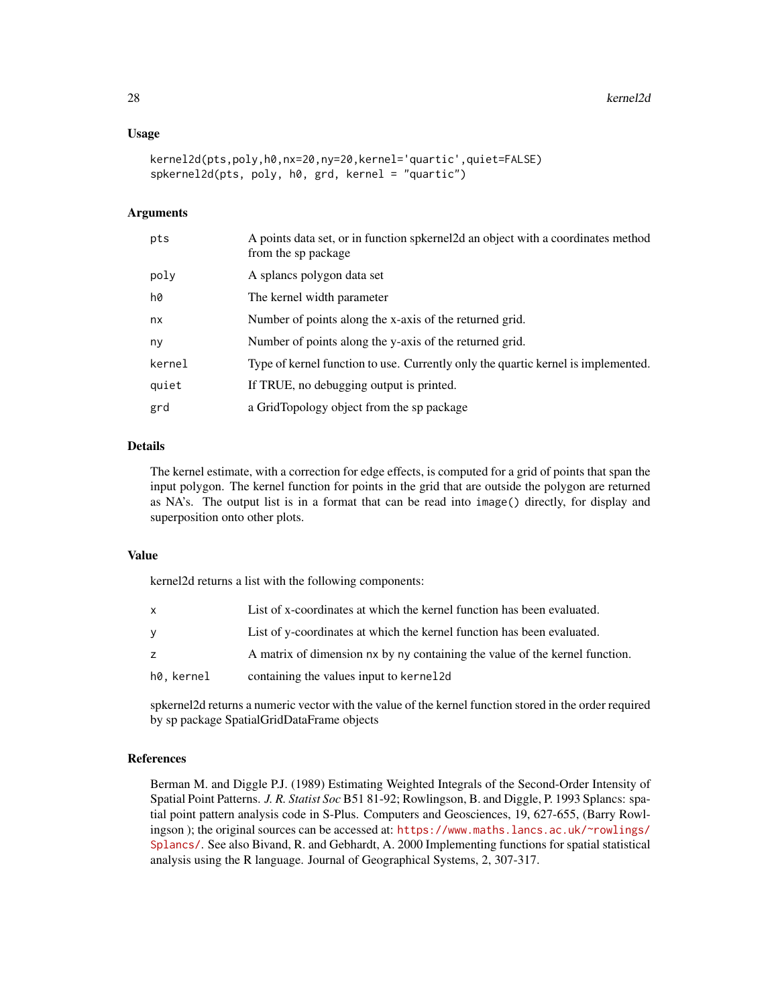#### Usage

```
kernel2d(pts,poly,h0,nx=20,ny=20,kernel='quartic',quiet=FALSE)
spkernel2d(pts, poly, h0, grd, kernel = "quartic")
```
## Arguments

| pts    | A points data set, or in function spkernel 2d an object with a coordinates method<br>from the sp package |
|--------|----------------------------------------------------------------------------------------------------------|
| poly   | A splancs polygon data set                                                                               |
| hØ     | The kernel width parameter                                                                               |
| nx     | Number of points along the x-axis of the returned grid.                                                  |
| ny     | Number of points along the y-axis of the returned grid.                                                  |
| kernel | Type of kernel function to use. Currently only the quartic kernel is implemented.                        |
| quiet  | If TRUE, no debugging output is printed.                                                                 |
| grd    | a GridTopology object from the sp package                                                                |

## Details

The kernel estimate, with a correction for edge effects, is computed for a grid of points that span the input polygon. The kernel function for points in the grid that are outside the polygon are returned as NA's. The output list is in a format that can be read into image() directly, for display and superposition onto other plots.

#### Value

kernel2d returns a list with the following components:

| x          | List of x-coordinates at which the kernel function has been evaluated.      |
|------------|-----------------------------------------------------------------------------|
| ۷          | List of y-coordinates at which the kernel function has been evaluated.      |
| z          | A matrix of dimension nx by ny containing the value of the kernel function. |
| h0. kernel | containing the values input to kernel 2d                                    |

spkernel2d returns a numeric vector with the value of the kernel function stored in the order required by sp package SpatialGridDataFrame objects

## References

Berman M. and Diggle P.J. (1989) Estimating Weighted Integrals of the Second-Order Intensity of Spatial Point Patterns. *J. R. Statist Soc* B51 81-92; Rowlingson, B. and Diggle, P. 1993 Splancs: spatial point pattern analysis code in S-Plus. Computers and Geosciences, 19, 627-655, (Barry Rowlingson ); the original sources can be accessed at: [https://www.maths.lancs.ac.uk/~rowlings/](https://www.maths.lancs.ac.uk/~rowlings/Splancs/) [Splancs/](https://www.maths.lancs.ac.uk/~rowlings/Splancs/). See also Bivand, R. and Gebhardt, A. 2000 Implementing functions for spatial statistical analysis using the R language. Journal of Geographical Systems, 2, 307-317.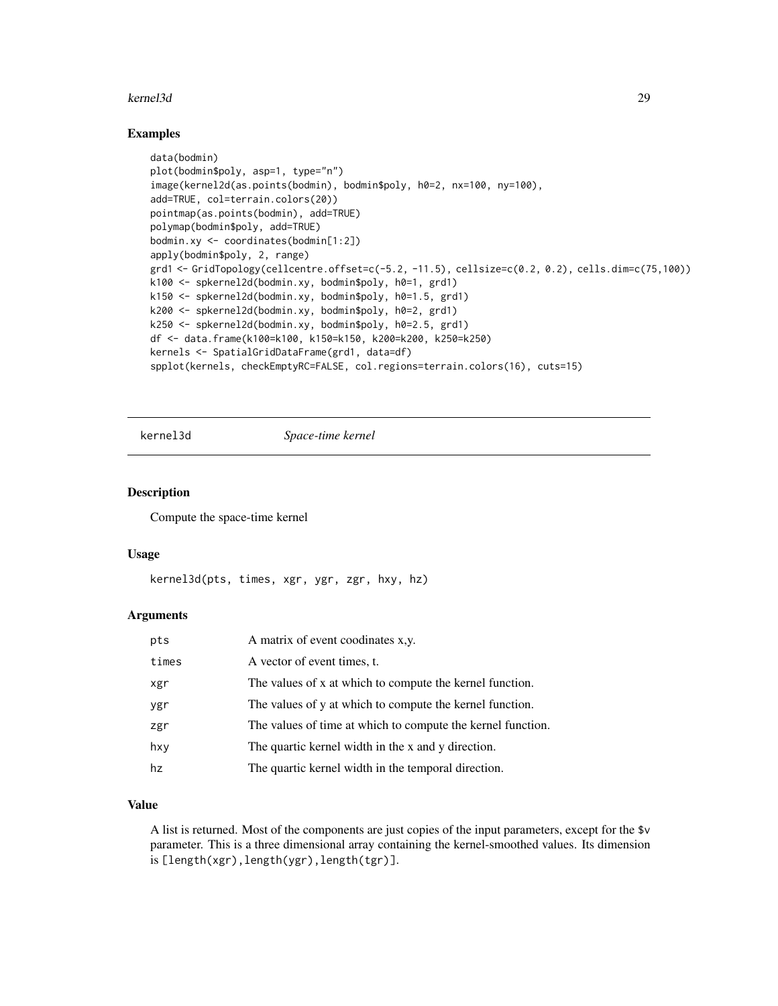#### <span id="page-28-0"></span>kernel3d 29

## Examples

```
data(bodmin)
plot(bodmin$poly, asp=1, type="n")
image(kernel2d(as.points(bodmin), bodmin$poly, h0=2, nx=100, ny=100),
add=TRUE, col=terrain.colors(20))
pointmap(as.points(bodmin), add=TRUE)
polymap(bodmin$poly, add=TRUE)
bodmin.xy <- coordinates(bodmin[1:2])
apply(bodmin$poly, 2, range)
grd1 <- GridTopology(cellcentre.offset=c(-5.2, -11.5), cellsize=c(0.2, 0.2), cells.dim=c(75,100))
k100 <- spkernel2d(bodmin.xy, bodmin$poly, h0=1, grd1)
k150 <- spkernel2d(bodmin.xy, bodmin$poly, h0=1.5, grd1)
k200 <- spkernel2d(bodmin.xy, bodmin$poly, h0=2, grd1)
k250 <- spkernel2d(bodmin.xy, bodmin$poly, h0=2.5, grd1)
df <- data.frame(k100=k100, k150=k150, k200=k200, k250=k250)
kernels <- SpatialGridDataFrame(grd1, data=df)
spplot(kernels, checkEmptyRC=FALSE, col.regions=terrain.colors(16), cuts=15)
```
<span id="page-28-1"></span>

kernel3d *Space-time kernel*

#### Description

Compute the space-time kernel

#### Usage

```
kernel3d(pts, times, xgr, ygr, zgr, hxy, hz)
```
#### **Arguments**

| pts   | A matrix of event coodinates x,y.                           |
|-------|-------------------------------------------------------------|
| times | A vector of event times, t.                                 |
| xgr   | The values of x at which to compute the kernel function.    |
| ygr   | The values of y at which to compute the kernel function.    |
| zgr   | The values of time at which to compute the kernel function. |
| hxy   | The quartic kernel width in the x and y direction.          |
| hz    | The quartic kernel width in the temporal direction.         |

#### Value

A list is returned. Most of the components are just copies of the input parameters, except for the \$v parameter. This is a three dimensional array containing the kernel-smoothed values. Its dimension is [length(xgr),length(ygr),length(tgr)].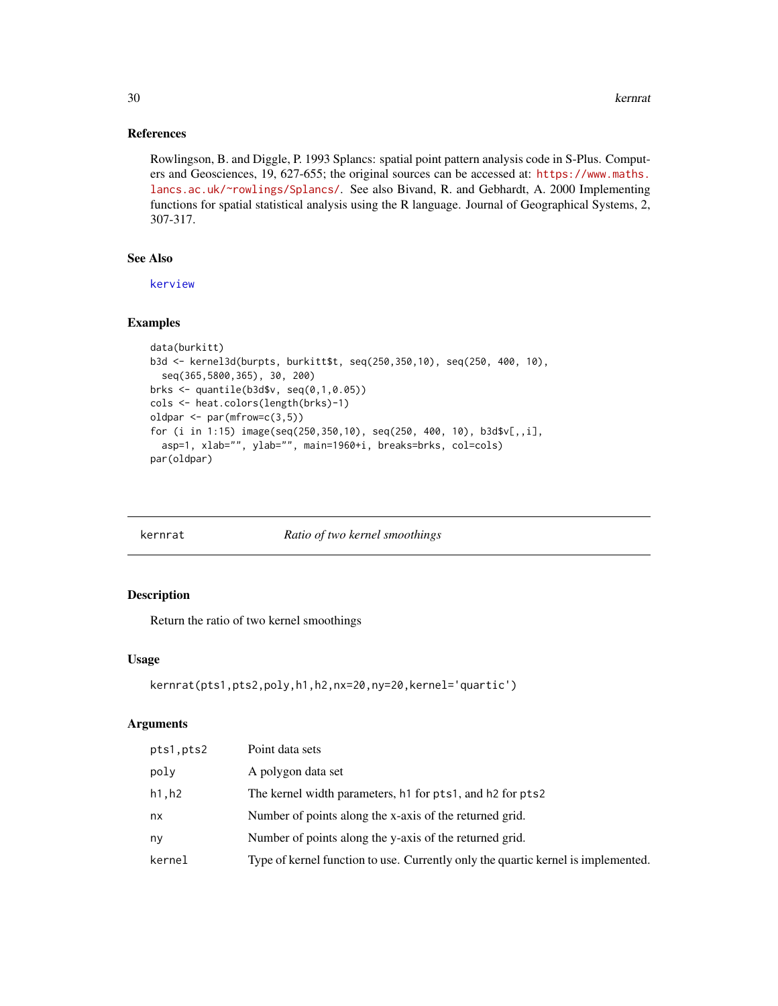## References

Rowlingson, B. and Diggle, P. 1993 Splancs: spatial point pattern analysis code in S-Plus. Computers and Geosciences, 19, 627-655; the original sources can be accessed at: [https://www.maths.](https://www.maths.lancs.ac.uk/~rowlings/Splancs/) [lancs.ac.uk/~rowlings/Splancs/](https://www.maths.lancs.ac.uk/~rowlings/Splancs/). See also Bivand, R. and Gebhardt, A. 2000 Implementing functions for spatial statistical analysis using the R language. Journal of Geographical Systems, 2, 307-317.

## See Also

[kerview](#page-30-1)

## Examples

```
data(burkitt)
b3d <- kernel3d(burpts, burkitt$t, seq(250,350,10), seq(250, 400, 10),
  seq(365,5800,365), 30, 200)
brks <- quantile(b3d$v, seq(0,1,0.05))
cols <- heat.colors(length(brks)-1)
oldpar <- par(mfrow=c(3,5))
for (i in 1:15) image(seq(250,350,10), seq(250, 400, 10), b3d$v[,,i],
  asp=1, xlab="", ylab="", main=1960+i, breaks=brks, col=cols)
par(oldpar)
```
kernrat *Ratio of two kernel smoothings*

## Description

Return the ratio of two kernel smoothings

#### Usage

```
kernrat(pts1,pts2,poly,h1,h2,nx=20,ny=20,kernel='quartic')
```

| pts1, pts2 | Point data sets                                                                                            |
|------------|------------------------------------------------------------------------------------------------------------|
| poly       | A polygon data set                                                                                         |
| h1,h2      | The kernel width parameters, h <sub>1</sub> for pts <sub>1</sub> , and h <sub>2</sub> for pts <sub>2</sub> |
| nx         | Number of points along the x-axis of the returned grid.                                                    |
| ny         | Number of points along the y-axis of the returned grid.                                                    |
| kernel     | Type of kernel function to use. Currently only the quartic kernel is implemented.                          |
|            |                                                                                                            |

<span id="page-29-0"></span>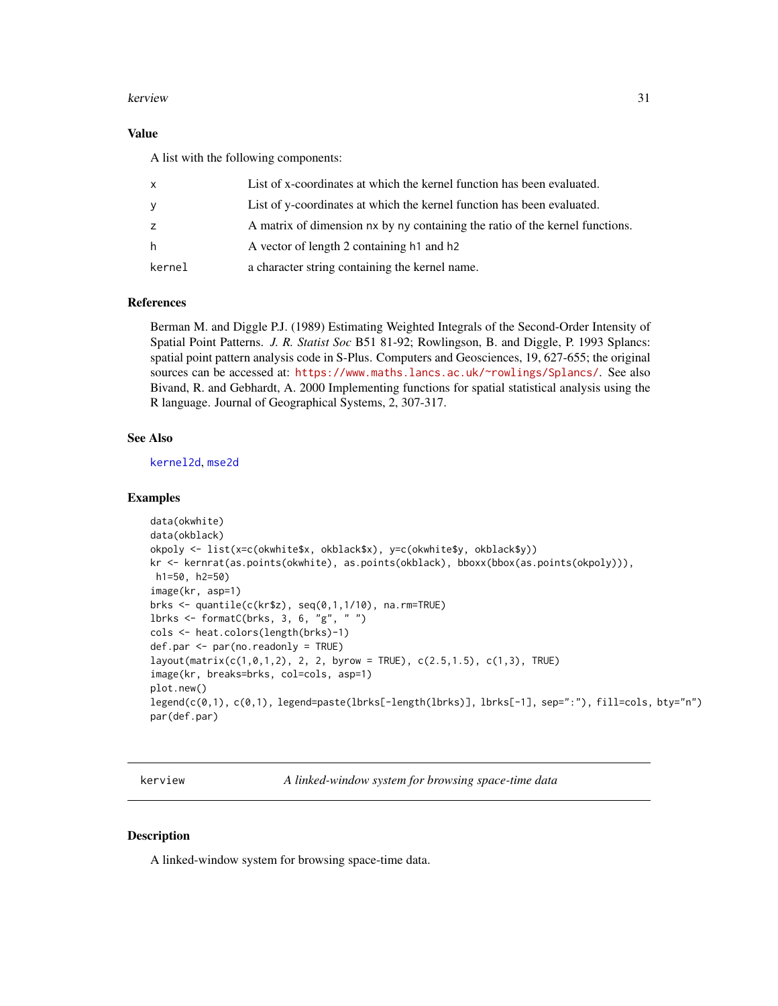#### <span id="page-30-0"></span>kerview 31

## Value

A list with the following components:

| x      | List of x-coordinates at which the kernel function has been evaluated.       |
|--------|------------------------------------------------------------------------------|
| У      | List of y-coordinates at which the kernel function has been evaluated.       |
| z      | A matrix of dimension nx by ny containing the ratio of the kernel functions. |
| h.     | A vector of length 2 containing h <sub>1</sub> and h <sub>2</sub>            |
| kernel | a character string containing the kernel name.                               |

## References

Berman M. and Diggle P.J. (1989) Estimating Weighted Integrals of the Second-Order Intensity of Spatial Point Patterns. *J. R. Statist Soc* B51 81-92; Rowlingson, B. and Diggle, P. 1993 Splancs: spatial point pattern analysis code in S-Plus. Computers and Geosciences, 19, 627-655; the original sources can be accessed at: <https://www.maths.lancs.ac.uk/~rowlings/Splancs/>. See also Bivand, R. and Gebhardt, A. 2000 Implementing functions for spatial statistical analysis using the R language. Journal of Geographical Systems, 2, 307-317.

## See Also

[kernel2d](#page-26-1), [mse2d](#page-36-1)

#### Examples

```
data(okwhite)
data(okblack)
okpoly <- list(x=c(okwhite$x, okblack$x), y=c(okwhite$y, okblack$y))
kr <- kernrat(as.points(okwhite), as.points(okblack), bboxx(bbox(as.points(okpoly))),
h1=50, h2=50)
image(kr, asp=1)
brks <- quantile(c(kr$z), seq(0,1,1/10), na.rm=TRUE)
lbrks <- formatC(brks, 3, 6, "g", " ")
cols <- heat.colors(length(brks)-1)
def.par <- par(no.readonly = TRUE)
layout(matrix(c(1,0,1,2), 2, 2, byrow = TRUE), c(2.5,1.5), c(1,3), TRUE)
image(kr, breaks=brks, col=cols, asp=1)
plot.new()
legend(c(0,1), c(0,1), legend=paste(lbrks[-length(lbrks)], lbrks[-1], sep=":"), fill=cols, bty="n")
par(def.par)
```
<span id="page-30-1"></span>kerview *A linked-window system for browsing space-time data*

#### Description

A linked-window system for browsing space-time data.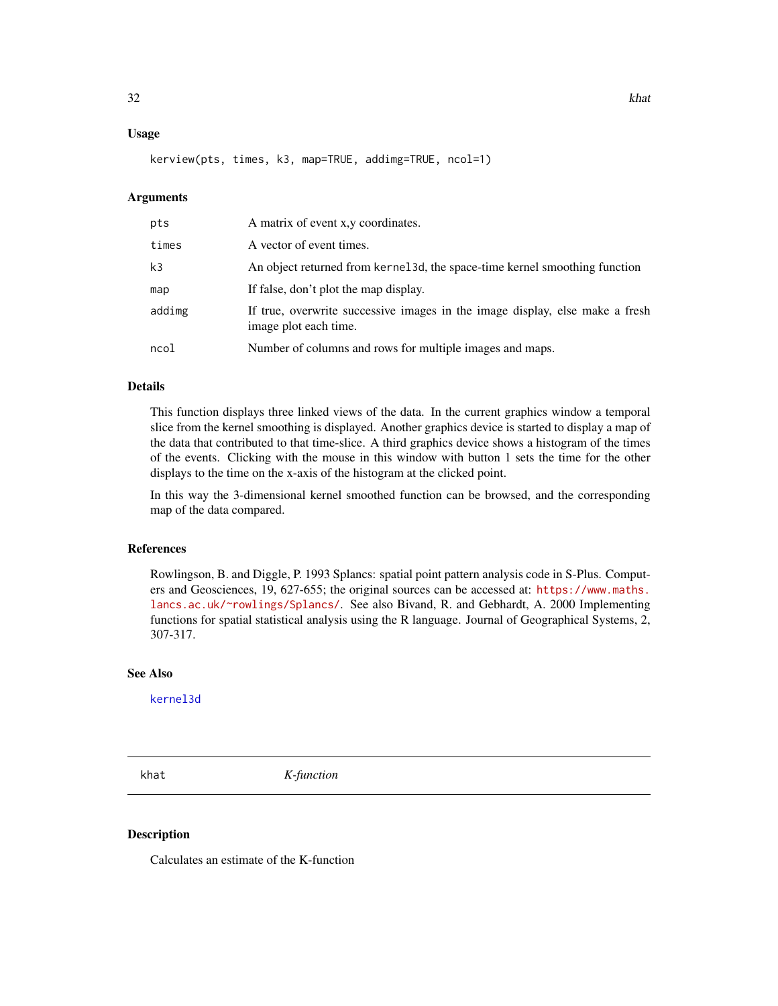#### <span id="page-31-0"></span>Usage

kerview(pts, times, k3, map=TRUE, addimg=TRUE, ncol=1)

#### Arguments

| pts            | A matrix of event x, y coordinates.                                                                   |
|----------------|-------------------------------------------------------------------------------------------------------|
| times          | A vector of event times.                                                                              |
| k <sub>3</sub> | An object returned from kernel 3d, the space-time kernel smoothing function                           |
| map            | If false, don't plot the map display.                                                                 |
| addimg         | If true, overwrite successive images in the image display, else make a fresh<br>image plot each time. |
| ncol           | Number of columns and rows for multiple images and maps.                                              |

#### Details

This function displays three linked views of the data. In the current graphics window a temporal slice from the kernel smoothing is displayed. Another graphics device is started to display a map of the data that contributed to that time-slice. A third graphics device shows a histogram of the times of the events. Clicking with the mouse in this window with button 1 sets the time for the other displays to the time on the x-axis of the histogram at the clicked point.

In this way the 3-dimensional kernel smoothed function can be browsed, and the corresponding map of the data compared.

#### References

Rowlingson, B. and Diggle, P. 1993 Splancs: spatial point pattern analysis code in S-Plus. Computers and Geosciences, 19, 627-655; the original sources can be accessed at: [https://www.maths.](https://www.maths.lancs.ac.uk/~rowlings/Splancs/) [lancs.ac.uk/~rowlings/Splancs/](https://www.maths.lancs.ac.uk/~rowlings/Splancs/). See also Bivand, R. and Gebhardt, A. 2000 Implementing functions for spatial statistical analysis using the R language. Journal of Geographical Systems, 2, 307-317.

#### See Also

[kernel3d](#page-28-1)

<span id="page-31-1"></span>khat *K-function*

#### Description

Calculates an estimate of the K-function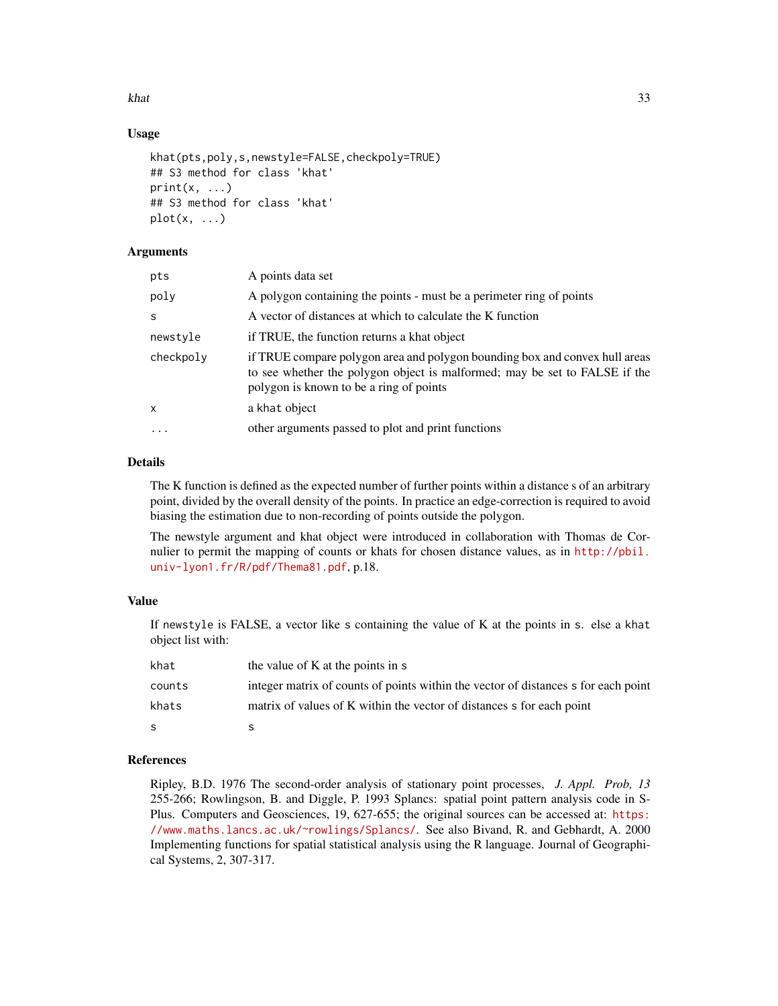khat 33

## Usage

```
khat(pts,poly,s,newstyle=FALSE,checkpoly=TRUE)
## S3 method for class 'khat'
print(x, \ldots)## S3 method for class 'khat'
plot(x, \ldots)
```
## Arguments

| pts       | A points data set                                                                                                                                                                                    |
|-----------|------------------------------------------------------------------------------------------------------------------------------------------------------------------------------------------------------|
| poly      | A polygon containing the points - must be a perimeter ring of points                                                                                                                                 |
| S         | A vector of distances at which to calculate the K function                                                                                                                                           |
| newstyle  | if TRUE, the function returns a khat object                                                                                                                                                          |
| checkpoly | if TRUE compare polygon area and polygon bounding box and convex hull areas<br>to see whether the polygon object is malformed; may be set to FALSE if the<br>polygon is known to be a ring of points |
| X         | a khat object                                                                                                                                                                                        |
| $\ddotsc$ | other arguments passed to plot and print functions                                                                                                                                                   |
|           |                                                                                                                                                                                                      |

## Details

The K function is defined as the expected number of further points within a distance s of an arbitrary point, divided by the overall density of the points. In practice an edge-correction is required to avoid biasing the estimation due to non-recording of points outside the polygon.

The newstyle argument and khat object were introduced in collaboration with Thomas de Cornulier to permit the mapping of counts or khats for chosen distance values, as in [http://pbil.](http://pbil.univ-lyon1.fr/R/pdf/Thema81.pdf) [univ-lyon1.fr/R/pdf/Thema81.pdf](http://pbil.univ-lyon1.fr/R/pdf/Thema81.pdf), p.18.

## Value

If newstyle is FALSE, a vector like s containing the value of K at the points in s. else a khat object list with:

| khat         | the value of K at the points in s                                                  |
|--------------|------------------------------------------------------------------------------------|
| counts       | integer matrix of counts of points within the vector of distances s for each point |
| khats        | matrix of values of K within the vector of distances s for each point              |
| <sub>S</sub> |                                                                                    |

## References

Ripley, B.D. 1976 The second-order analysis of stationary point processes, *J. Appl. Prob, 13* 255-266; Rowlingson, B. and Diggle, P. 1993 Splancs: spatial point pattern analysis code in SPlus. Computers and Geosciences, 19, 627-655; the original sources can be accessed at: [https:](https://www.maths.lancs.ac.uk/~rowlings/Splancs/) [//www.maths.lancs.ac.uk/~rowlings/Splancs/](https://www.maths.lancs.ac.uk/~rowlings/Splancs/). See also Bivand, R. and Gebhardt, A. 2000 Implementing functions for spatial statistical analysis using the R language. Journal of Geographical Systems, 2, 307-317.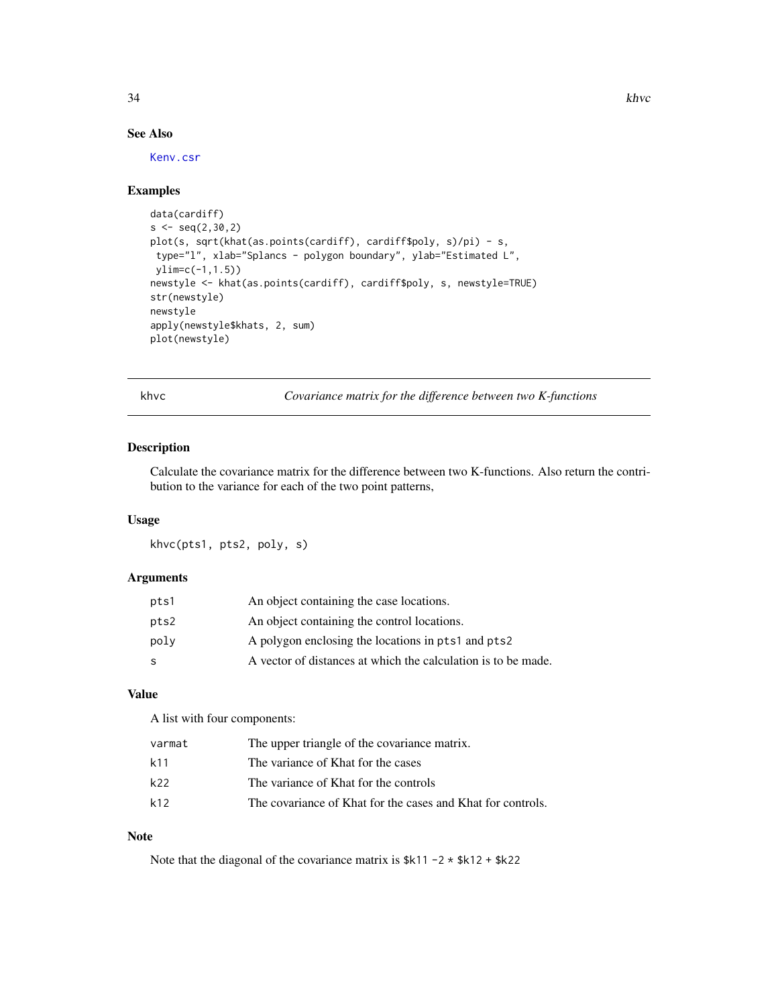34 khvc

## See Also

[Kenv.csr](#page-20-1)

#### Examples

```
data(cardiff)
s < -seq(2, 30, 2)plot(s, sqrt(khat(as.points(cardiff), cardiff$poly, s)/pi) - s,
type="l", xlab="Splancs - polygon boundary", ylab="Estimated L",
ylim=c(-1,1.5))
newstyle <- khat(as.points(cardiff), cardiff$poly, s, newstyle=TRUE)
str(newstyle)
newstyle
apply(newstyle$khats, 2, sum)
plot(newstyle)
```
khvc *Covariance matrix for the difference between two K-functions*

## Description

Calculate the covariance matrix for the difference between two K-functions. Also return the contribution to the variance for each of the two point patterns,

## Usage

khvc(pts1, pts2, poly, s)

## Arguments

| pts1 | An object containing the case locations.                      |
|------|---------------------------------------------------------------|
| pts2 | An object containing the control locations.                   |
| poly | A polygon enclosing the locations in pts1 and pts2            |
| -S   | A vector of distances at which the calculation is to be made. |

## Value

A list with four components:

| varmat | The upper triangle of the covariance matrix.                |
|--------|-------------------------------------------------------------|
| k11    | The variance of Khat for the cases                          |
| k22    | The variance of Khat for the controls                       |
| k12    | The covariance of Khat for the cases and Khat for controls. |

## Note

Note that the diagonal of the covariance matrix is  $k11 - 2 \times k12 + k22$ 

<span id="page-33-0"></span>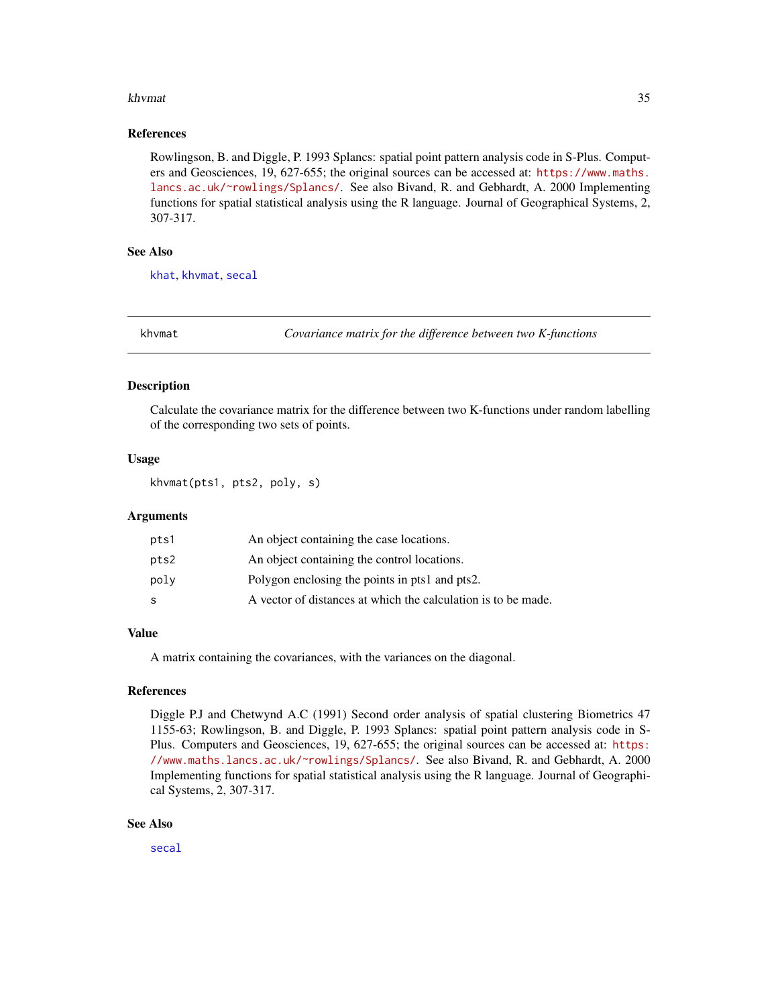#### <span id="page-34-0"></span>khvmat 35

#### References

Rowlingson, B. and Diggle, P. 1993 Splancs: spatial point pattern analysis code in S-Plus. Computers and Geosciences, 19, 627-655; the original sources can be accessed at: [https://www.maths.](https://www.maths.lancs.ac.uk/~rowlings/Splancs/) [lancs.ac.uk/~rowlings/Splancs/](https://www.maths.lancs.ac.uk/~rowlings/Splancs/). See also Bivand, R. and Gebhardt, A. 2000 Implementing functions for spatial statistical analysis using the R language. Journal of Geographical Systems, 2, 307-317.

## See Also

[khat](#page-31-1), [khvmat](#page-34-1), [secal](#page-52-2)

<span id="page-34-1"></span>

khvmat *Covariance matrix for the difference between two K-functions*

#### Description

Calculate the covariance matrix for the difference between two K-functions under random labelling of the corresponding two sets of points.

## Usage

khvmat(pts1, pts2, poly, s)

## Arguments

| pts1 | An object containing the case locations.                      |
|------|---------------------------------------------------------------|
| pts2 | An object containing the control locations.                   |
| poly | Polygon enclosing the points in pts1 and pts2.                |
| -S   | A vector of distances at which the calculation is to be made. |

#### Value

A matrix containing the covariances, with the variances on the diagonal.

#### References

Diggle P.J and Chetwynd A.C (1991) Second order analysis of spatial clustering Biometrics 47 1155-63; Rowlingson, B. and Diggle, P. 1993 Splancs: spatial point pattern analysis code in S-Plus. Computers and Geosciences, 19, 627-655; the original sources can be accessed at: [https:](https://www.maths.lancs.ac.uk/~rowlings/Splancs/) [//www.maths.lancs.ac.uk/~rowlings/Splancs/](https://www.maths.lancs.ac.uk/~rowlings/Splancs/). See also Bivand, R. and Gebhardt, A. 2000 Implementing functions for spatial statistical analysis using the R language. Journal of Geographical Systems, 2, 307-317.

#### See Also

[secal](#page-52-2)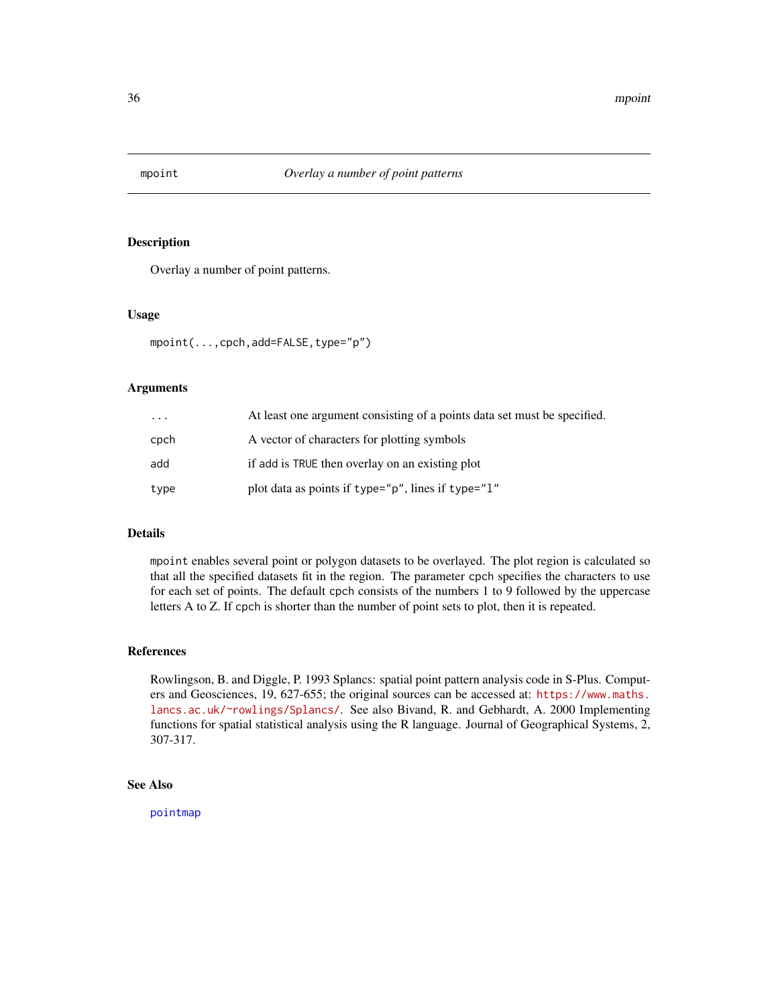<span id="page-35-1"></span><span id="page-35-0"></span>

Overlay a number of point patterns.

#### Usage

```
mpoint(...,cpch,add=FALSE,type="p")
```
## Arguments

| $\cdots$ | At least one argument consisting of a points data set must be specified. |
|----------|--------------------------------------------------------------------------|
| cpch     | A vector of characters for plotting symbols                              |
| add      | if add is TRUE then overlay on an existing plot                          |
| type     | plot data as points if type="p", lines if type="1"                       |

## Details

mpoint enables several point or polygon datasets to be overlayed. The plot region is calculated so that all the specified datasets fit in the region. The parameter cpch specifies the characters to use for each set of points. The default cpch consists of the numbers 1 to 9 followed by the uppercase letters A to Z. If cpch is shorter than the number of point sets to plot, then it is repeated.

## References

Rowlingson, B. and Diggle, P. 1993 Splancs: spatial point pattern analysis code in S-Plus. Computers and Geosciences, 19, 627-655; the original sources can be accessed at: [https://www.maths.](https://www.maths.lancs.ac.uk/~rowlings/Splancs/) [lancs.ac.uk/~rowlings/Splancs/](https://www.maths.lancs.ac.uk/~rowlings/Splancs/). See also Bivand, R. and Gebhardt, A. 2000 Implementing functions for spatial statistical analysis using the R language. Journal of Geographical Systems, 2, 307-317.

## See Also

[pointmap](#page-46-1)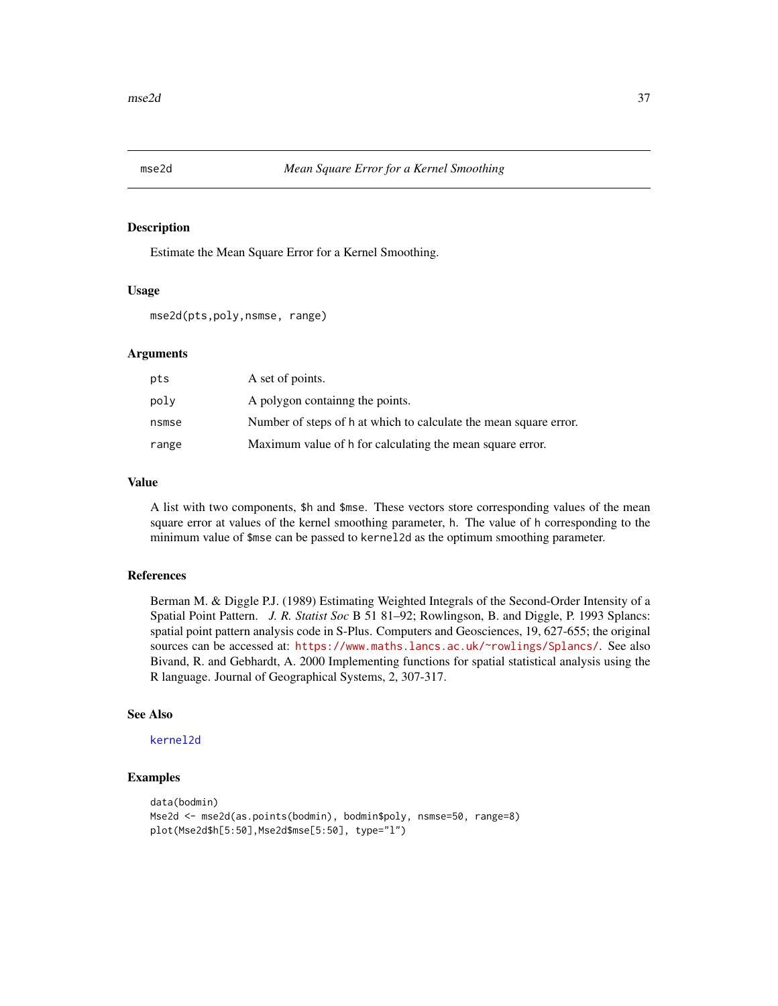<span id="page-36-1"></span><span id="page-36-0"></span>

Estimate the Mean Square Error for a Kernel Smoothing.

#### Usage

mse2d(pts,poly,nsmse, range)

## Arguments

| pts   | A set of points.                                                  |
|-------|-------------------------------------------------------------------|
| poly  | A polygon containing the points.                                  |
| nsmse | Number of steps of h at which to calculate the mean square error. |
| range | Maximum value of h for calculating the mean square error.         |

## Value

A list with two components, \$h and \$mse. These vectors store corresponding values of the mean square error at values of the kernel smoothing parameter, h. The value of h corresponding to the minimum value of \$mse can be passed to kernel2d as the optimum smoothing parameter.

#### References

Berman M. & Diggle P.J. (1989) Estimating Weighted Integrals of the Second-Order Intensity of a Spatial Point Pattern. *J. R. Statist Soc* B 51 81–92; Rowlingson, B. and Diggle, P. 1993 Splancs: spatial point pattern analysis code in S-Plus. Computers and Geosciences, 19, 627-655; the original sources can be accessed at: <https://www.maths.lancs.ac.uk/~rowlings/Splancs/>. See also Bivand, R. and Gebhardt, A. 2000 Implementing functions for spatial statistical analysis using the R language. Journal of Geographical Systems, 2, 307-317.

#### See Also

[kernel2d](#page-26-1)

```
data(bodmin)
Mse2d <- mse2d(as.points(bodmin), bodmin$poly, nsmse=50, range=8)
plot(Mse2d$h[5:50],Mse2d$mse[5:50], type="l")
```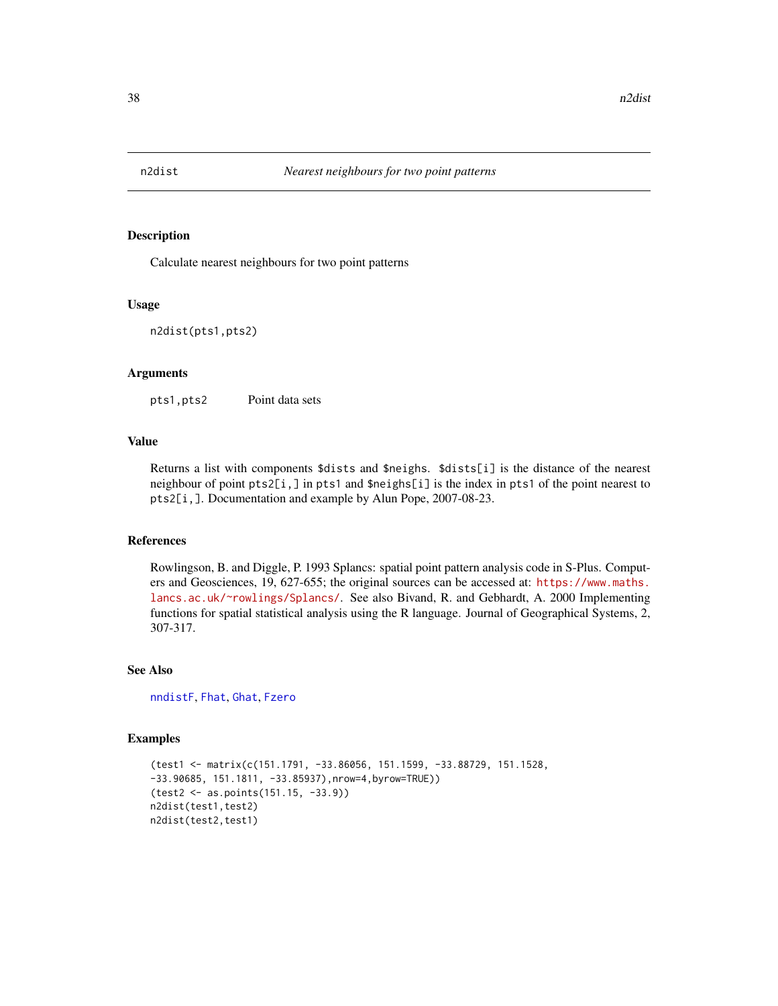<span id="page-37-0"></span>

Calculate nearest neighbours for two point patterns

#### Usage

n2dist(pts1,pts2)

#### Arguments

pts1,pts2 Point data sets

## Value

Returns a list with components \$dists and \$neighs. \$dists[i] is the distance of the nearest neighbour of point pts2[i,] in pts1 and \$neighs[i] is the index in pts1 of the point nearest to pts2[i,]. Documentation and example by Alun Pope, 2007-08-23.

## References

Rowlingson, B. and Diggle, P. 1993 Splancs: spatial point pattern analysis code in S-Plus. Computers and Geosciences, 19, 627-655; the original sources can be accessed at: [https://www.maths.](https://www.maths.lancs.ac.uk/~rowlings/Splancs/) [lancs.ac.uk/~rowlings/Splancs/](https://www.maths.lancs.ac.uk/~rowlings/Splancs/). See also Bivand, R. and Gebhardt, A. 2000 Implementing functions for spatial statistical analysis using the R language. Journal of Geographical Systems, 2, 307-317.

#### See Also

[nndistF](#page-38-1), [Fhat](#page-11-1), [Ghat](#page-15-1), [Fzero](#page-12-1)

```
(test1 <- matrix(c(151.1791, -33.86056, 151.1599, -33.88729, 151.1528,
-33.90685, 151.1811, -33.85937),nrow=4,byrow=TRUE))
(test2 <- as.points(151.15, -33.9))
n2dist(test1,test2)
n2dist(test2,test1)
```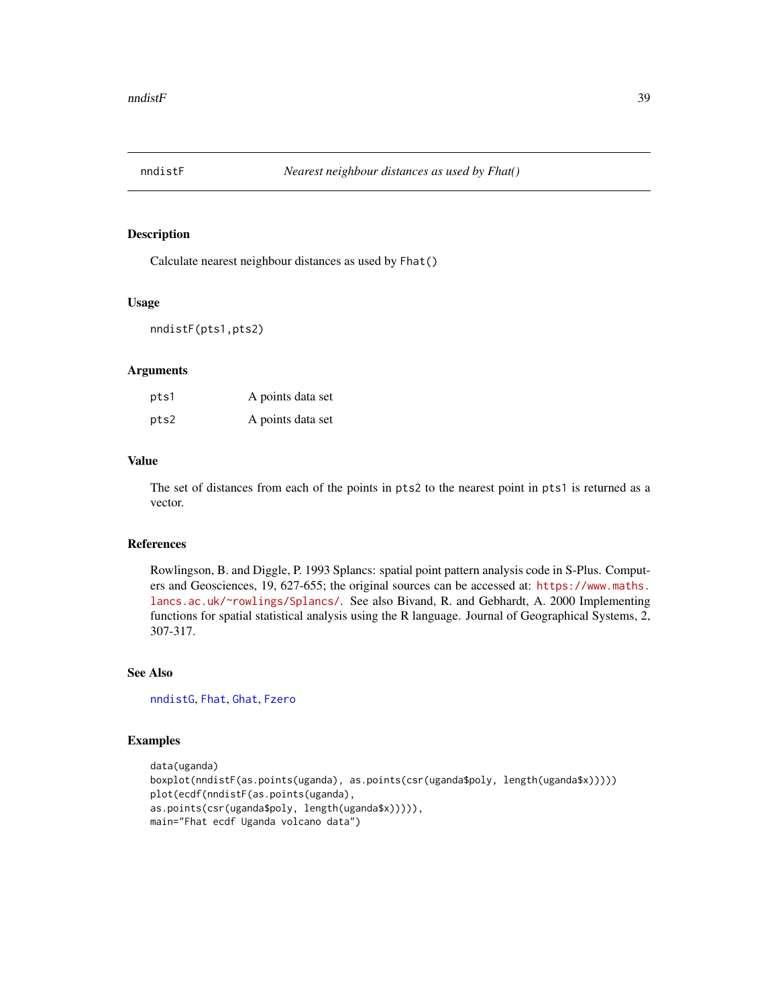<span id="page-38-1"></span><span id="page-38-0"></span>

Calculate nearest neighbour distances as used by Fhat()

#### Usage

```
nndistF(pts1,pts2)
```
## Arguments

| pts1 | A points data set |
|------|-------------------|
| pts2 | A points data set |

## Value

The set of distances from each of the points in pts2 to the nearest point in pts1 is returned as a vector.

## References

Rowlingson, B. and Diggle, P. 1993 Splancs: spatial point pattern analysis code in S-Plus. Computers and Geosciences, 19, 627-655; the original sources can be accessed at: [https://www.maths.](https://www.maths.lancs.ac.uk/~rowlings/Splancs/) [lancs.ac.uk/~rowlings/Splancs/](https://www.maths.lancs.ac.uk/~rowlings/Splancs/). See also Bivand, R. and Gebhardt, A. 2000 Implementing functions for spatial statistical analysis using the R language. Journal of Geographical Systems, 2, 307-317.

#### See Also

[nndistG](#page-39-1), [Fhat](#page-11-1), [Ghat](#page-15-1), [Fzero](#page-12-1)

```
data(uganda)
boxplot(nndistF(as.points(uganda), as.points(csr(uganda$poly, length(uganda$x)))))
plot(ecdf(nndistF(as.points(uganda),
as.points(csr(uganda$poly, length(uganda$x))))),
main="Fhat ecdf Uganda volcano data")
```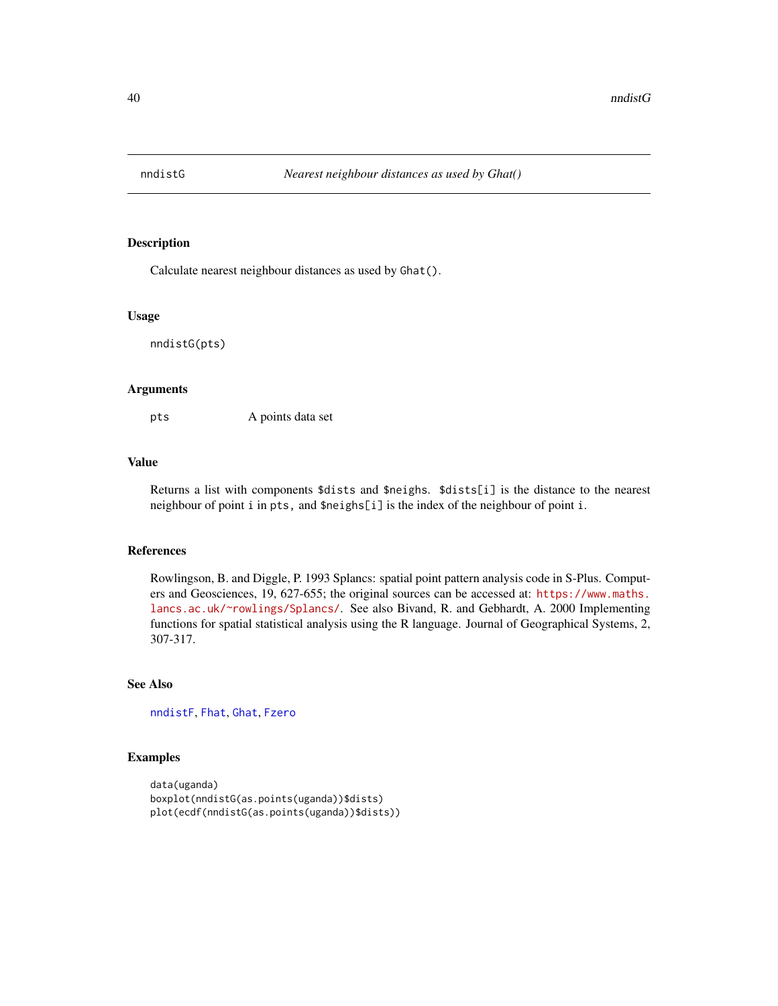<span id="page-39-1"></span><span id="page-39-0"></span>

Calculate nearest neighbour distances as used by Ghat().

#### Usage

nndistG(pts)

#### Arguments

pts A points data set

## Value

Returns a list with components \$dists and \$neighs. \$dists[i] is the distance to the nearest neighbour of point i in pts, and \$neighs[i] is the index of the neighbour of point i.

#### References

Rowlingson, B. and Diggle, P. 1993 Splancs: spatial point pattern analysis code in S-Plus. Computers and Geosciences, 19, 627-655; the original sources can be accessed at: [https://www.maths.](https://www.maths.lancs.ac.uk/~rowlings/Splancs/) [lancs.ac.uk/~rowlings/Splancs/](https://www.maths.lancs.ac.uk/~rowlings/Splancs/). See also Bivand, R. and Gebhardt, A. 2000 Implementing functions for spatial statistical analysis using the R language. Journal of Geographical Systems, 2, 307-317.

## See Also

[nndistF](#page-38-1), [Fhat](#page-11-1), [Ghat](#page-15-1), [Fzero](#page-12-1)

```
data(uganda)
boxplot(nndistG(as.points(uganda))$dists)
plot(ecdf(nndistG(as.points(uganda))$dists))
```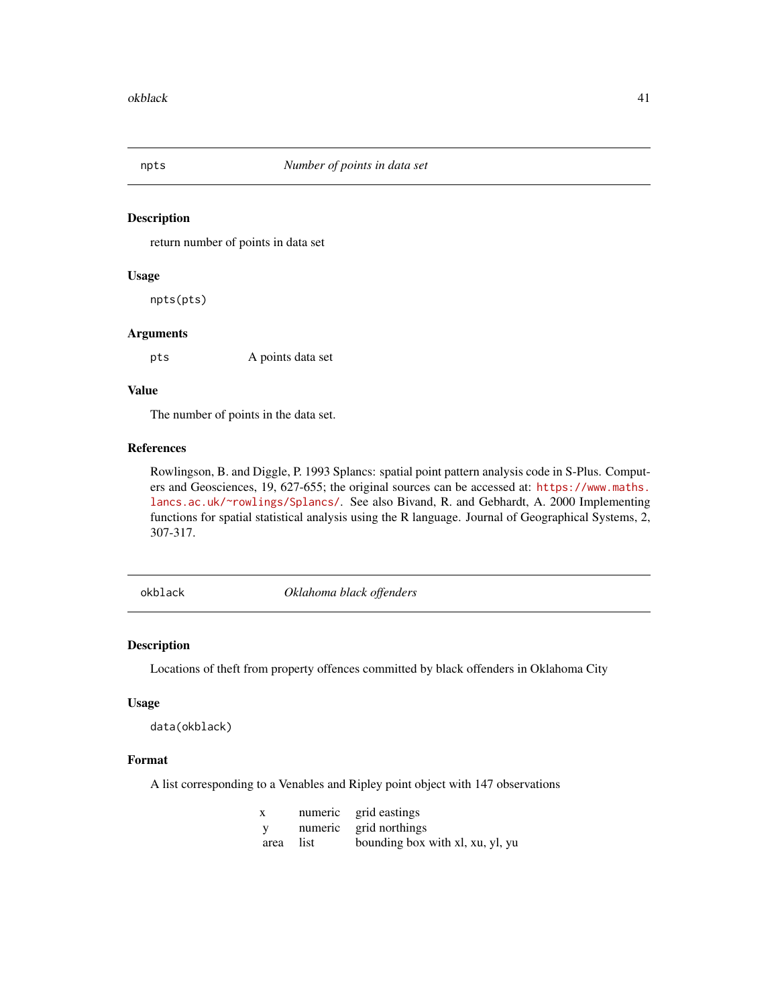<span id="page-40-1"></span><span id="page-40-0"></span>

return number of points in data set

#### Usage

npts(pts)

#### Arguments

pts A points data set

## Value

The number of points in the data set.

#### References

Rowlingson, B. and Diggle, P. 1993 Splancs: spatial point pattern analysis code in S-Plus. Computers and Geosciences, 19, 627-655; the original sources can be accessed at: [https://www.maths.](https://www.maths.lancs.ac.uk/~rowlings/Splancs/) [lancs.ac.uk/~rowlings/Splancs/](https://www.maths.lancs.ac.uk/~rowlings/Splancs/). See also Bivand, R. and Gebhardt, A. 2000 Implementing functions for spatial statistical analysis using the R language. Journal of Geographical Systems, 2, 307-317.

okblack *Oklahoma black offenders*

#### Description

Locations of theft from property offences committed by black offenders in Oklahoma City

## Usage

data(okblack)

## Format

A list corresponding to a Venables and Ripley point object with 147 observations

| $\mathbf{X}$ | numeric grid eastings            |
|--------------|----------------------------------|
| <b>V</b>     | numeric grid northings           |
| area list    | bounding box with xl, xu, yl, yu |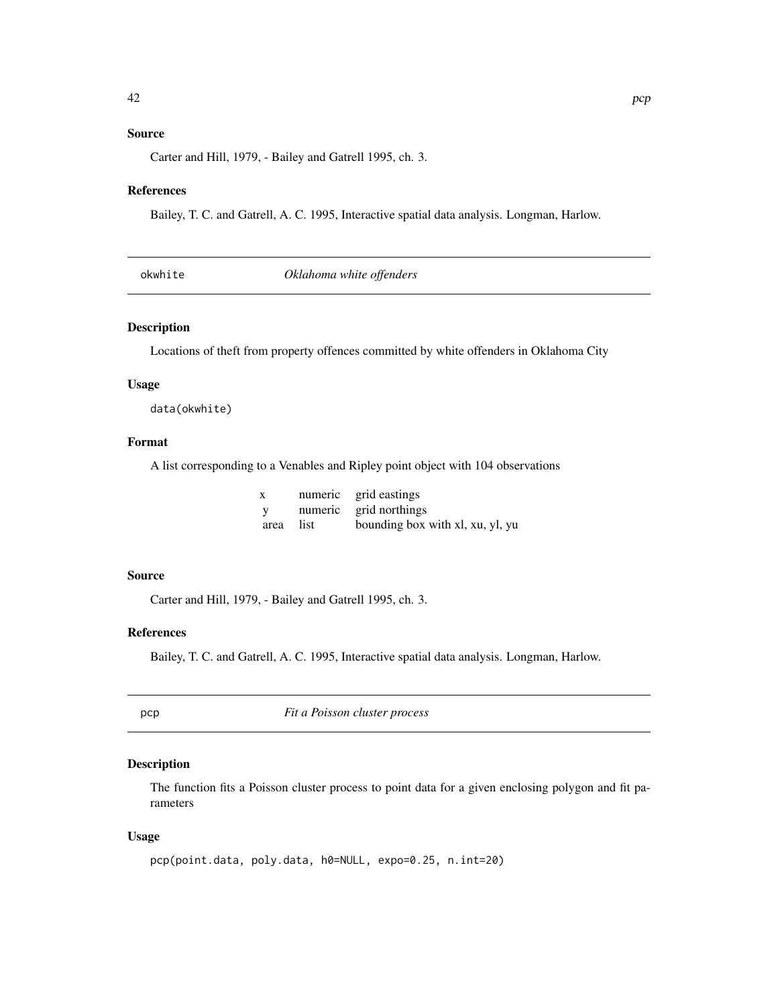## <span id="page-41-0"></span>Source

Carter and Hill, 1979, - Bailey and Gatrell 1995, ch. 3.

#### References

Bailey, T. C. and Gatrell, A. C. 1995, Interactive spatial data analysis. Longman, Harlow.

|  | okwhite |
|--|---------|
|  |         |

**Oklahoma** white offenders

## Description

Locations of theft from property offences committed by white offenders in Oklahoma City

## Usage

data(okwhite)

## Format

A list corresponding to a Venables and Ripley point object with 104 observations

| X            | numeric grid eastings            |
|--------------|----------------------------------|
| $\mathbf{V}$ | numeric grid northings           |
| area list    | bounding box with xl, xu, yl, yu |

#### Source

Carter and Hill, 1979, - Bailey and Gatrell 1995, ch. 3.

#### References

Bailey, T. C. and Gatrell, A. C. 1995, Interactive spatial data analysis. Longman, Harlow.

<span id="page-41-1"></span>

pcp *Fit a Poisson cluster process*

## Description

The function fits a Poisson cluster process to point data for a given enclosing polygon and fit parameters

## Usage

```
pcp(point.data, poly.data, h0=NULL, expo=0.25, n.int=20)
```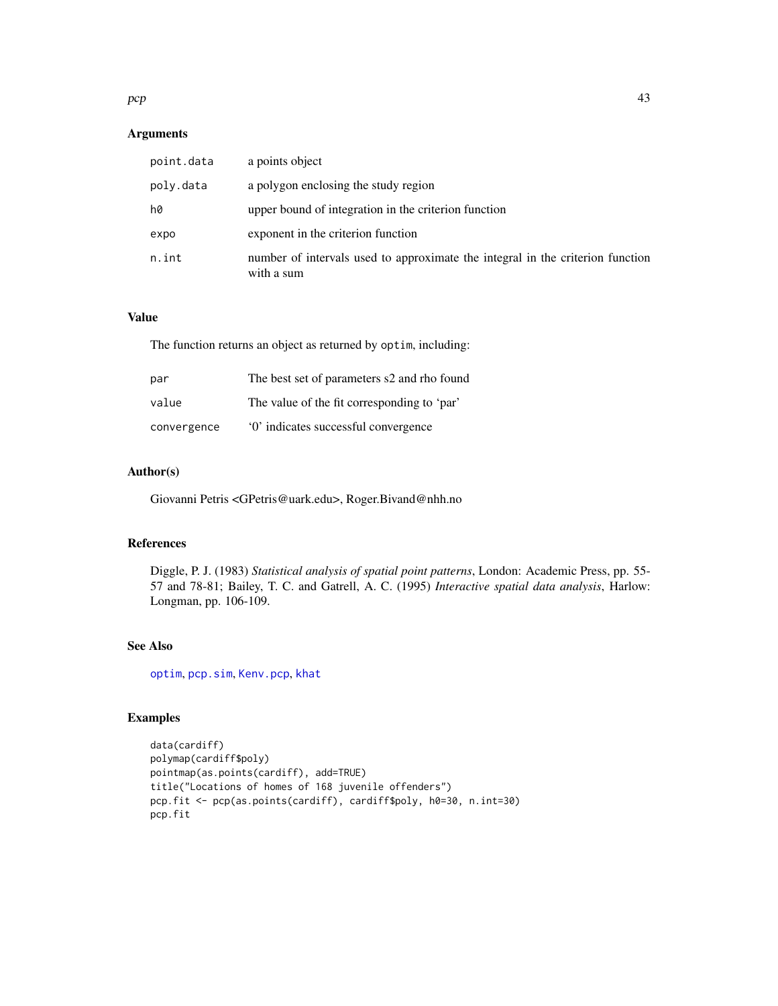## <span id="page-42-0"></span> $pcp$  and the set of the set of the set of the set of the set of the set of the set of the set of the set of the set of the set of the set of the set of the set of the set of the set of the set of the set of the set of the

## Arguments

| point.data | a points object                                                                              |
|------------|----------------------------------------------------------------------------------------------|
| poly.data  | a polygon enclosing the study region                                                         |
| h0         | upper bound of integration in the criterion function                                         |
| expo       | exponent in the criterion function                                                           |
| n.int      | number of intervals used to approximate the integral in the criterion function<br>with a sum |

## Value

The function returns an object as returned by optim, including:

| par         | The best set of parameters s2 and rho found |
|-------------|---------------------------------------------|
| value       | The value of the fit corresponding to 'par' |
| convergence | '0' indicates successful convergence        |

## Author(s)

Giovanni Petris <GPetris@uark.edu>, Roger.Bivand@nhh.no

## References

Diggle, P. J. (1983) *Statistical analysis of spatial point patterns*, London: Academic Press, pp. 55- 57 and 78-81; Bailey, T. C. and Gatrell, A. C. (1995) *Interactive spatial data analysis*, Harlow: Longman, pp. 106-109.

## See Also

[optim](#page-0-0), [pcp.sim](#page-43-1), [Kenv.pcp](#page-22-1), [khat](#page-31-1)

```
data(cardiff)
polymap(cardiff$poly)
pointmap(as.points(cardiff), add=TRUE)
title("Locations of homes of 168 juvenile offenders")
pcp.fit <- pcp(as.points(cardiff), cardiff$poly, h0=30, n.int=30)
pcp.fit
```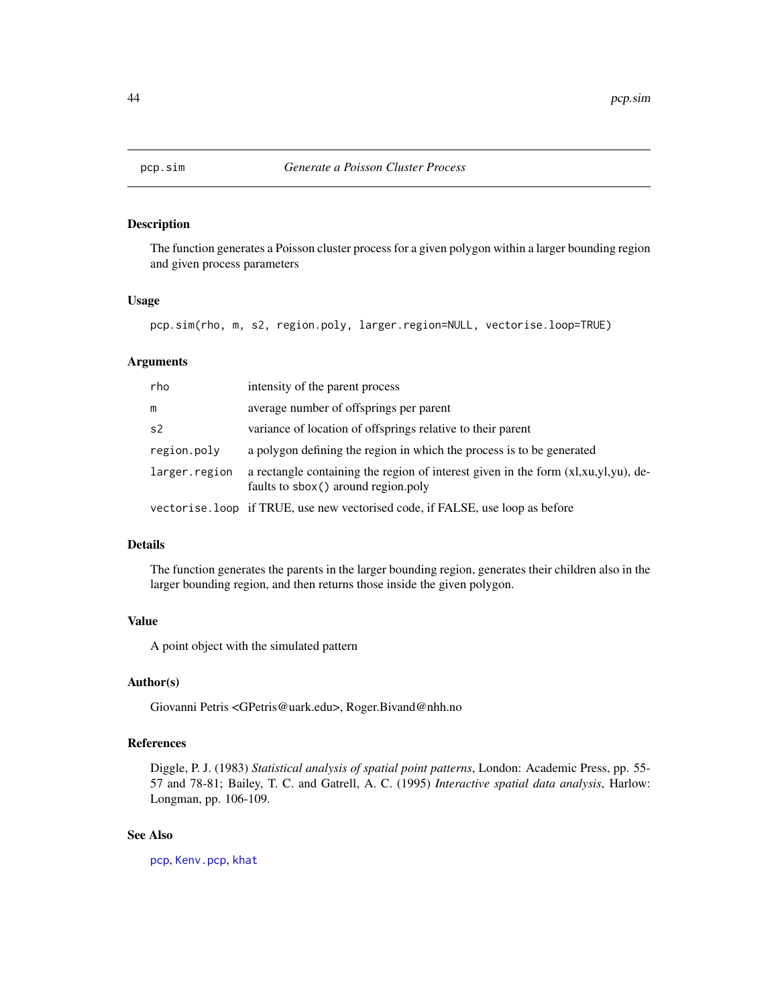<span id="page-43-1"></span><span id="page-43-0"></span>

The function generates a Poisson cluster process for a given polygon within a larger bounding region and given process parameters

#### Usage

pcp.sim(rho, m, s2, region.poly, larger.region=NULL, vectorise.loop=TRUE)

#### Arguments

| rho            | intensity of the parent process                                                                                           |
|----------------|---------------------------------------------------------------------------------------------------------------------------|
| m              | average number of offsprings per parent                                                                                   |
| s <sub>2</sub> | variance of location of offsprings relative to their parent                                                               |
| region.poly    | a polygon defining the region in which the process is to be generated                                                     |
| larger.region  | a rectangle containing the region of interest given in the form (xl,xu,yl,yu), de-<br>faults to sbox() around region.poly |
|                | vectorise. loop if TRUE, use new vectorised code, if FALSE, use loop as before                                            |

## Details

The function generates the parents in the larger bounding region, generates their children also in the larger bounding region, and then returns those inside the given polygon.

## Value

A point object with the simulated pattern

#### Author(s)

Giovanni Petris <GPetris@uark.edu>, Roger.Bivand@nhh.no

## References

Diggle, P. J. (1983) *Statistical analysis of spatial point patterns*, London: Academic Press, pp. 55- 57 and 78-81; Bailey, T. C. and Gatrell, A. C. (1995) *Interactive spatial data analysis*, Harlow: Longman, pp. 106-109.

#### See Also

[pcp](#page-41-1), [Kenv.pcp](#page-22-1), [khat](#page-31-1)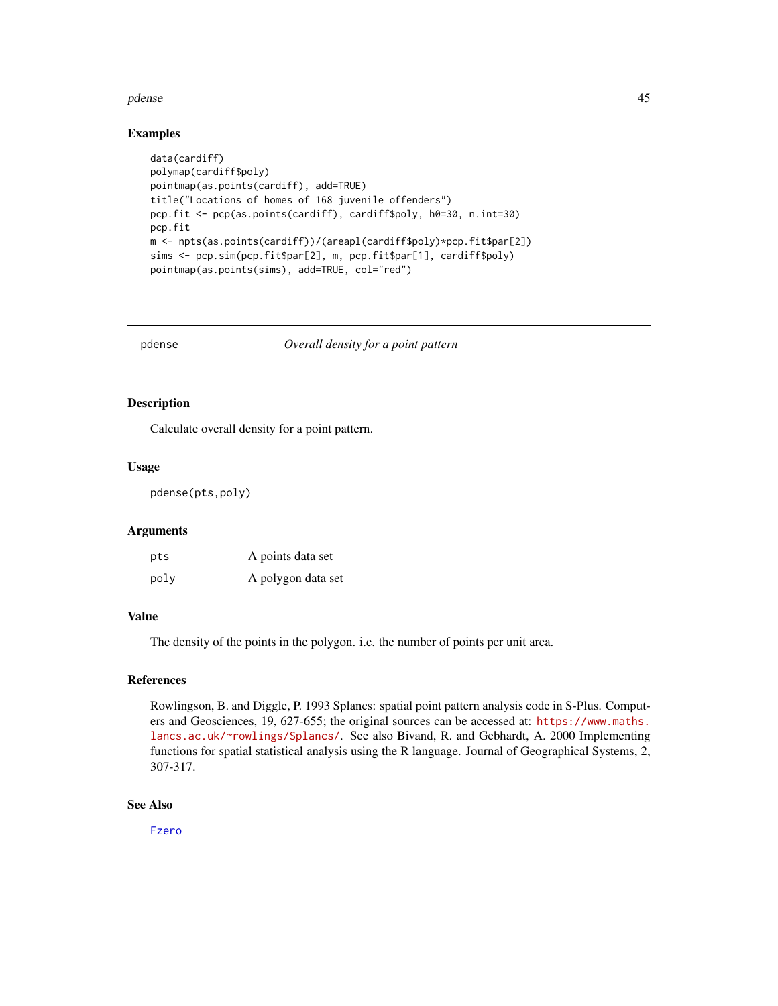#### <span id="page-44-0"></span>pdense and the set of the set of the set of the set of the set of the set of the set of the set of the set of the set of the set of the set of the set of the set of the set of the set of the set of the set of the set of th

#### Examples

```
data(cardiff)
polymap(cardiff$poly)
pointmap(as.points(cardiff), add=TRUE)
title("Locations of homes of 168 juvenile offenders")
pcp.fit <- pcp(as.points(cardiff), cardiff$poly, h0=30, n.int=30)
pcp.fit
m <- npts(as.points(cardiff))/(areapl(cardiff$poly)*pcp.fit$par[2])
sims <- pcp.sim(pcp.fit$par[2], m, pcp.fit$par[1], cardiff$poly)
pointmap(as.points(sims), add=TRUE, col="red")
```
<span id="page-44-1"></span>pdense *Overall density for a point pattern*

#### Description

Calculate overall density for a point pattern.

## Usage

pdense(pts,poly)

## Arguments

| pts  | A points data set  |
|------|--------------------|
| poly | A polygon data set |

#### Value

The density of the points in the polygon. i.e. the number of points per unit area.

#### References

Rowlingson, B. and Diggle, P. 1993 Splancs: spatial point pattern analysis code in S-Plus. Computers and Geosciences, 19, 627-655; the original sources can be accessed at: [https://www.maths.](https://www.maths.lancs.ac.uk/~rowlings/Splancs/) [lancs.ac.uk/~rowlings/Splancs/](https://www.maths.lancs.ac.uk/~rowlings/Splancs/). See also Bivand, R. and Gebhardt, A. 2000 Implementing functions for spatial statistical analysis using the R language. Journal of Geographical Systems, 2, 307-317.

#### See Also

[Fzero](#page-12-1)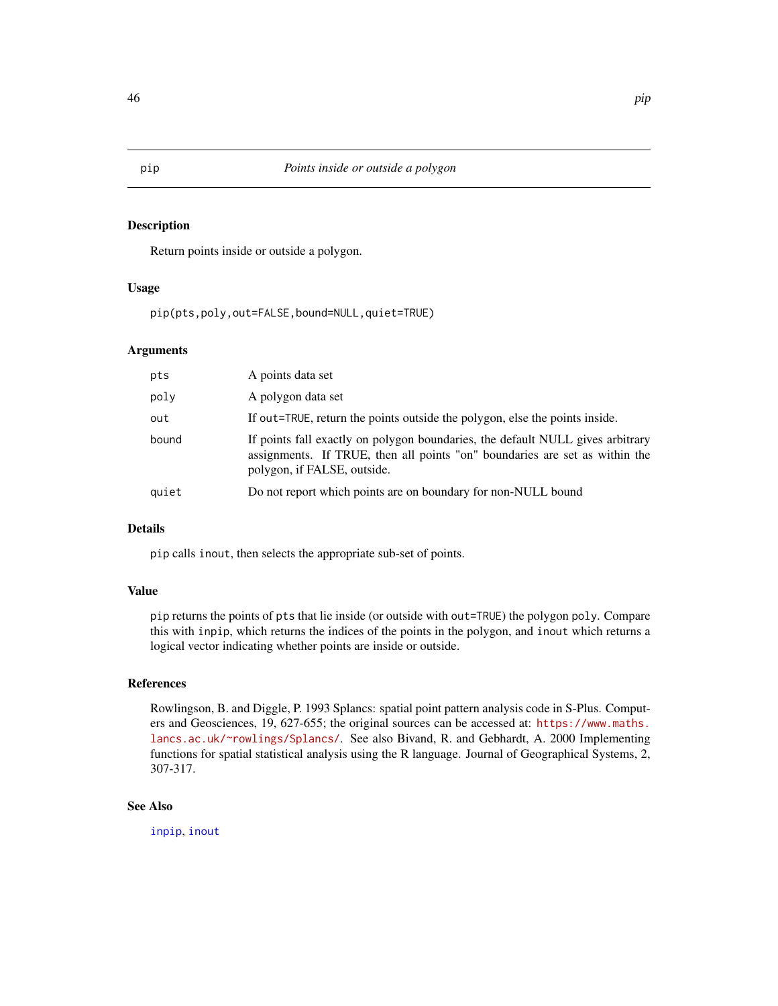Return points inside or outside a polygon.

#### Usage

pip(pts,poly,out=FALSE,bound=NULL,quiet=TRUE)

## Arguments

| pts   | A points data set                                                                                                                                                                            |
|-------|----------------------------------------------------------------------------------------------------------------------------------------------------------------------------------------------|
| poly  | A polygon data set                                                                                                                                                                           |
| out   | If out=TRUE, return the points outside the polygon, else the points inside.                                                                                                                  |
| bound | If points fall exactly on polygon boundaries, the default NULL gives arbitrary<br>assignments. If TRUE, then all points "on" boundaries are set as within the<br>polygon, if FALSE, outside. |
| quiet | Do not report which points are on boundary for non-NULL bound                                                                                                                                |

## Details

pip calls inout, then selects the appropriate sub-set of points.

## Value

pip returns the points of pts that lie inside (or outside with out=TRUE) the polygon poly. Compare this with inpip, which returns the indices of the points in the polygon, and inout which returns a logical vector indicating whether points are inside or outside.

## References

Rowlingson, B. and Diggle, P. 1993 Splancs: spatial point pattern analysis code in S-Plus. Computers and Geosciences, 19, 627-655; the original sources can be accessed at: [https://www.maths.](https://www.maths.lancs.ac.uk/~rowlings/Splancs/) [lancs.ac.uk/~rowlings/Splancs/](https://www.maths.lancs.ac.uk/~rowlings/Splancs/). See also Bivand, R. and Gebhardt, A. 2000 Implementing functions for spatial statistical analysis using the R language. Journal of Geographical Systems, 2, 307-317.

## See Also

[inpip](#page-18-1), [inout](#page-16-1)

<span id="page-45-1"></span><span id="page-45-0"></span>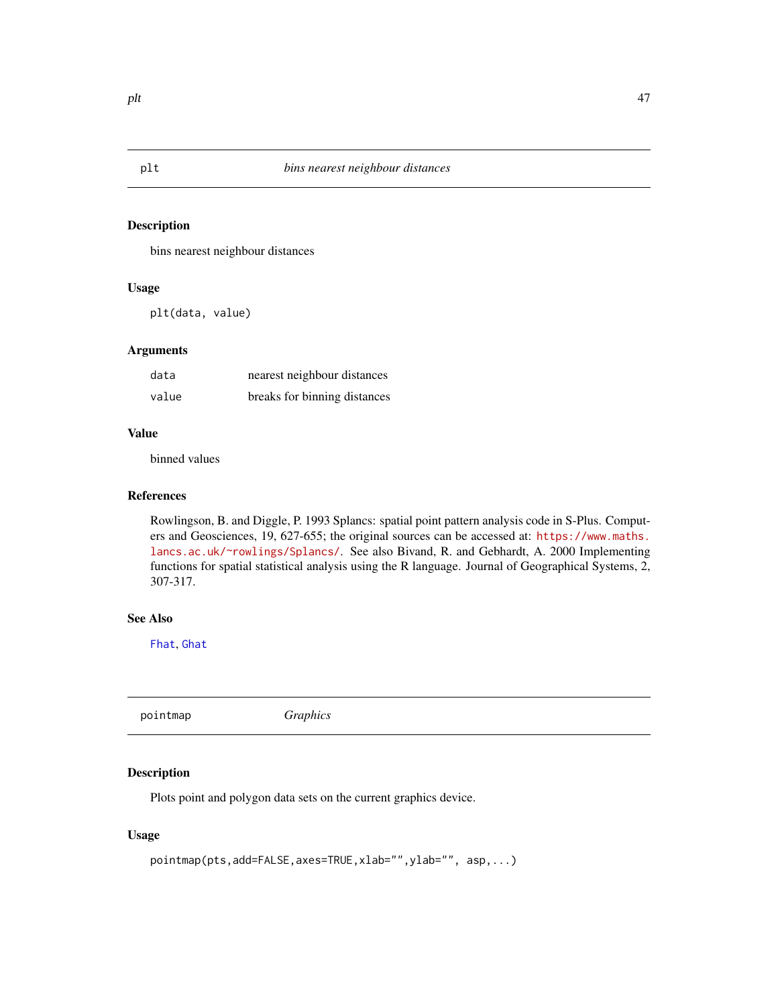bins nearest neighbour distances

#### Usage

plt(data, value)

## Arguments

| data  | nearest neighbour distances  |
|-------|------------------------------|
| value | breaks for binning distances |

## Value

binned values

## References

Rowlingson, B. and Diggle, P. 1993 Splancs: spatial point pattern analysis code in S-Plus. Computers and Geosciences, 19, 627-655; the original sources can be accessed at: [https://www.maths.](https://www.maths.lancs.ac.uk/~rowlings/Splancs/) [lancs.ac.uk/~rowlings/Splancs/](https://www.maths.lancs.ac.uk/~rowlings/Splancs/). See also Bivand, R. and Gebhardt, A. 2000 Implementing functions for spatial statistical analysis using the R language. Journal of Geographical Systems, 2, 307-317.

## See Also

[Fhat](#page-11-1), [Ghat](#page-15-1)

<span id="page-46-1"></span>pointmap *Graphics*

## Description

Plots point and polygon data sets on the current graphics device.

## Usage

```
pointmap(pts,add=FALSE,axes=TRUE,xlab="",ylab="", asp,...)
```
<span id="page-46-0"></span>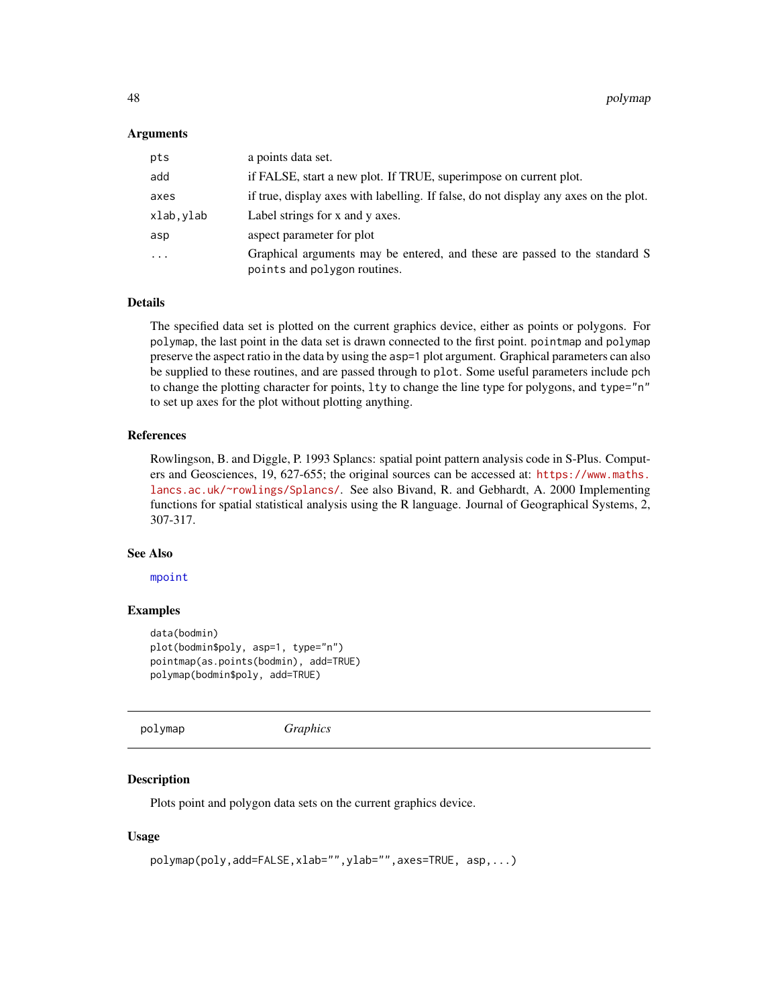#### <span id="page-47-0"></span>Arguments

| pts       | a points data set.                                                                                         |
|-----------|------------------------------------------------------------------------------------------------------------|
| add       | if FALSE, start a new plot. If TRUE, superimpose on current plot.                                          |
| axes      | if true, display axes with labelling. If false, do not display any axes on the plot.                       |
| xlab.ylab | Label strings for x and y axes.                                                                            |
| asp       | aspect parameter for plot                                                                                  |
| $\cdots$  | Graphical arguments may be entered, and these are passed to the standard S<br>points and polygon routines. |

## Details

The specified data set is plotted on the current graphics device, either as points or polygons. For polymap, the last point in the data set is drawn connected to the first point. pointmap and polymap preserve the aspect ratio in the data by using the asp=1 plot argument. Graphical parameters can also be supplied to these routines, and are passed through to plot. Some useful parameters include pch to change the plotting character for points, lty to change the line type for polygons, and type="n" to set up axes for the plot without plotting anything.

#### References

Rowlingson, B. and Diggle, P. 1993 Splancs: spatial point pattern analysis code in S-Plus. Computers and Geosciences, 19, 627-655; the original sources can be accessed at: [https://www.maths.](https://www.maths.lancs.ac.uk/~rowlings/Splancs/) [lancs.ac.uk/~rowlings/Splancs/](https://www.maths.lancs.ac.uk/~rowlings/Splancs/). See also Bivand, R. and Gebhardt, A. 2000 Implementing functions for spatial statistical analysis using the R language. Journal of Geographical Systems, 2, 307-317.

#### See Also

[mpoint](#page-35-1)

#### Examples

```
data(bodmin)
plot(bodmin$poly, asp=1, type="n")
pointmap(as.points(bodmin), add=TRUE)
polymap(bodmin$poly, add=TRUE)
```
polymap *Graphics*

#### Description

Plots point and polygon data sets on the current graphics device.

#### Usage

```
polymap(poly,add=FALSE,xlab="",ylab="",axes=TRUE, asp,...)
```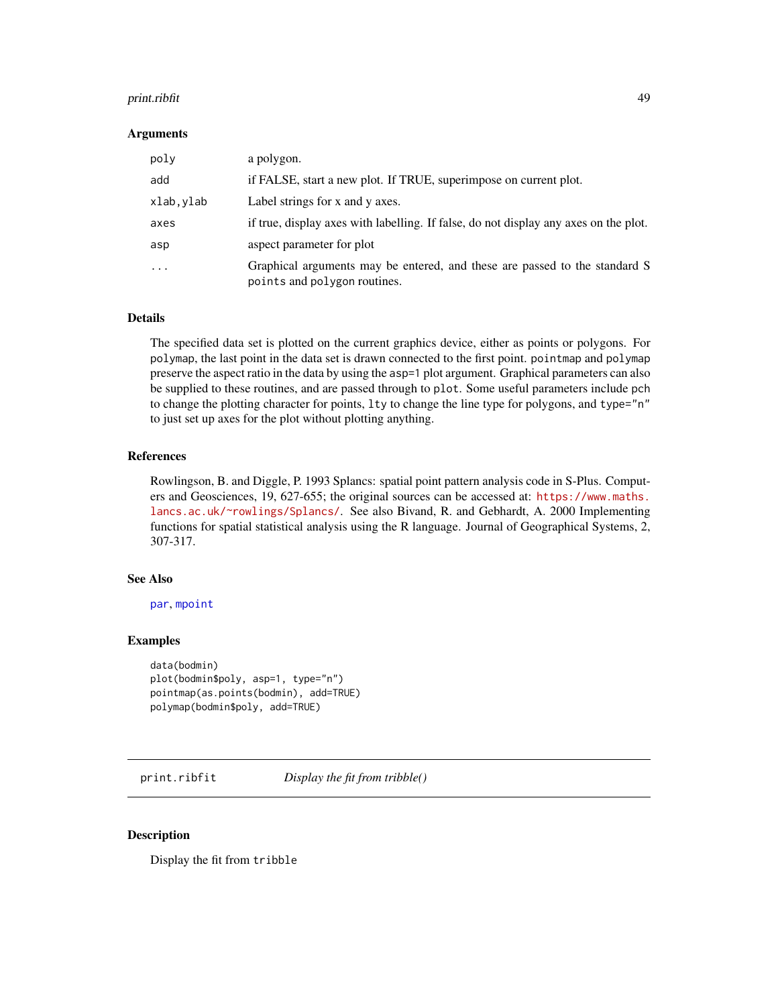#### <span id="page-48-0"></span>print.ribfit 49

#### Arguments

| poly      | a polygon.                                                                                                 |
|-----------|------------------------------------------------------------------------------------------------------------|
| add       | if FALSE, start a new plot. If TRUE, superimpose on current plot.                                          |
| xlab,ylab | Label strings for x and y axes.                                                                            |
| axes      | if true, display axes with labelling. If false, do not display any axes on the plot.                       |
| asp       | aspect parameter for plot                                                                                  |
| $\ddotsc$ | Graphical arguments may be entered, and these are passed to the standard S<br>points and polygon routines. |

#### Details

The specified data set is plotted on the current graphics device, either as points or polygons. For polymap, the last point in the data set is drawn connected to the first point. pointmap and polymap preserve the aspect ratio in the data by using the asp=1 plot argument. Graphical parameters can also be supplied to these routines, and are passed through to plot. Some useful parameters include pch to change the plotting character for points, lty to change the line type for polygons, and type="n" to just set up axes for the plot without plotting anything.

#### References

Rowlingson, B. and Diggle, P. 1993 Splancs: spatial point pattern analysis code in S-Plus. Computers and Geosciences, 19, 627-655; the original sources can be accessed at: [https://www.maths.](https://www.maths.lancs.ac.uk/~rowlings/Splancs/) [lancs.ac.uk/~rowlings/Splancs/](https://www.maths.lancs.ac.uk/~rowlings/Splancs/). See also Bivand, R. and Gebhardt, A. 2000 Implementing functions for spatial statistical analysis using the R language. Journal of Geographical Systems, 2, 307-317.

## See Also

[par](#page-0-0), [mpoint](#page-35-1)

#### Examples

```
data(bodmin)
plot(bodmin$poly, asp=1, type="n")
pointmap(as.points(bodmin), add=TRUE)
polymap(bodmin$poly, add=TRUE)
```
print.ribfit *Display the fit from tribble()*

#### Description

Display the fit from tribble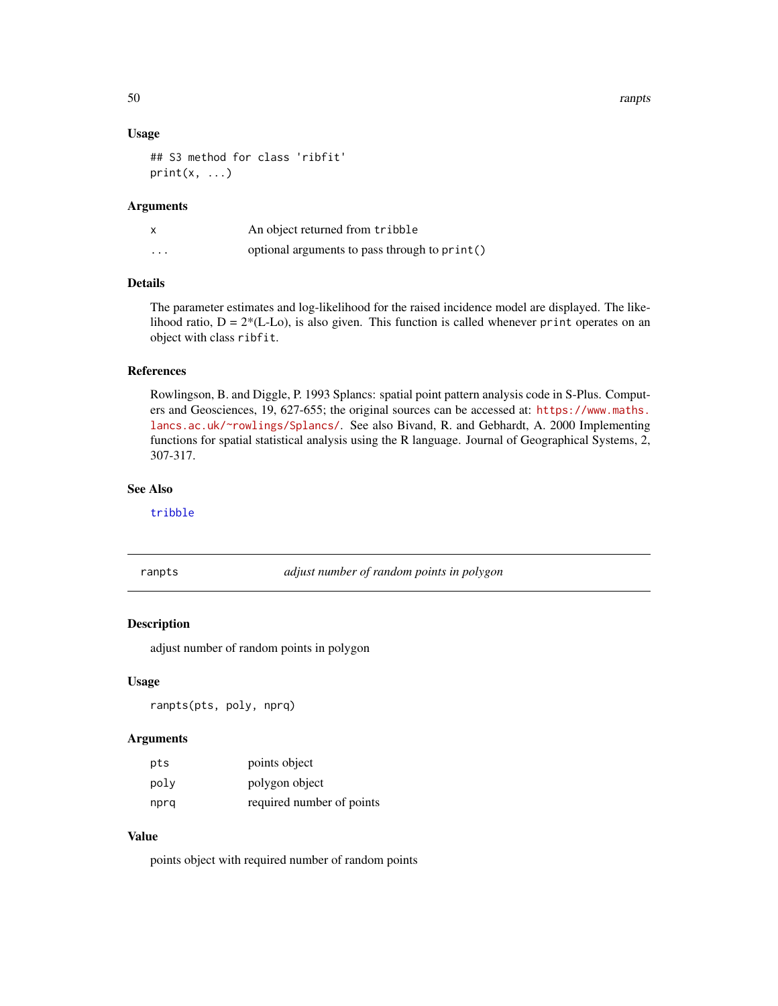<span id="page-49-0"></span>50 ranpts

#### Usage

```
## S3 method for class 'ribfit'
print(x, \ldots)
```
## Arguments

|          | An object returned from tribble               |
|----------|-----------------------------------------------|
| $\cdots$ | optional arguments to pass through to print() |

## Details

The parameter estimates and log-likelihood for the raised incidence model are displayed. The likelihood ratio,  $D = 2*(L-L<sub>O</sub>)$ , is also given. This function is called whenever print operates on an object with class ribfit.

## References

Rowlingson, B. and Diggle, P. 1993 Splancs: spatial point pattern analysis code in S-Plus. Computers and Geosciences, 19, 627-655; the original sources can be accessed at: [https://www.maths.](https://www.maths.lancs.ac.uk/~rowlings/Splancs/) [lancs.ac.uk/~rowlings/Splancs/](https://www.maths.lancs.ac.uk/~rowlings/Splancs/). See also Bivand, R. and Gebhardt, A. 2000 Implementing functions for spatial statistical analysis using the R language. Journal of Geographical Systems, 2, 307-317.

## See Also

[tribble](#page-64-1)

ranpts *adjust number of random points in polygon*

## Description

adjust number of random points in polygon

#### Usage

ranpts(pts, poly, nprq)

#### Arguments

| pts  | points object             |
|------|---------------------------|
| poly | polygon object            |
| nprq | required number of points |

## Value

points object with required number of random points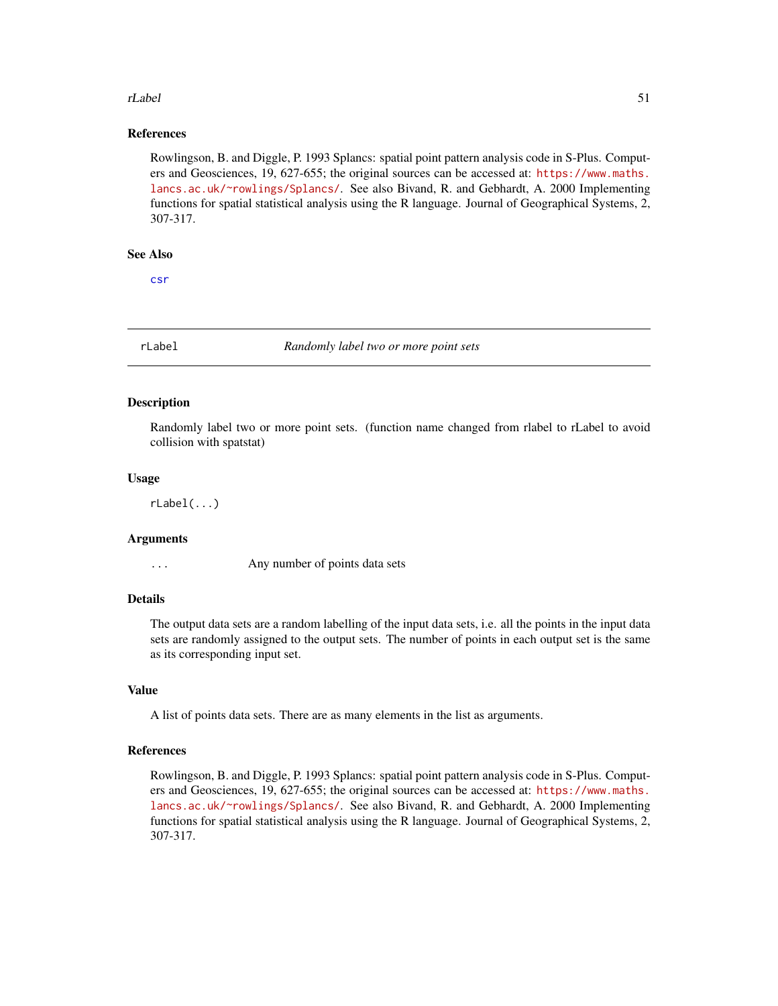#### <span id="page-50-0"></span>rLabel 51

## References

Rowlingson, B. and Diggle, P. 1993 Splancs: spatial point pattern analysis code in S-Plus. Computers and Geosciences, 19, 627-655; the original sources can be accessed at: [https://www.maths.](https://www.maths.lancs.ac.uk/~rowlings/Splancs/) [lancs.ac.uk/~rowlings/Splancs/](https://www.maths.lancs.ac.uk/~rowlings/Splancs/). See also Bivand, R. and Gebhardt, A. 2000 Implementing functions for spatial statistical analysis using the R language. Journal of Geographical Systems, 2, 307-317.

#### See Also

[csr](#page-8-1)

<span id="page-50-1"></span>

rLabel *Randomly label two or more point sets*

#### Description

Randomly label two or more point sets. (function name changed from rlabel to rLabel to avoid collision with spatstat)

#### Usage

rLabel(...)

## Arguments

... Any number of points data sets

#### Details

The output data sets are a random labelling of the input data sets, i.e. all the points in the input data sets are randomly assigned to the output sets. The number of points in each output set is the same as its corresponding input set.

#### Value

A list of points data sets. There are as many elements in the list as arguments.

#### References

Rowlingson, B. and Diggle, P. 1993 Splancs: spatial point pattern analysis code in S-Plus. Computers and Geosciences, 19, 627-655; the original sources can be accessed at: [https://www.maths.](https://www.maths.lancs.ac.uk/~rowlings/Splancs/) [lancs.ac.uk/~rowlings/Splancs/](https://www.maths.lancs.ac.uk/~rowlings/Splancs/). See also Bivand, R. and Gebhardt, A. 2000 Implementing functions for spatial statistical analysis using the R language. Journal of Geographical Systems, 2, 307-317.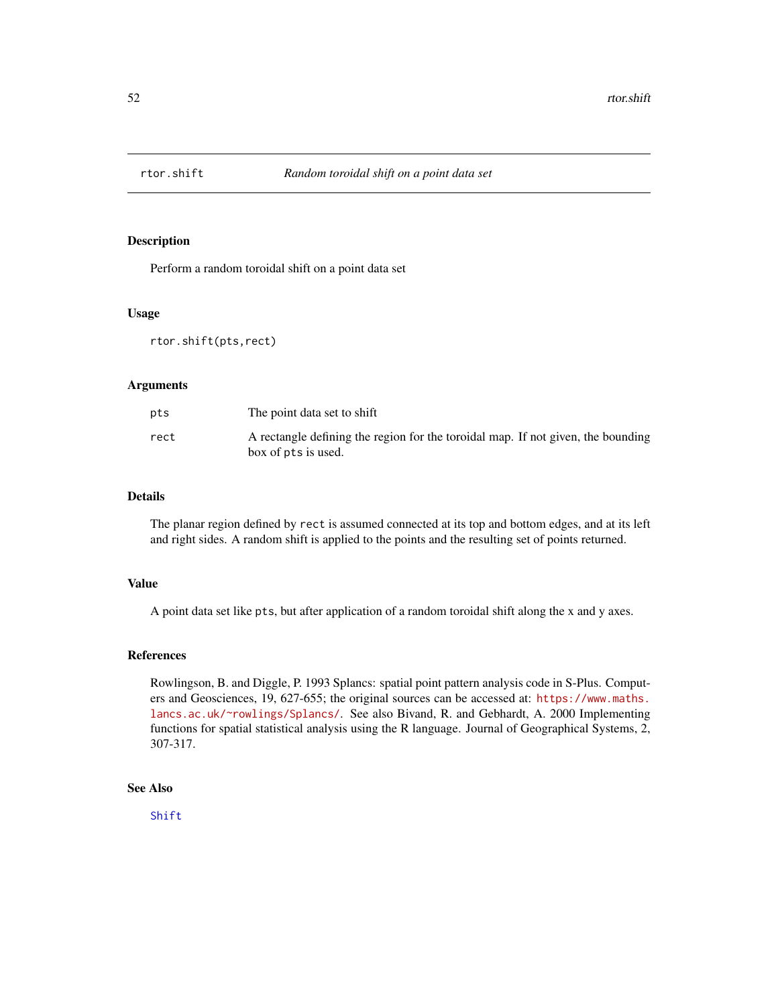<span id="page-51-1"></span><span id="page-51-0"></span>

Perform a random toroidal shift on a point data set

#### Usage

rtor.shift(pts,rect)

#### Arguments

| pts  | The point data set to shift                                                                             |
|------|---------------------------------------------------------------------------------------------------------|
| rect | A rectangle defining the region for the toroidal map. If not given, the bounding<br>box of pts is used. |

## Details

The planar region defined by rect is assumed connected at its top and bottom edges, and at its left and right sides. A random shift is applied to the points and the resulting set of points returned.

#### Value

A point data set like pts, but after application of a random toroidal shift along the x and y axes.

## References

Rowlingson, B. and Diggle, P. 1993 Splancs: spatial point pattern analysis code in S-Plus. Computers and Geosciences, 19, 627-655; the original sources can be accessed at: [https://www.maths.](https://www.maths.lancs.ac.uk/~rowlings/Splancs/) [lancs.ac.uk/~rowlings/Splancs/](https://www.maths.lancs.ac.uk/~rowlings/Splancs/). See also Bivand, R. and Gebhardt, A. 2000 Implementing functions for spatial statistical analysis using the R language. Journal of Geographical Systems, 2, 307-317.

## See Also

[Shift](#page-53-1)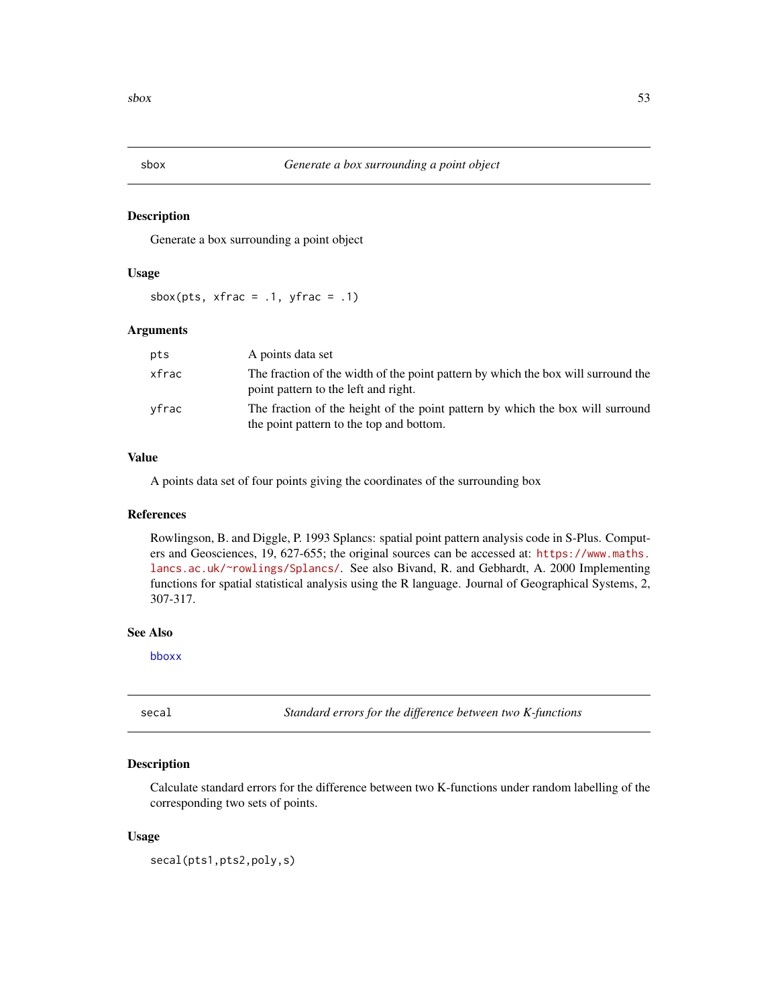<span id="page-52-1"></span><span id="page-52-0"></span>

Generate a box surrounding a point object

## Usage

sbox(pts,  $x$ frac = .1,  $y$ frac = .1)

#### Arguments

| pts   | A points data set                                                                                                          |
|-------|----------------------------------------------------------------------------------------------------------------------------|
| xfrac | The fraction of the width of the point pattern by which the box will surround the<br>point pattern to the left and right.  |
| vfrac | The fraction of the height of the point pattern by which the box will surround<br>the point pattern to the top and bottom. |

## Value

A points data set of four points giving the coordinates of the surrounding box

## References

Rowlingson, B. and Diggle, P. 1993 Splancs: spatial point pattern analysis code in S-Plus. Computers and Geosciences, 19, 627-655; the original sources can be accessed at: [https://www.maths.](https://www.maths.lancs.ac.uk/~rowlings/Splancs/) [lancs.ac.uk/~rowlings/Splancs/](https://www.maths.lancs.ac.uk/~rowlings/Splancs/). See also Bivand, R. and Gebhardt, A. 2000 Implementing functions for spatial statistical analysis using the R language. Journal of Geographical Systems, 2, 307-317.

#### See Also

[bboxx](#page-5-1)

<span id="page-52-2"></span>secal *Standard errors for the difference between two K-functions*

#### Description

Calculate standard errors for the difference between two K-functions under random labelling of the corresponding two sets of points.

#### Usage

secal(pts1,pts2,poly,s)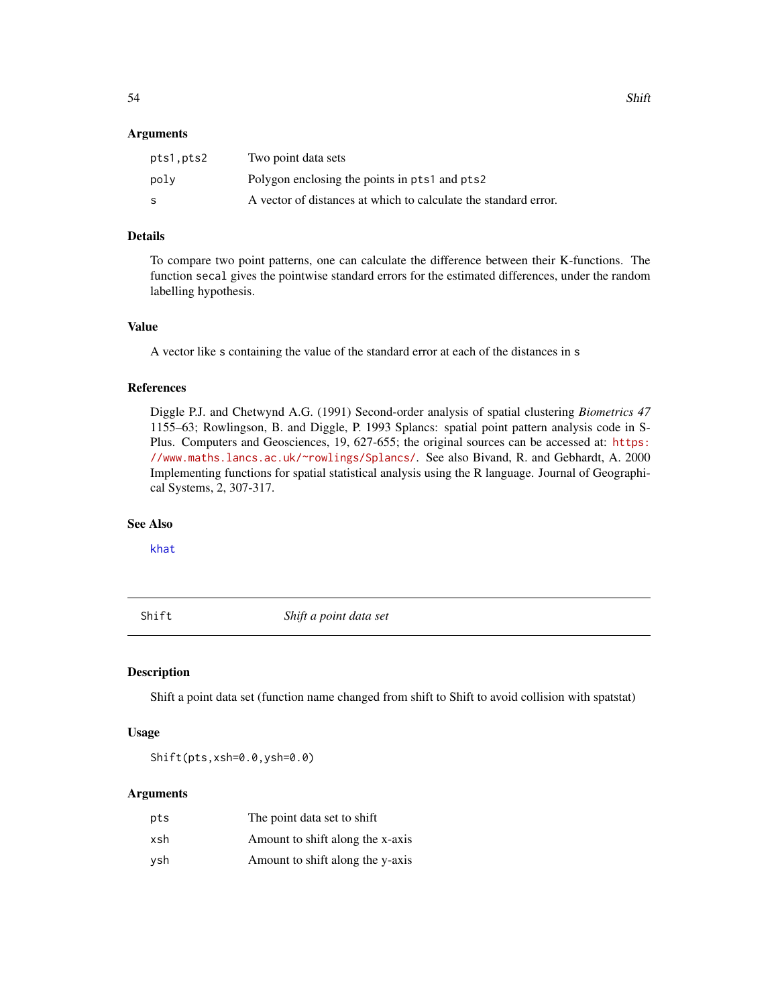#### <span id="page-53-0"></span>**Arguments**

| pts1.pts2 | Two point data sets                                             |
|-----------|-----------------------------------------------------------------|
| poly      | Polygon enclosing the points in pts1 and pts2                   |
| -S        | A vector of distances at which to calculate the standard error. |

## Details

To compare two point patterns, one can calculate the difference between their K-functions. The function secal gives the pointwise standard errors for the estimated differences, under the random labelling hypothesis.

## Value

A vector like s containing the value of the standard error at each of the distances in s

## References

Diggle P.J. and Chetwynd A.G. (1991) Second-order analysis of spatial clustering *Biometrics 47* 1155–63; Rowlingson, B. and Diggle, P. 1993 Splancs: spatial point pattern analysis code in S-Plus. Computers and Geosciences, 19, 627-655; the original sources can be accessed at: [https:](https://www.maths.lancs.ac.uk/~rowlings/Splancs/) [//www.maths.lancs.ac.uk/~rowlings/Splancs/](https://www.maths.lancs.ac.uk/~rowlings/Splancs/). See also Bivand, R. and Gebhardt, A. 2000 Implementing functions for spatial statistical analysis using the R language. Journal of Geographical Systems, 2, 307-317.

## See Also

[khat](#page-31-1)

<span id="page-53-1"></span>Shift *Shift a point data set*

## Description

Shift a point data set (function name changed from shift to Shift to avoid collision with spatstat)

## Usage

Shift(pts,xsh=0.0,ysh=0.0)

| pts | The point data set to shift      |
|-----|----------------------------------|
| xsh | Amount to shift along the x-axis |
| vsh | Amount to shift along the y-axis |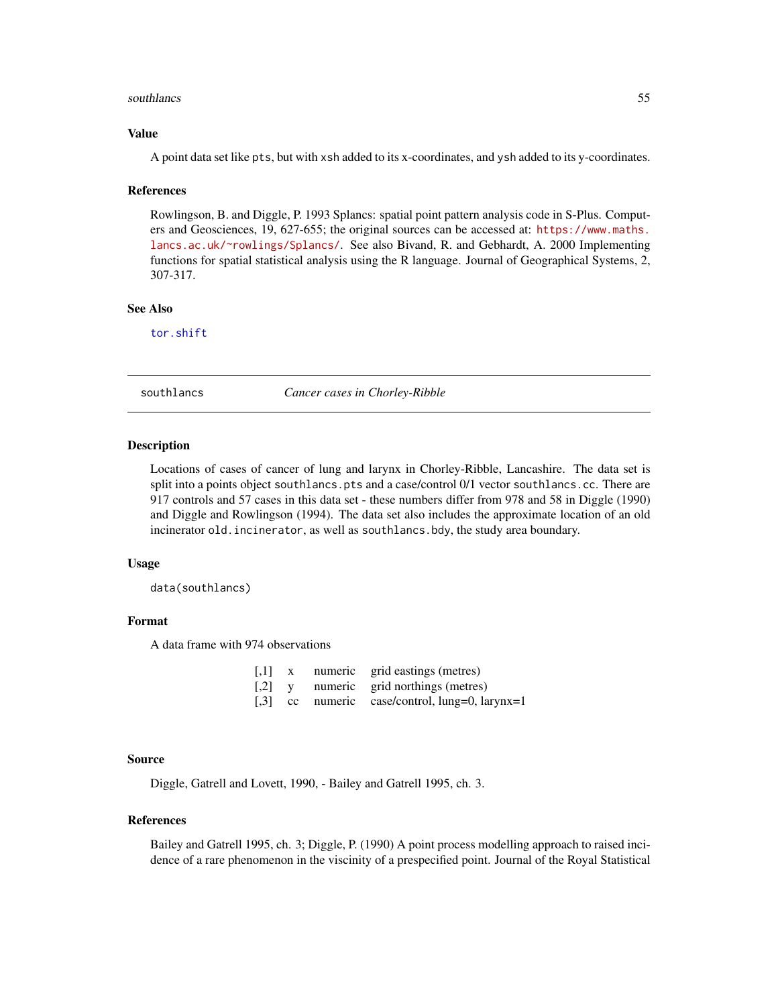#### <span id="page-54-0"></span>southlancs 55

## Value

A point data set like pts, but with xsh added to its x-coordinates, and ysh added to its y-coordinates.

#### References

Rowlingson, B. and Diggle, P. 1993 Splancs: spatial point pattern analysis code in S-Plus. Computers and Geosciences, 19, 627-655; the original sources can be accessed at: [https://www.maths.](https://www.maths.lancs.ac.uk/~rowlings/Splancs/) [lancs.ac.uk/~rowlings/Splancs/](https://www.maths.lancs.ac.uk/~rowlings/Splancs/). See also Bivand, R. and Gebhardt, A. 2000 Implementing functions for spatial statistical analysis using the R language. Journal of Geographical Systems, 2, 307-317.

## See Also

[tor.shift](#page-63-1)

southlancs *Cancer cases in Chorley-Ribble*

#### Description

Locations of cases of cancer of lung and larynx in Chorley-Ribble, Lancashire. The data set is split into a points object southlancs.pts and a case/control 0/1 vector southlancs.cc. There are 917 controls and 57 cases in this data set - these numbers differ from 978 and 58 in Diggle (1990) and Diggle and Rowlingson (1994). The data set also includes the approximate location of an old incinerator old.incinerator, as well as southlancs.bdy, the study area boundary.

## Usage

data(southlancs)

## Format

A data frame with 974 observations

| $\lceil$ ,1] | X | numeric grid eastings (metres)                 |
|--------------|---|------------------------------------------------|
| $[$          |   | numeric grid northings (metres)                |
|              |   | [,3] cc numeric case/control, lung=0, larynx=1 |

#### Source

Diggle, Gatrell and Lovett, 1990, - Bailey and Gatrell 1995, ch. 3.

#### References

Bailey and Gatrell 1995, ch. 3; Diggle, P. (1990) A point process modelling approach to raised incidence of a rare phenomenon in the viscinity of a prespecified point. Journal of the Royal Statistical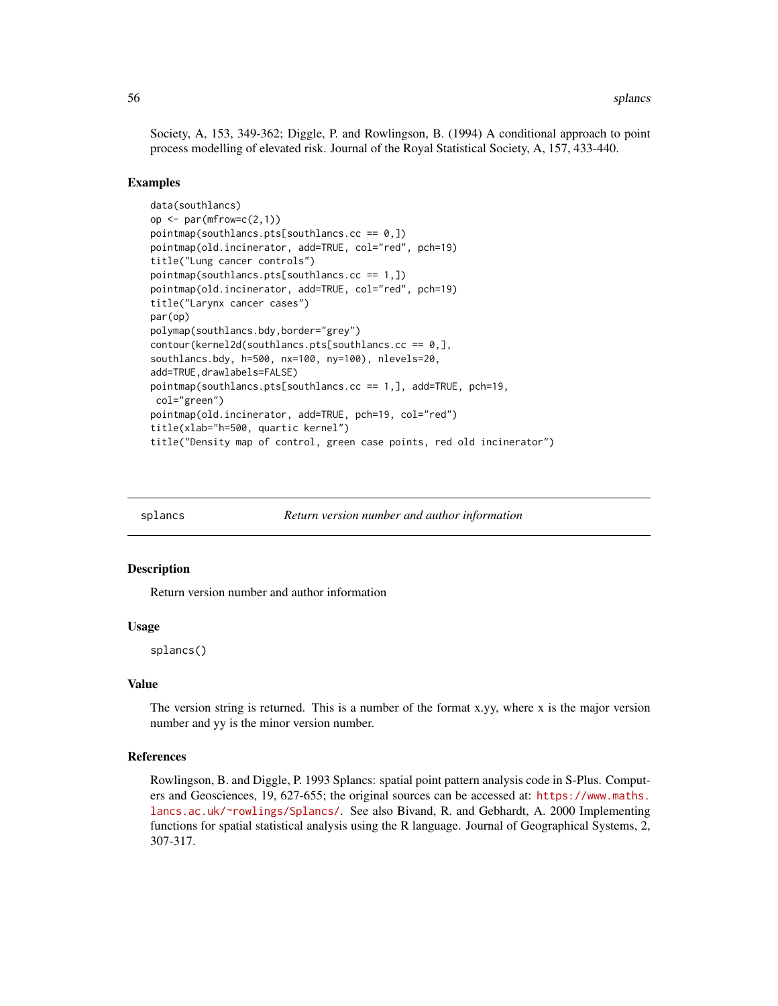<span id="page-55-0"></span>Society, A, 153, 349-362; Diggle, P. and Rowlingson, B. (1994) A conditional approach to point process modelling of elevated risk. Journal of the Royal Statistical Society, A, 157, 433-440.

#### Examples

```
data(southlancs)
op \leq par(mfrow=c(2,1))
pointmap(southlancs.pts[southlancs.cc == 0,])
pointmap(old.incinerator, add=TRUE, col="red", pch=19)
title("Lung cancer controls")
pointmap(southlancs.pts[southlancs.cc == 1,])
pointmap(old.incinerator, add=TRUE, col="red", pch=19)
title("Larynx cancer cases")
par(op)
polymap(southlancs.bdy,border="grey")
contour(kernel2d(southlancs.pts[southlancs.cc == 0,],
southlancs.bdy, h=500, nx=100, ny=100), nlevels=20,
add=TRUE,drawlabels=FALSE)
pointmap(southlancs.pts[southlancs.cc == 1,], add=TRUE, pch=19,
col="green")
pointmap(old.incinerator, add=TRUE, pch=19, col="red")
title(xlab="h=500, quartic kernel")
title("Density map of control, green case points, red old incinerator")
```
splancs *Return version number and author information*

#### Description

Return version number and author information

#### Usage

splancs()

#### Value

The version string is returned. This is a number of the format x,  $vy$ , where x is the major version number and yy is the minor version number.

#### References

Rowlingson, B. and Diggle, P. 1993 Splancs: spatial point pattern analysis code in S-Plus. Computers and Geosciences, 19, 627-655; the original sources can be accessed at: [https://www.maths.](https://www.maths.lancs.ac.uk/~rowlings/Splancs/) [lancs.ac.uk/~rowlings/Splancs/](https://www.maths.lancs.ac.uk/~rowlings/Splancs/). See also Bivand, R. and Gebhardt, A. 2000 Implementing functions for spatial statistical analysis using the R language. Journal of Geographical Systems, 2, 307-317.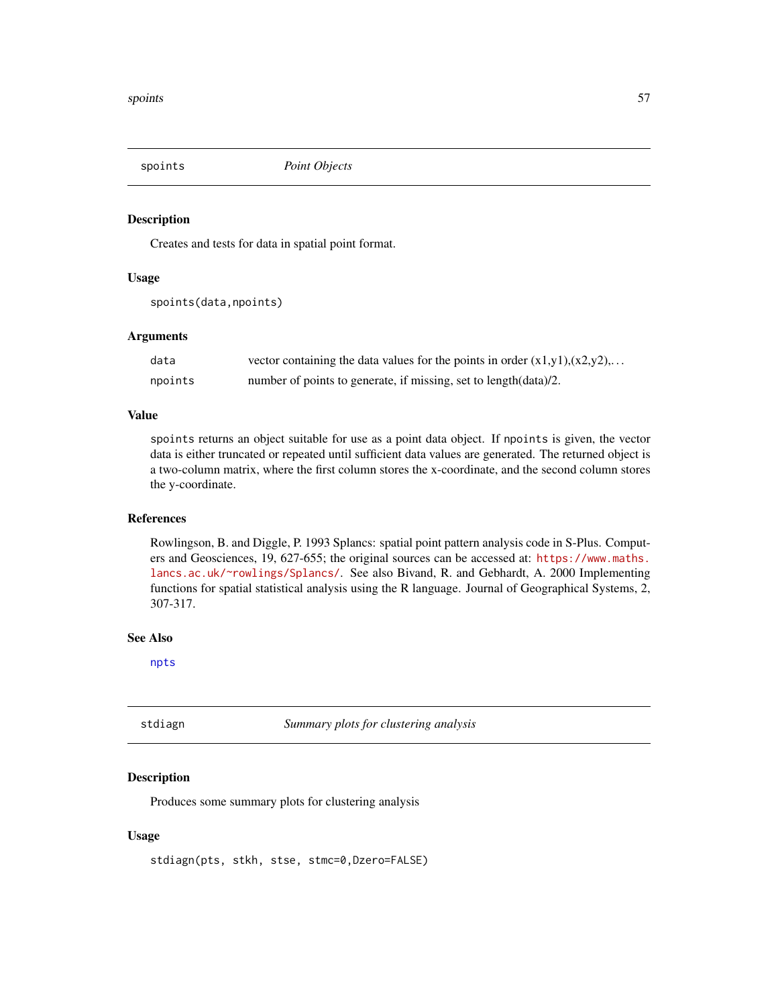<span id="page-56-0"></span>

Creates and tests for data in spatial point format.

## Usage

```
spoints(data,npoints)
```
## Arguments

| data    | vector containing the data values for the points in order $(x1,y1),(x2,y2),$ |
|---------|------------------------------------------------------------------------------|
| npoints | number of points to generate, if missing, set to length (data)/2.            |

## Value

spoints returns an object suitable for use as a point data object. If npoints is given, the vector data is either truncated or repeated until sufficient data values are generated. The returned object is a two-column matrix, where the first column stores the x-coordinate, and the second column stores the y-coordinate.

#### References

Rowlingson, B. and Diggle, P. 1993 Splancs: spatial point pattern analysis code in S-Plus. Computers and Geosciences, 19, 627-655; the original sources can be accessed at: [https://www.maths.](https://www.maths.lancs.ac.uk/~rowlings/Splancs/) [lancs.ac.uk/~rowlings/Splancs/](https://www.maths.lancs.ac.uk/~rowlings/Splancs/). See also Bivand, R. and Gebhardt, A. 2000 Implementing functions for spatial statistical analysis using the R language. Journal of Geographical Systems, 2, 307-317.

## See Also

[npts](#page-40-1)

<span id="page-56-1"></span>

stdiagn *Summary plots for clustering analysis*

#### Description

Produces some summary plots for clustering analysis

#### Usage

stdiagn(pts, stkh, stse, stmc=0,Dzero=FALSE)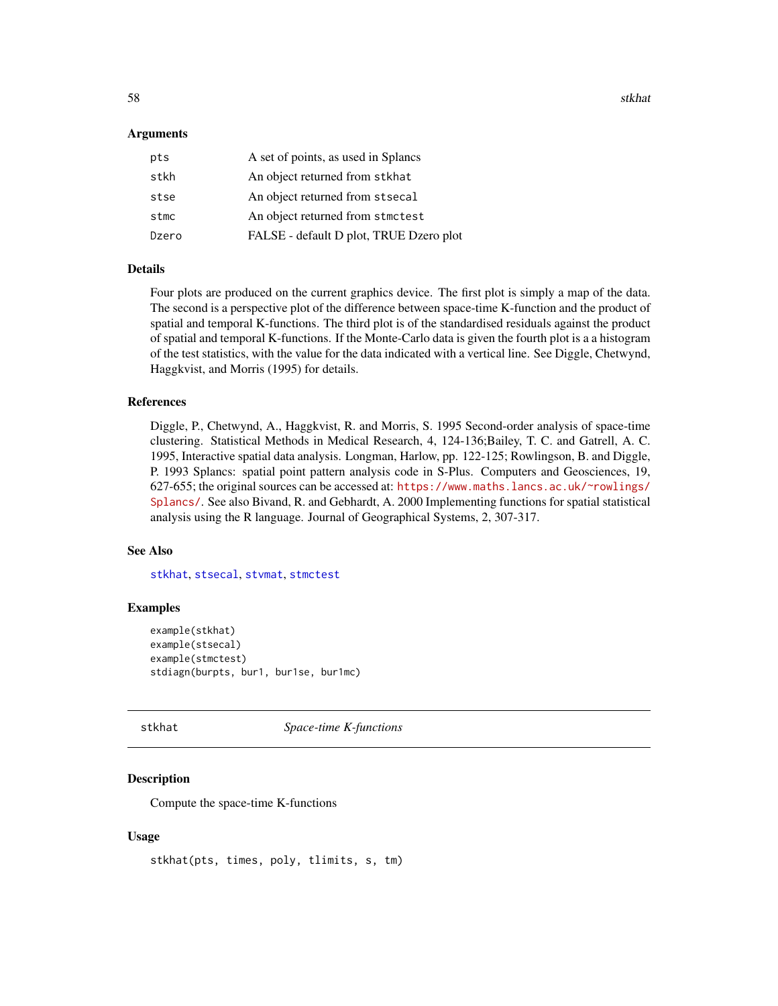<span id="page-57-0"></span>58 stkhat and the state of the state of the state of the state of the state of the state of the state of the state of the state of the state of the state of the state of the state of the state of the state of the state of

#### Arguments

| pts   | A set of points, as used in Splancs     |
|-------|-----------------------------------------|
| stkh  | An object returned from stkhat          |
| stse  | An object returned from stsecal         |
| stmc  | An object returned from stmctest        |
| Dzero | FALSE - default D plot, TRUE Dzero plot |

## Details

Four plots are produced on the current graphics device. The first plot is simply a map of the data. The second is a perspective plot of the difference between space-time K-function and the product of spatial and temporal K-functions. The third plot is of the standardised residuals against the product of spatial and temporal K-functions. If the Monte-Carlo data is given the fourth plot is a a histogram of the test statistics, with the value for the data indicated with a vertical line. See Diggle, Chetwynd, Haggkvist, and Morris (1995) for details.

## References

Diggle, P., Chetwynd, A., Haggkvist, R. and Morris, S. 1995 Second-order analysis of space-time clustering. Statistical Methods in Medical Research, 4, 124-136;Bailey, T. C. and Gatrell, A. C. 1995, Interactive spatial data analysis. Longman, Harlow, pp. 122-125; Rowlingson, B. and Diggle, P. 1993 Splancs: spatial point pattern analysis code in S-Plus. Computers and Geosciences, 19, 627-655; the original sources can be accessed at: [https://www.maths.lancs.ac.uk/~rowlings/](https://www.maths.lancs.ac.uk/~rowlings/Splancs/) [Splancs/](https://www.maths.lancs.ac.uk/~rowlings/Splancs/). See also Bivand, R. and Gebhardt, A. 2000 Implementing functions for spatial statistical analysis using the R language. Journal of Geographical Systems, 2, 307-317.

#### See Also

[stkhat](#page-57-1), [stsecal](#page-60-1), [stvmat](#page-61-1), [stmctest](#page-59-1)

## Examples

```
example(stkhat)
example(stsecal)
example(stmctest)
stdiagn(burpts, bur1, bur1se, bur1mc)
```
<span id="page-57-1"></span>

## stkhat *Space-time K-functions*

## Description

Compute the space-time K-functions

#### Usage

stkhat(pts, times, poly, tlimits, s, tm)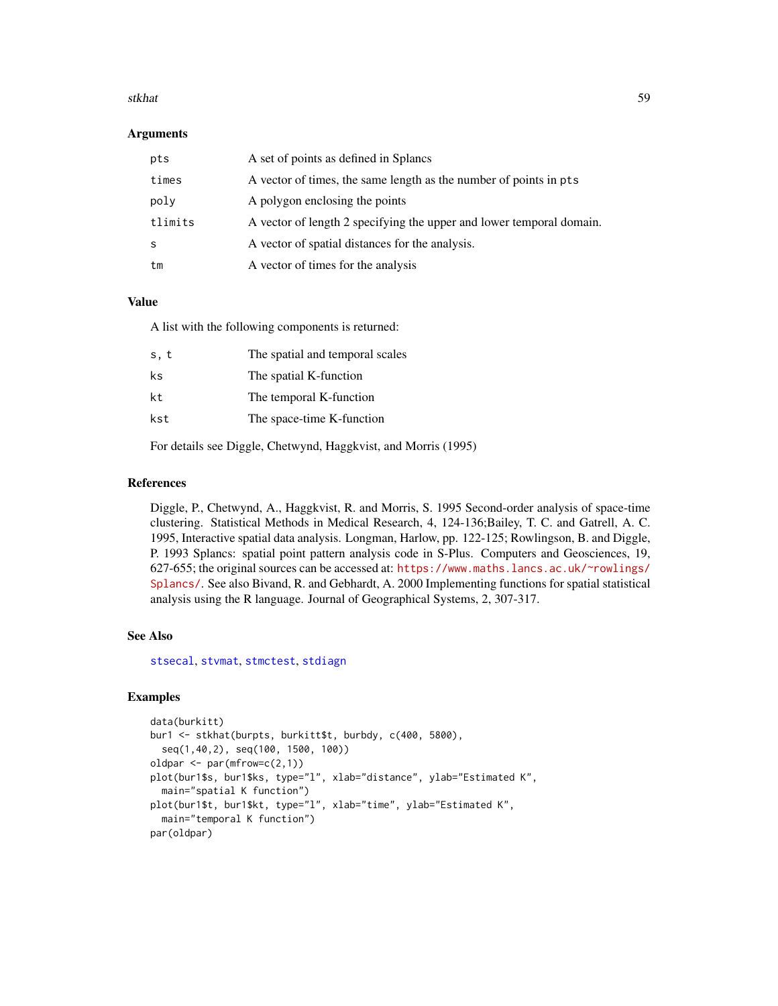#### <span id="page-58-0"></span>stkhat 59

#### Arguments

| pts     | A set of points as defined in Splancs                                |
|---------|----------------------------------------------------------------------|
| times   | A vector of times, the same length as the number of points in pts    |
| poly    | A polygon enclosing the points                                       |
| tlimits | A vector of length 2 specifying the upper and lower temporal domain. |
| S       | A vector of spatial distances for the analysis.                      |
| tm      | A vector of times for the analysis                                   |

#### Value

A list with the following components is returned:

| s, t | The spatial and temporal scales |
|------|---------------------------------|
| ks   | The spatial K-function          |
| kt   | The temporal K-function         |
| kst  | The space-time K-function       |
|      |                                 |

For details see Diggle, Chetwynd, Haggkvist, and Morris (1995)

#### References

Diggle, P., Chetwynd, A., Haggkvist, R. and Morris, S. 1995 Second-order analysis of space-time clustering. Statistical Methods in Medical Research, 4, 124-136;Bailey, T. C. and Gatrell, A. C. 1995, Interactive spatial data analysis. Longman, Harlow, pp. 122-125; Rowlingson, B. and Diggle, P. 1993 Splancs: spatial point pattern analysis code in S-Plus. Computers and Geosciences, 19, 627-655; the original sources can be accessed at: [https://www.maths.lancs.ac.uk/~rowlings/](https://www.maths.lancs.ac.uk/~rowlings/Splancs/) [Splancs/](https://www.maths.lancs.ac.uk/~rowlings/Splancs/). See also Bivand, R. and Gebhardt, A. 2000 Implementing functions for spatial statistical analysis using the R language. Journal of Geographical Systems, 2, 307-317.

#### See Also

[stsecal](#page-60-1), [stvmat](#page-61-1), [stmctest](#page-59-1), [stdiagn](#page-56-1)

```
data(burkitt)
bur1 <- stkhat(burpts, burkitt$t, burbdy, c(400, 5800),
  seq(1,40,2), seq(100, 1500, 100))
oldpar \leq par(mfrow=c(2,1))
plot(bur1$s, bur1$ks, type="l", xlab="distance", ylab="Estimated K",
  main="spatial K function")
plot(bur1$t, bur1$kt, type="l", xlab="time", ylab="Estimated K",
  main="temporal K function")
par(oldpar)
```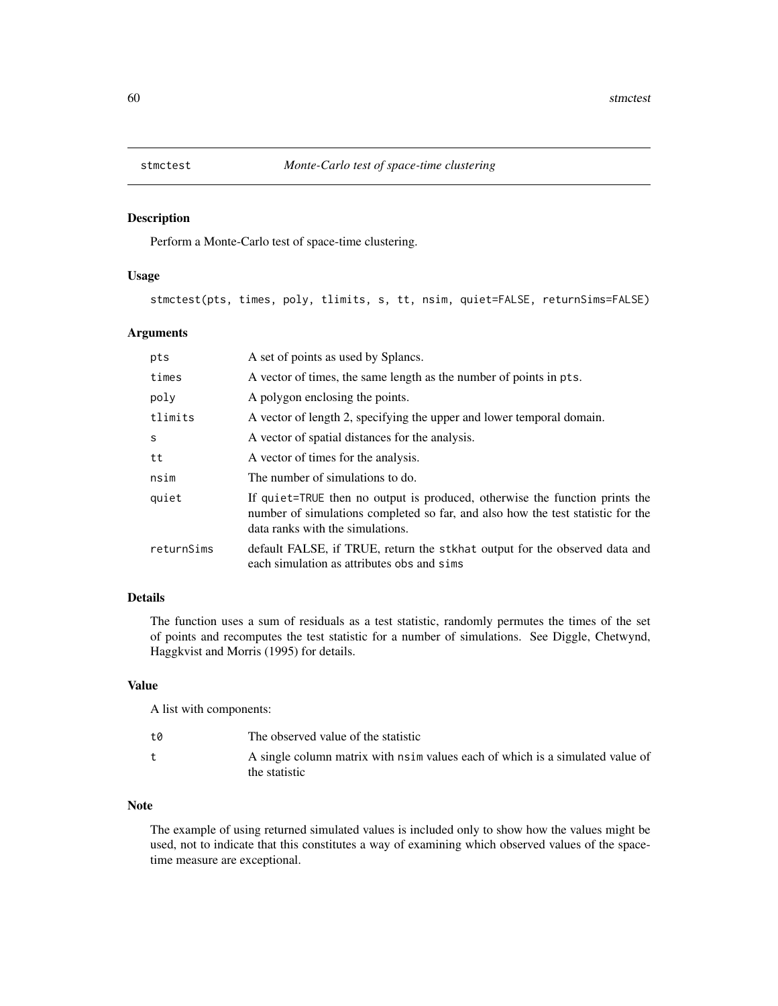<span id="page-59-1"></span><span id="page-59-0"></span>

Perform a Monte-Carlo test of space-time clustering.

#### Usage

stmctest(pts, times, poly, tlimits, s, tt, nsim, quiet=FALSE, returnSims=FALSE)

## Arguments

| pts        | A set of points as used by Splancs.                                                                                                                                                                |
|------------|----------------------------------------------------------------------------------------------------------------------------------------------------------------------------------------------------|
| times      | A vector of times, the same length as the number of points in pts.                                                                                                                                 |
| poly       | A polygon enclosing the points.                                                                                                                                                                    |
| tlimits    | A vector of length 2, specifying the upper and lower temporal domain.                                                                                                                              |
| S          | A vector of spatial distances for the analysis.                                                                                                                                                    |
| tt         | A vector of times for the analysis.                                                                                                                                                                |
| nsim       | The number of simulations to do.                                                                                                                                                                   |
| quiet      | If quiet=TRUE then no output is produced, otherwise the function prints the<br>number of simulations completed so far, and also how the test statistic for the<br>data ranks with the simulations. |
| returnSims | default FALSE, if TRUE, return the stkhat output for the observed data and<br>each simulation as attributes obs and sims                                                                           |

## Details

The function uses a sum of residuals as a test statistic, randomly permutes the times of the set of points and recomputes the test statistic for a number of simulations. See Diggle, Chetwynd, Haggkvist and Morris (1995) for details.

## Value

A list with components:

| t0 | The observed value of the statistic                                                            |
|----|------------------------------------------------------------------------------------------------|
|    | A single column matrix with nsim values each of which is a simulated value of<br>the statistic |

## Note

The example of using returned simulated values is included only to show how the values might be used, not to indicate that this constitutes a way of examining which observed values of the spacetime measure are exceptional.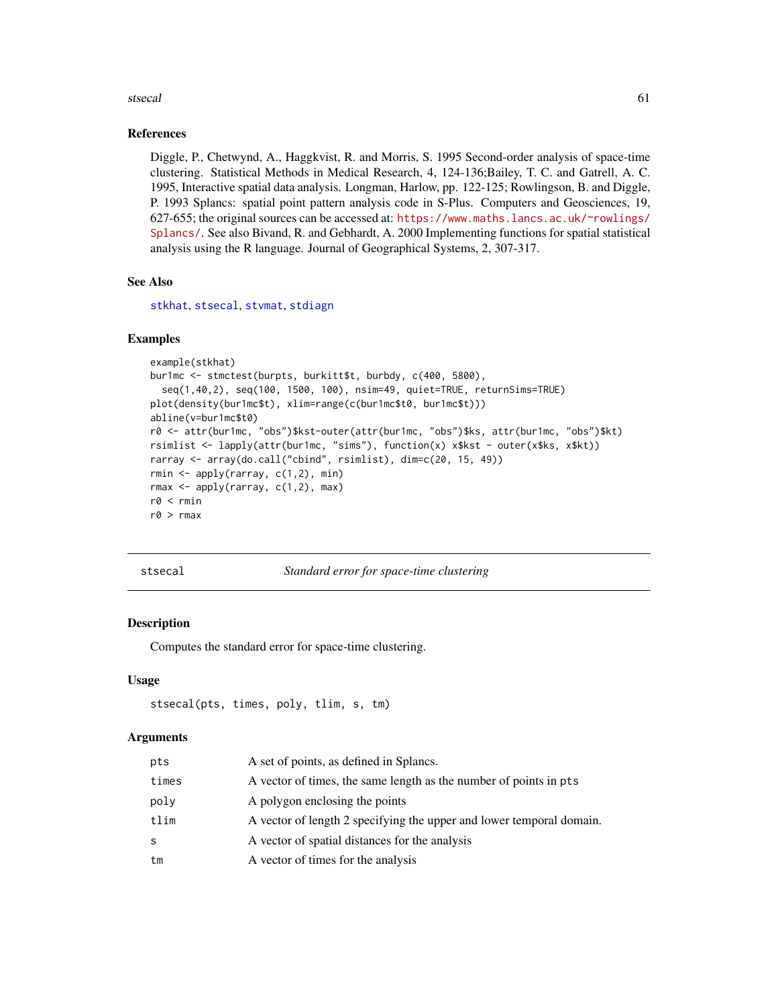#### <span id="page-60-0"></span>stsecal 61

## References

Diggle, P., Chetwynd, A., Haggkvist, R. and Morris, S. 1995 Second-order analysis of space-time clustering. Statistical Methods in Medical Research, 4, 124-136;Bailey, T. C. and Gatrell, A. C. 1995, Interactive spatial data analysis. Longman, Harlow, pp. 122-125; Rowlingson, B. and Diggle, P. 1993 Splancs: spatial point pattern analysis code in S-Plus. Computers and Geosciences, 19, 627-655; the original sources can be accessed at: [https://www.maths.lancs.ac.uk/~rowlings/](https://www.maths.lancs.ac.uk/~rowlings/Splancs/) [Splancs/](https://www.maths.lancs.ac.uk/~rowlings/Splancs/). See also Bivand, R. and Gebhardt, A. 2000 Implementing functions for spatial statistical analysis using the R language. Journal of Geographical Systems, 2, 307-317.

#### See Also

[stkhat](#page-57-1), [stsecal](#page-60-1), [stvmat](#page-61-1), [stdiagn](#page-56-1)

#### Examples

```
example(stkhat)
bur1mc <- stmctest(burpts, burkitt$t, burbdy, c(400, 5800),
 seq(1,40,2), seq(100, 1500, 100), nsim=49, quiet=TRUE, returnSims=TRUE)
plot(density(bur1mc$t), xlim=range(c(bur1mc$t0, bur1mc$t)))
abline(v=bur1mc$t0)
r0 <- attr(bur1mc, "obs")$kst-outer(attr(bur1mc, "obs")$ks, attr(bur1mc, "obs")$kt)
rsimlist <- lapply(attr(bur1mc, "sims"), function(x) x$kst - outer(x$ks, x$kt))
rarray <- array(do.call("cbind", rsimlist), dim=c(20, 15, 49))
rmin <- apply(rarray, c(1,2), min)
rmax <- apply(rarray, c(1,2), max)
r0 < rmin
r0 > rmax
```
<span id="page-60-1"></span>stsecal *Standard error for space-time clustering*

#### Description

Computes the standard error for space-time clustering.

#### Usage

```
stsecal(pts, times, poly, tlim, s, tm)
```

| pts   | A set of points, as defined in Splancs.                              |
|-------|----------------------------------------------------------------------|
| times | A vector of times, the same length as the number of points in pts    |
| poly  | A polygon enclosing the points                                       |
| tlim  | A vector of length 2 specifying the upper and lower temporal domain. |
| S     | A vector of spatial distances for the analysis                       |
| tm    | A vector of times for the analysis                                   |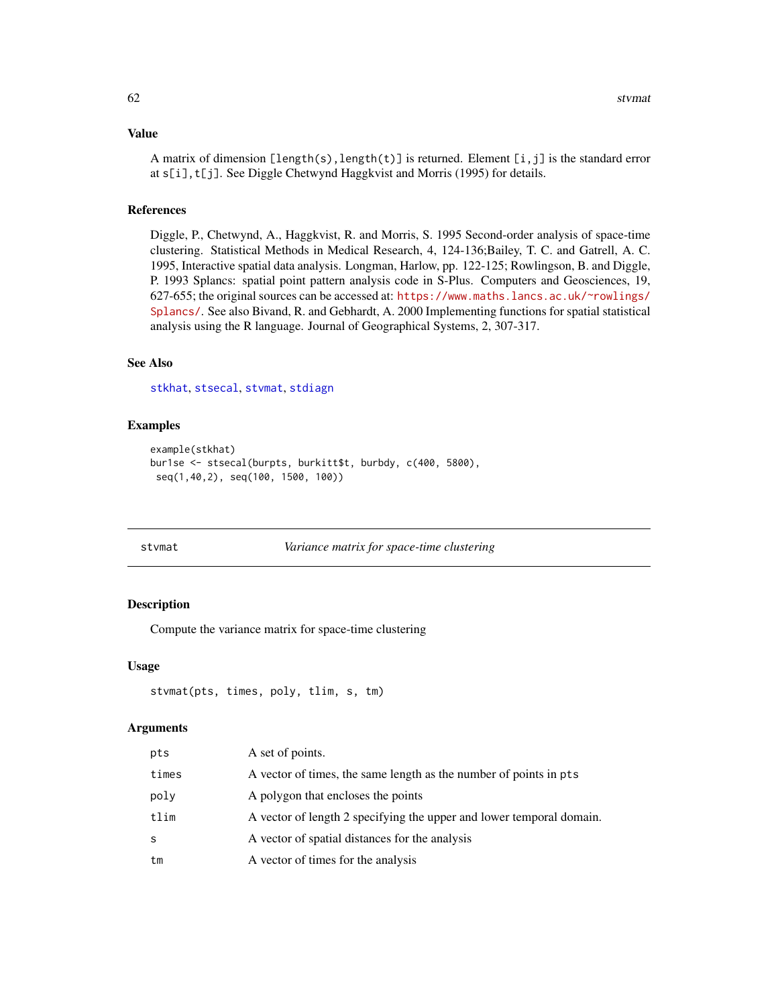## <span id="page-61-0"></span>Value

A matrix of dimension  $[length(s), length(t)]$  is returned. Element  $[i, j]$  is the standard error at s[i],t[j]. See Diggle Chetwynd Haggkvist and Morris (1995) for details.

#### References

Diggle, P., Chetwynd, A., Haggkvist, R. and Morris, S. 1995 Second-order analysis of space-time clustering. Statistical Methods in Medical Research, 4, 124-136;Bailey, T. C. and Gatrell, A. C. 1995, Interactive spatial data analysis. Longman, Harlow, pp. 122-125; Rowlingson, B. and Diggle, P. 1993 Splancs: spatial point pattern analysis code in S-Plus. Computers and Geosciences, 19, 627-655; the original sources can be accessed at: [https://www.maths.lancs.ac.uk/~rowlings/](https://www.maths.lancs.ac.uk/~rowlings/Splancs/) [Splancs/](https://www.maths.lancs.ac.uk/~rowlings/Splancs/). See also Bivand, R. and Gebhardt, A. 2000 Implementing functions for spatial statistical analysis using the R language. Journal of Geographical Systems, 2, 307-317.

## See Also

[stkhat](#page-57-1), [stsecal](#page-60-1), [stvmat](#page-61-1), [stdiagn](#page-56-1)

#### Examples

```
example(stkhat)
bur1se <- stsecal(burpts, burkitt$t, burbdy, c(400, 5800),
seq(1,40,2), seq(100, 1500, 100))
```
<span id="page-61-1"></span>

#### stvmat *Variance matrix for space-time clustering*

#### Description

Compute the variance matrix for space-time clustering

#### Usage

```
stvmat(pts, times, poly, tlim, s, tm)
```

| pts   | A set of points.                                                     |
|-------|----------------------------------------------------------------------|
| times | A vector of times, the same length as the number of points in pts    |
| poly  | A polygon that encloses the points                                   |
| tlim  | A vector of length 2 specifying the upper and lower temporal domain. |
| S     | A vector of spatial distances for the analysis                       |
| tm    | A vector of times for the analysis                                   |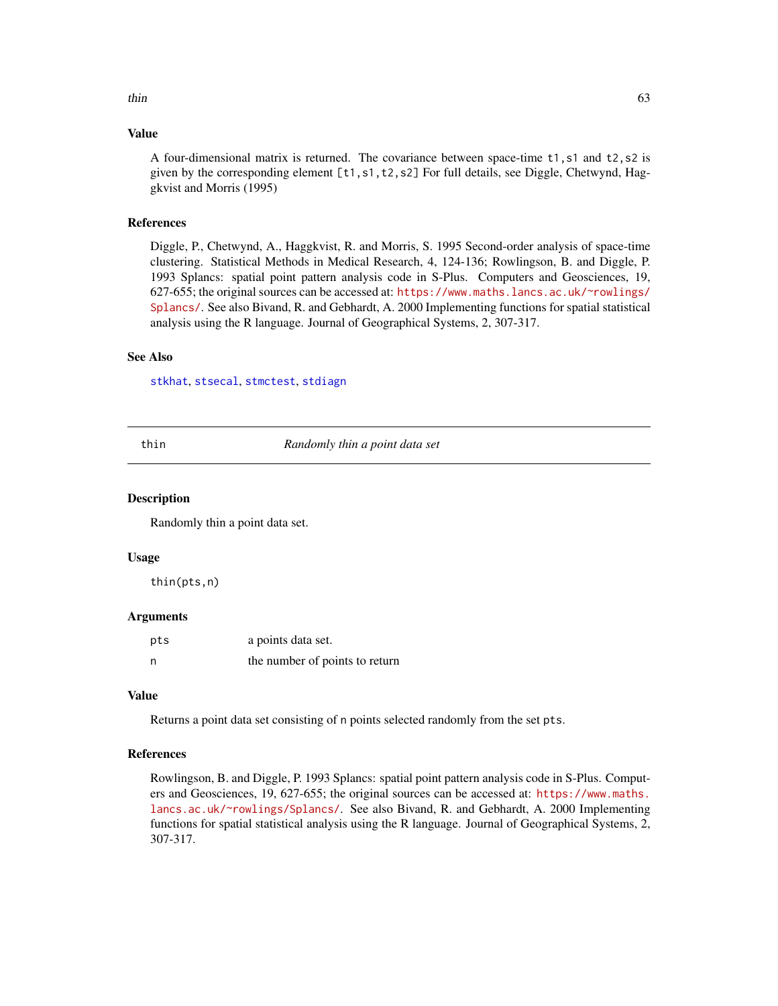#### <span id="page-62-0"></span>Value

A four-dimensional matrix is returned. The covariance between space-time t1,s1 and t2,s2 is given by the corresponding element [t1,s1,t2,s2] For full details, see Diggle, Chetwynd, Haggkvist and Morris (1995)

## References

Diggle, P., Chetwynd, A., Haggkvist, R. and Morris, S. 1995 Second-order analysis of space-time clustering. Statistical Methods in Medical Research, 4, 124-136; Rowlingson, B. and Diggle, P. 1993 Splancs: spatial point pattern analysis code in S-Plus. Computers and Geosciences, 19, 627-655; the original sources can be accessed at: [https://www.maths.lancs.ac.uk/~rowlings/](https://www.maths.lancs.ac.uk/~rowlings/Splancs/) [Splancs/](https://www.maths.lancs.ac.uk/~rowlings/Splancs/). See also Bivand, R. and Gebhardt, A. 2000 Implementing functions for spatial statistical analysis using the R language. Journal of Geographical Systems, 2, 307-317.

## See Also

[stkhat](#page-57-1), [stsecal](#page-60-1), [stmctest](#page-59-1), [stdiagn](#page-56-1)

thin *Randomly thin a point data set*

#### **Description**

Randomly thin a point data set.

#### Usage

thin(pts,n)

#### Arguments

| pts | a points data set.             |
|-----|--------------------------------|
| n   | the number of points to return |

#### Value

Returns a point data set consisting of n points selected randomly from the set pts.

#### References

Rowlingson, B. and Diggle, P. 1993 Splancs: spatial point pattern analysis code in S-Plus. Computers and Geosciences, 19, 627-655; the original sources can be accessed at: [https://www.maths.](https://www.maths.lancs.ac.uk/~rowlings/Splancs/) [lancs.ac.uk/~rowlings/Splancs/](https://www.maths.lancs.ac.uk/~rowlings/Splancs/). See also Bivand, R. and Gebhardt, A. 2000 Implementing functions for spatial statistical analysis using the R language. Journal of Geographical Systems, 2, 307-317.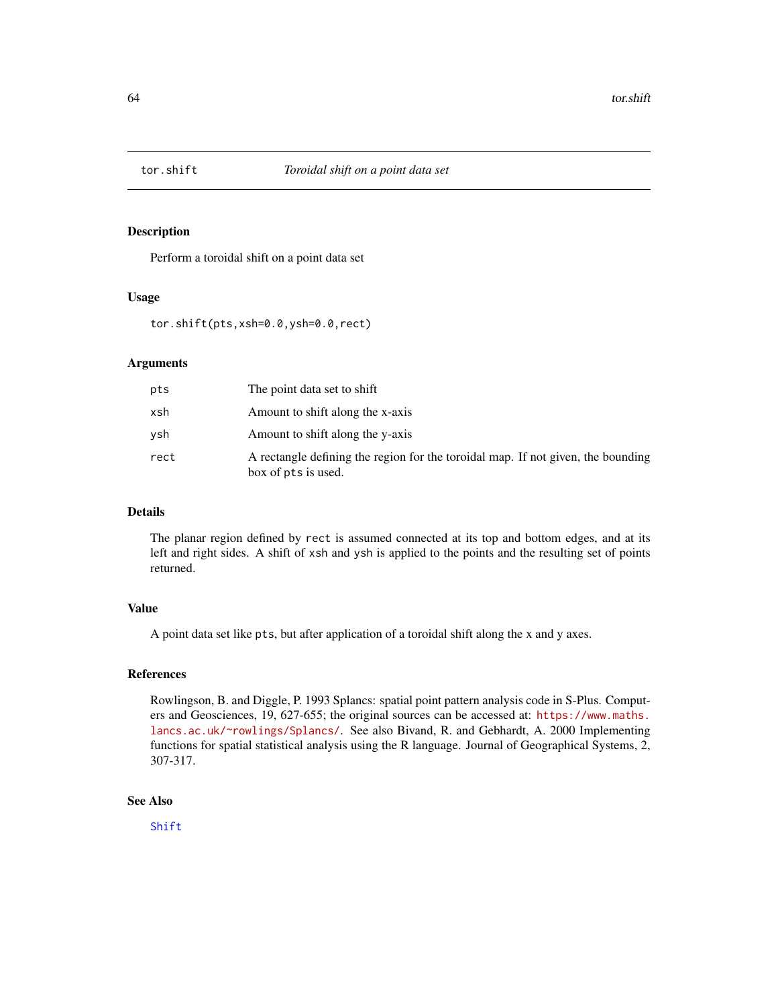<span id="page-63-1"></span><span id="page-63-0"></span>

Perform a toroidal shift on a point data set

#### Usage

tor.shift(pts,xsh=0.0,ysh=0.0,rect)

## Arguments

| pts  | The point data set to shift                                                                             |
|------|---------------------------------------------------------------------------------------------------------|
| xsh  | Amount to shift along the x-axis                                                                        |
| vsh  | Amount to shift along the y-axis                                                                        |
| rect | A rectangle defining the region for the toroidal map. If not given, the bounding<br>box of pts is used. |

## Details

The planar region defined by rect is assumed connected at its top and bottom edges, and at its left and right sides. A shift of xsh and ysh is applied to the points and the resulting set of points returned.

## Value

A point data set like pts, but after application of a toroidal shift along the x and y axes.

#### References

Rowlingson, B. and Diggle, P. 1993 Splancs: spatial point pattern analysis code in S-Plus. Computers and Geosciences, 19, 627-655; the original sources can be accessed at: [https://www.maths.](https://www.maths.lancs.ac.uk/~rowlings/Splancs/) [lancs.ac.uk/~rowlings/Splancs/](https://www.maths.lancs.ac.uk/~rowlings/Splancs/). See also Bivand, R. and Gebhardt, A. 2000 Implementing functions for spatial statistical analysis using the R language. Journal of Geographical Systems, 2, 307-317.

## See Also

[Shift](#page-53-1)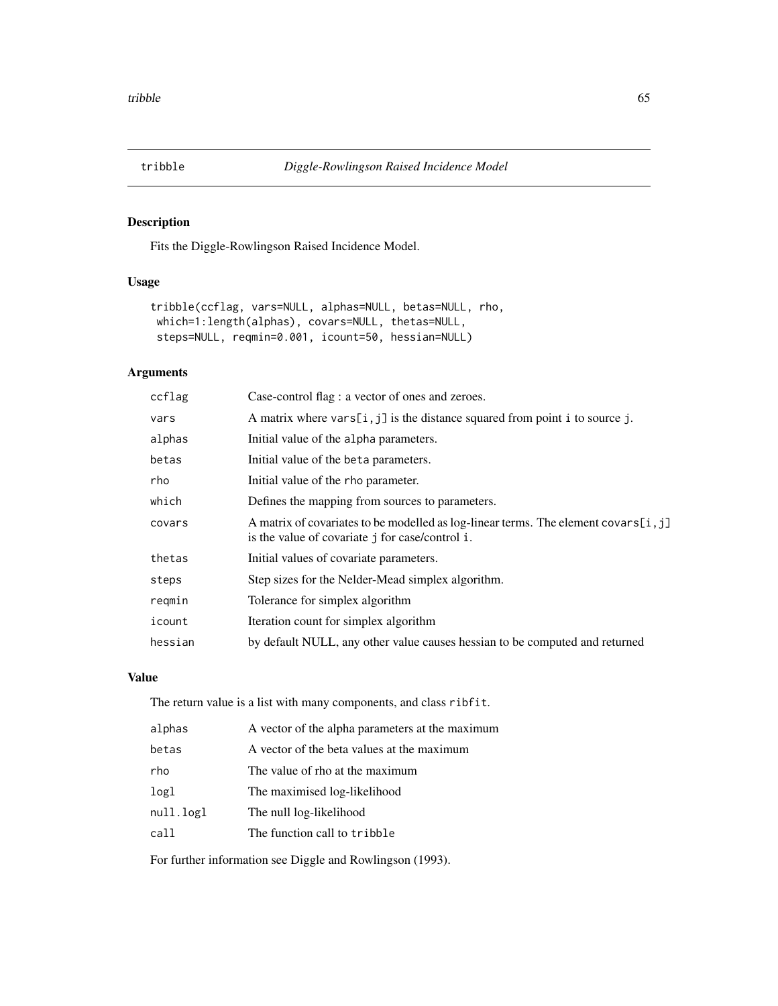<span id="page-64-1"></span><span id="page-64-0"></span>

Fits the Diggle-Rowlingson Raised Incidence Model.

## Usage

```
tribble(ccflag, vars=NULL, alphas=NULL, betas=NULL, rho,
which=1:length(alphas), covars=NULL, thetas=NULL,
steps=NULL, reqmin=0.001, icount=50, hessian=NULL)
```
## Arguments

| ccflag  | Case-control flag : a vector of ones and zeroes.                                                                                        |
|---------|-----------------------------------------------------------------------------------------------------------------------------------------|
| vars    | A matrix where $vars[i, j]$ is the distance squared from point i to source j.                                                           |
| alphas  | Initial value of the alpha parameters.                                                                                                  |
| betas   | Initial value of the beta parameters.                                                                                                   |
| rho     | Initial value of the rho parameter.                                                                                                     |
| which   | Defines the mapping from sources to parameters.                                                                                         |
| covars  | A matrix of covariates to be modelled as log-linear terms. The element covars [i, j]<br>is the value of covariate j for case/control i. |
| thetas  | Initial values of covariate parameters.                                                                                                 |
| steps   | Step sizes for the Nelder-Mead simplex algorithm.                                                                                       |
| reqmin  | Tolerance for simplex algorithm                                                                                                         |
| icount  | Iteration count for simplex algorithm                                                                                                   |
| hessian | by default NULL, any other value causes hessian to be computed and returned                                                             |

## Value

The return value is a list with many components, and class ribfit.

| alphas           | A vector of the alpha parameters at the maximum |
|------------------|-------------------------------------------------|
| betas            | A vector of the beta values at the maximum      |
| rho              | The value of rho at the maximum                 |
| log <sub>1</sub> | The maximised log-likelihood                    |
| null.logl        | The null log-likelihood                         |
| call             | The function call to tribble                    |

For further information see Diggle and Rowlingson (1993).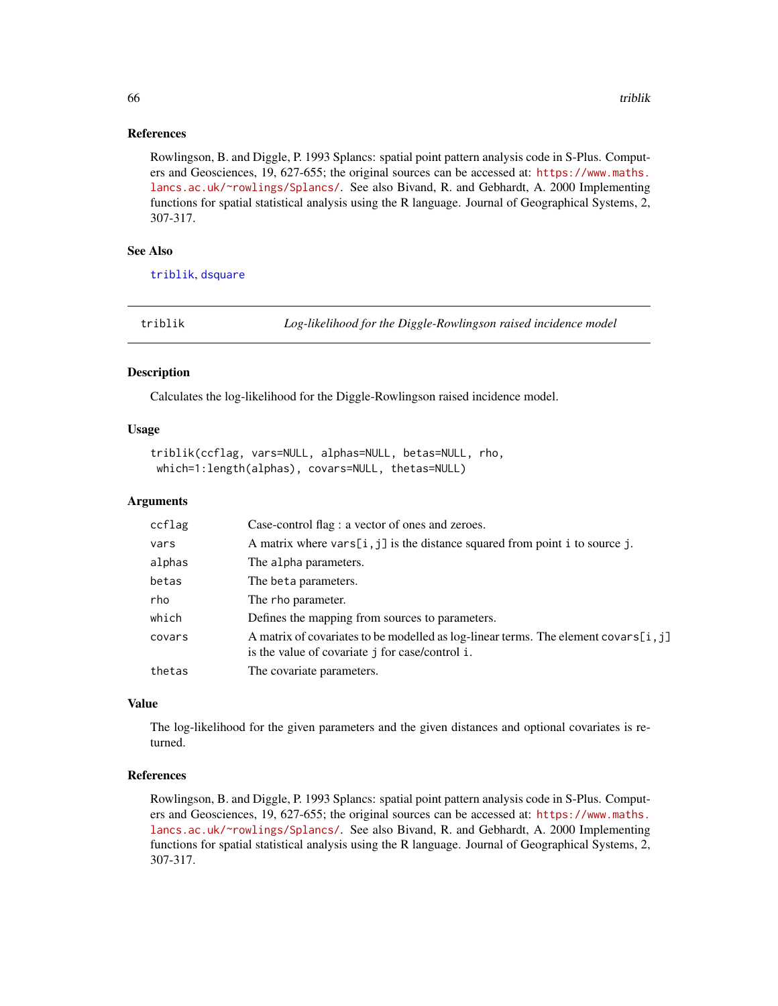#### References

Rowlingson, B. and Diggle, P. 1993 Splancs: spatial point pattern analysis code in S-Plus. Computers and Geosciences, 19, 627-655; the original sources can be accessed at: [https://www.maths.](https://www.maths.lancs.ac.uk/~rowlings/Splancs/) [lancs.ac.uk/~rowlings/Splancs/](https://www.maths.lancs.ac.uk/~rowlings/Splancs/). See also Bivand, R. and Gebhardt, A. 2000 Implementing functions for spatial statistical analysis using the R language. Journal of Geographical Systems, 2, 307-317.

## See Also

[triblik](#page-65-1), [dsquare](#page-10-2)

<span id="page-65-1"></span>triblik *Log-likelihood for the Diggle-Rowlingson raised incidence model*

#### Description

Calculates the log-likelihood for the Diggle-Rowlingson raised incidence model.

#### Usage

```
triblik(ccflag, vars=NULL, alphas=NULL, betas=NULL, rho,
which=1:length(alphas), covars=NULL, thetas=NULL)
```
#### Arguments

| ccflag | Case-control flag : a vector of ones and zeroes.                                                                                        |
|--------|-----------------------------------------------------------------------------------------------------------------------------------------|
| vars   | A matrix where $vars[i, j]$ is the distance squared from point i to source j.                                                           |
| alphas | The alpha parameters.                                                                                                                   |
| betas  | The beta parameters.                                                                                                                    |
| rho    | The rho parameter.                                                                                                                      |
| which  | Defines the mapping from sources to parameters.                                                                                         |
| covars | A matrix of covariates to be modelled as log-linear terms. The element covars [i, j]<br>is the value of covariate j for case/control i. |
| thetas | The covariate parameters.                                                                                                               |

#### Value

The log-likelihood for the given parameters and the given distances and optional covariates is returned.

## References

Rowlingson, B. and Diggle, P. 1993 Splancs: spatial point pattern analysis code in S-Plus. Computers and Geosciences, 19, 627-655; the original sources can be accessed at: [https://www.maths.](https://www.maths.lancs.ac.uk/~rowlings/Splancs/) [lancs.ac.uk/~rowlings/Splancs/](https://www.maths.lancs.ac.uk/~rowlings/Splancs/). See also Bivand, R. and Gebhardt, A. 2000 Implementing functions for spatial statistical analysis using the R language. Journal of Geographical Systems, 2, 307-317.

<span id="page-65-0"></span>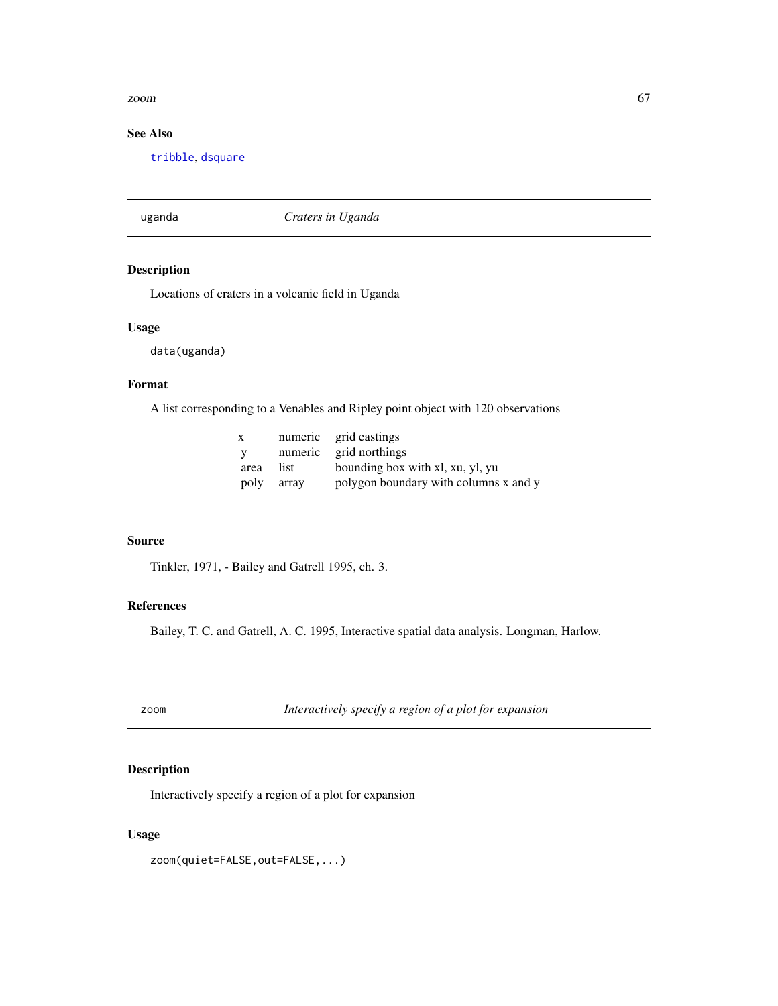#### <span id="page-66-0"></span>zoom aan die 19de eeu n.C. In 19de eeu n.C. In 19de eeu n.C. In 19de eeu n.C. In 19de eeu n.C. 19de eeu n.C. 1

## See Also

[tribble](#page-64-1), [dsquare](#page-10-2)

uganda *Craters in Uganda*

## Description

Locations of craters in a volcanic field in Uganda

## Usage

data(uganda)

## Format

A list corresponding to a Venables and Ripley point object with 120 observations

| $\mathbf x$ |       | numeric grid eastings                 |
|-------------|-------|---------------------------------------|
| - V         |       | numeric grid northings                |
| area        | list. | bounding box with xl, xu, yl, yu      |
| poly        | arrav | polygon boundary with columns x and y |

## Source

Tinkler, 1971, - Bailey and Gatrell 1995, ch. 3.

## References

Bailey, T. C. and Gatrell, A. C. 1995, Interactive spatial data analysis. Longman, Harlow.

zoom *Interactively specify a region of a plot for expansion*

## Description

Interactively specify a region of a plot for expansion

## Usage

zoom(quiet=FALSE,out=FALSE,...)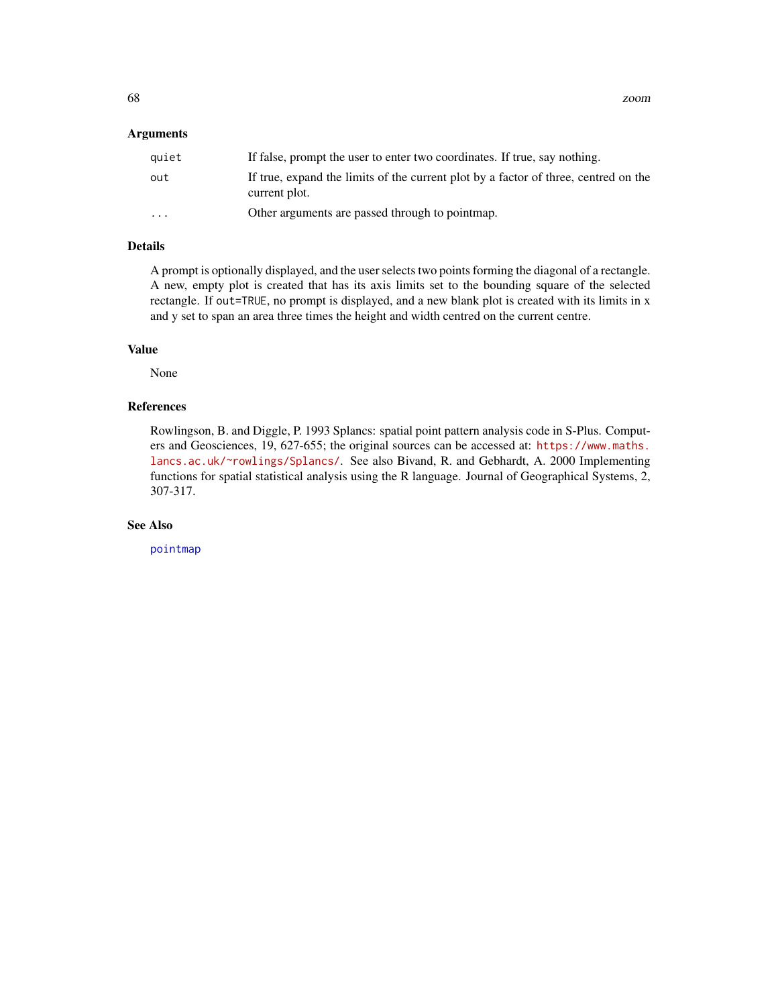## <span id="page-67-0"></span>Arguments

| quiet    | If false, prompt the user to enter two coordinates. If true, say nothing.                            |
|----------|------------------------------------------------------------------------------------------------------|
| out      | If true, expand the limits of the current plot by a factor of three, centred on the<br>current plot. |
| $\cdots$ | Other arguments are passed through to pointmap.                                                      |

## Details

A prompt is optionally displayed, and the user selects two points forming the diagonal of a rectangle. A new, empty plot is created that has its axis limits set to the bounding square of the selected rectangle. If out=TRUE, no prompt is displayed, and a new blank plot is created with its limits in x and y set to span an area three times the height and width centred on the current centre.

## Value

None

## References

Rowlingson, B. and Diggle, P. 1993 Splancs: spatial point pattern analysis code in S-Plus. Computers and Geosciences, 19, 627-655; the original sources can be accessed at: [https://www.maths.](https://www.maths.lancs.ac.uk/~rowlings/Splancs/) [lancs.ac.uk/~rowlings/Splancs/](https://www.maths.lancs.ac.uk/~rowlings/Splancs/). See also Bivand, R. and Gebhardt, A. 2000 Implementing functions for spatial statistical analysis using the R language. Journal of Geographical Systems, 2, 307-317.

#### See Also

[pointmap](#page-46-1)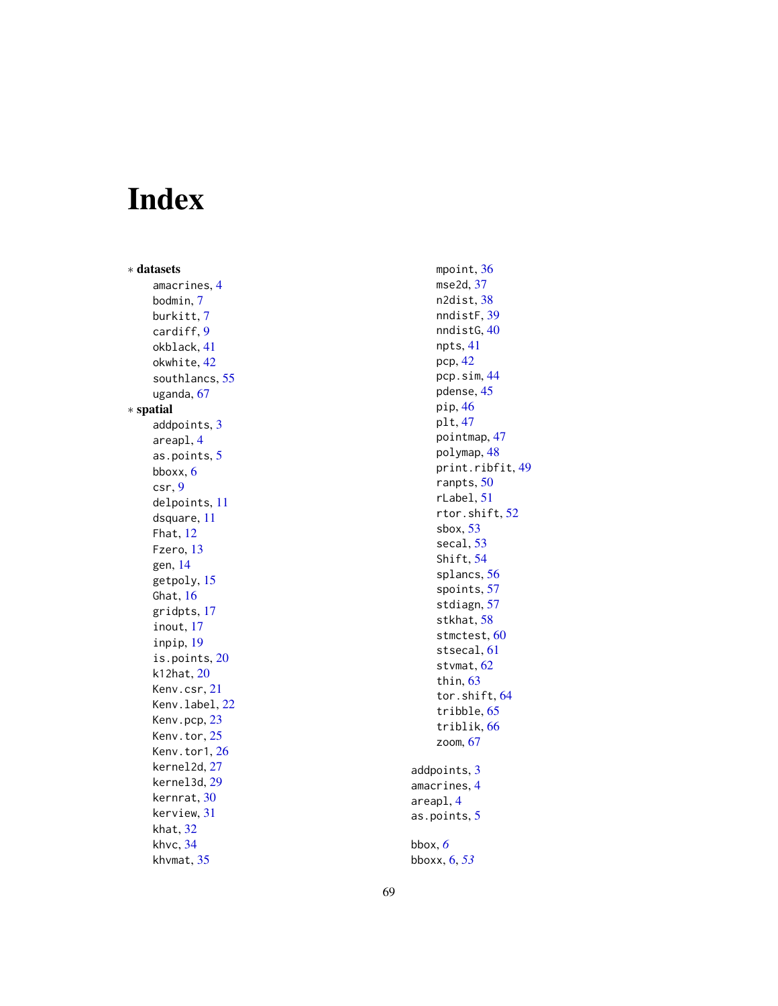# <span id="page-68-0"></span>Index

∗ datasets amacrines , [4](#page-3-0) bodmin , [7](#page-6-0) burkitt , [7](#page-6-0) cardiff , [9](#page-8-0) okblack , [41](#page-40-0) okwhite , [42](#page-41-0) southlancs , [55](#page-54-0) uganda , [67](#page-66-0) ∗ spatial addpoints , [3](#page-2-0) areapl , [4](#page-3-0) as.points , [5](#page-4-0) bboxx , [6](#page-5-0) csr , [9](#page-8-0) delpoints , [11](#page-10-0) dsquare , [11](#page-10-0) Fhat , [12](#page-11-0) Fzero, [13](#page-12-0) gen , [14](#page-13-0) getpoly , [15](#page-14-0) Ghat, [16](#page-15-0) gridpts , [17](#page-16-0) inout , [17](#page-16-0) inpip , [19](#page-18-0) is.points , [20](#page-19-0) k12hat , [20](#page-19-0) Kenv.csr , [21](#page-20-0) Kenv.label, [22](#page-21-0) Kenv.pcp, [23](#page-22-0) Kenv.tor, [25](#page-24-0) Kenv.tor1, [26](#page-25-0) kernel2d , [27](#page-26-0) kernel3d , [29](#page-28-0) kernrat , [30](#page-29-0) kerview , [31](#page-30-0) khat , [32](#page-31-0) khvc , [34](#page-33-0) khvmat , [35](#page-34-0)

mpoint , [36](#page-35-0) mse2d , [37](#page-36-0) n2dist , [38](#page-37-0) nndistF , [39](#page-38-0) nndistG , [40](#page-39-0) npts , [41](#page-40-0) pcp , [42](#page-41-0) pcp.sim , [44](#page-43-0) pdense , [45](#page-44-0) pip , [46](#page-45-0) plt , [47](#page-46-0) pointmap , [47](#page-46-0) polymap , [48](#page-47-0) print.ribfit , [49](#page-48-0) ranpts , [50](#page-49-0) rLabel , [51](#page-50-0) rtor.shift , [52](#page-51-0) sbox , [53](#page-52-0) secal , [53](#page-52-0) Shift , [54](#page-53-0) splancs , [56](#page-55-0) spoints , [57](#page-56-0) stdiagn , [57](#page-56-0) stkhat , [58](#page-57-0) stmctest, [60](#page-59-0) stsecal, [61](#page-60-0) stvmat, [62](#page-61-0) thin, [63](#page-62-0) tor.shift , [64](#page-63-0) tribble, [65](#page-64-0) triblik , [66](#page-65-0) zoom , [67](#page-66-0) addpoints , [3](#page-2-0) amacrines , [4](#page-3-0) areapl , [4](#page-3-0) as.points , [5](#page-4-0) bbox , *[6](#page-5-0)*

bboxx , [6](#page-5-0) , *[53](#page-52-0)*